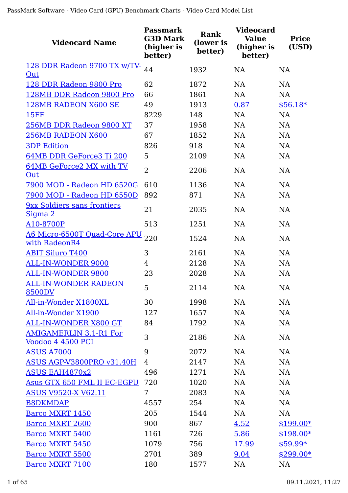| <b>Videocard Name</b>                                     | Passmark<br><b>G3D Mark</b><br>(higher is<br>better) | Rank<br>(lower is<br>better) | <b>Videocard</b><br><b>Value</b><br>(higher is<br>better) | <b>Price</b><br>(USD) |
|-----------------------------------------------------------|------------------------------------------------------|------------------------------|-----------------------------------------------------------|-----------------------|
| 128 DDR Radeon 9700 TX w/TV-                              | 44                                                   | 1932                         | <b>NA</b>                                                 | <b>NA</b>             |
| Out                                                       |                                                      |                              |                                                           |                       |
| 128 DDR Radeon 9800 Pro                                   | 62                                                   | 1872                         | <b>NA</b>                                                 | <b>NA</b>             |
| 128MB DDR Radeon 9800 Pro                                 | 66                                                   | 1861                         | <b>NA</b>                                                 | <b>NA</b>             |
| 128MB RADEON X600 SE                                      | 49                                                   | 1913                         | 0.87                                                      | $$56.18*$             |
| <b>15FF</b>                                               | 8229                                                 | 148                          | NA                                                        | <b>NA</b>             |
| 256MB DDR Radeon 9800 XT                                  | 37                                                   | 1958                         | <b>NA</b>                                                 | <b>NA</b>             |
| 256MB RADEON X600                                         | 67                                                   | 1852                         | <b>NA</b>                                                 | <b>NA</b>             |
| <b>3DP Edition</b>                                        | 826                                                  | 918                          | NA                                                        | <b>NA</b>             |
| 64MB DDR GeForce3 Ti 200                                  | 5                                                    | 2109                         | <b>NA</b>                                                 | <b>NA</b>             |
| 64MB GeForce2 MX with TV<br>Out                           | $\overline{2}$                                       | 2206                         | <b>NA</b>                                                 | <b>NA</b>             |
| 7900 MOD - Radeon HD 6520G                                | 610                                                  | 1136                         | <b>NA</b>                                                 | <b>NA</b>             |
| 7900 MOD - Radeon HD 6550D                                | 892                                                  | 871                          | <b>NA</b>                                                 | <b>NA</b>             |
| <b>9xx Soldiers sans frontiers</b><br>Sigma 2             | 21                                                   | 2035                         | NA                                                        | <b>NA</b>             |
| A10-8700P                                                 | 513                                                  | 1251                         | NA                                                        | <b>NA</b>             |
| <u>A6 Micro-6500T Quad-Core APU</u><br>with RadeonR4      | 220                                                  | 1524                         | <b>NA</b>                                                 | <b>NA</b>             |
| <b>ABIT Siluro T400</b>                                   | 3                                                    | 2161                         | NA                                                        | <b>NA</b>             |
| ALL-IN-WONDER 9000                                        | 4                                                    | 2128                         | NA                                                        | NA                    |
| <b>ALL-IN-WONDER 9800</b>                                 | 23                                                   | 2028                         | <b>NA</b>                                                 | <b>NA</b>             |
| <b>ALL-IN-WONDER RADEON</b><br><b>8500DV</b>              | 5                                                    | 2114                         | NA                                                        | NA                    |
| All-in-Wonder X1800XL                                     | 30                                                   | 1998                         | NA                                                        | <b>NA</b>             |
| All-in-Wonder X1900                                       | 127                                                  | 1657                         | <b>NA</b>                                                 | <b>NA</b>             |
| ALL-IN-WONDER X800 GT                                     | 84                                                   | 1792                         | NA                                                        | <b>NA</b>             |
| <b>AMIGAMERLIN 3.1-R1 For</b><br><u>Voodoo 4 4500 PCI</u> | 3                                                    | 2186                         | <b>NA</b>                                                 | <b>NA</b>             |
| <b>ASUS A7000</b>                                         | 9                                                    | 2072                         | NA                                                        | <b>NA</b>             |
| ASUS AGP-V3800PRO v31.40H                                 | 4                                                    | 2147                         | <b>NA</b>                                                 | <b>NA</b>             |
| <b>ASUS EAH4870x2</b>                                     | 496                                                  | 1271                         | NA                                                        | <b>NA</b>             |
| Asus GTX 650 FML II EC-EGPU                               | 720                                                  | 1020                         | <b>NA</b>                                                 | NA                    |
| <b>ASUS V9520-X V62.11</b>                                | 7                                                    | 2083                         | NA                                                        | NA                    |
| <b>B8DKMDAP</b>                                           | 4557                                                 | 254                          | NA                                                        | <b>NA</b>             |
| <b>Barco MXRT 1450</b>                                    | 205                                                  | 1544                         | NA                                                        | <b>NA</b>             |
| <b>Barco MXRT 2600</b>                                    | 900                                                  | 867                          | 4.52                                                      | $$199.00*$            |
| <b>Barco MXRT 5400</b>                                    | 1161                                                 | 726                          | 5.86                                                      | $$198.00*$            |
| <b>Barco MXRT 5450</b>                                    | 1079                                                 | 756                          | 17.99                                                     | $$59.99*$             |
| <b>Barco MXRT 5500</b>                                    | 2701                                                 | 389                          | 9.04                                                      | $$299.00*$            |
| <b>Barco MXRT 7100</b>                                    | 180                                                  | 1577                         | <b>NA</b>                                                 | <b>NA</b>             |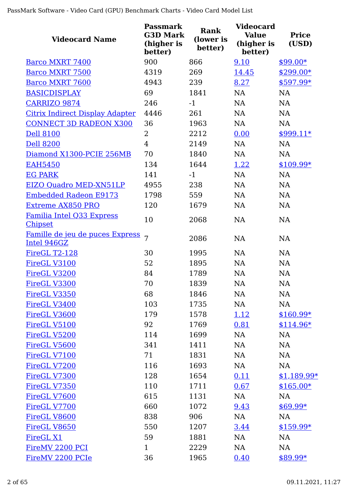| <b>Videocard Name</b>                          | <b>Passmark</b><br><b>G3D Mark</b><br>(higher is<br>better) | <b>Rank</b><br>(lower is<br>better) | <b>Videocard</b><br><b>Value</b><br>(higher is<br>better) | <b>Price</b><br>(USD) |
|------------------------------------------------|-------------------------------------------------------------|-------------------------------------|-----------------------------------------------------------|-----------------------|
| Barco MXRT 7400                                | 900                                                         | 866                                 | 9.10                                                      | $$99.00*$             |
| <b>Barco MXRT 7500</b>                         | 4319                                                        | 269                                 | 14.45                                                     | $$299.00*$            |
| <b>Barco MXRT 7600</b>                         | 4943                                                        | 239                                 | 8.27                                                      | \$597.99*             |
| <b>BASICDISPLAY</b>                            | 69                                                          | 1841                                | NA                                                        | <b>NA</b>             |
| <b>CARRIZO 9874</b>                            | 246                                                         | $-1$                                | NA                                                        | <b>NA</b>             |
| <b>Citrix Indirect Display Adapter</b>         | 4446                                                        | 261                                 | NA                                                        | <b>NA</b>             |
| <b>CONNECT 3D RADEON X300</b>                  | 36                                                          | 1963                                | NA                                                        | <b>NA</b>             |
| <b>Dell 8100</b>                               | 2                                                           | 2212                                | 0.00                                                      | $$999.11*$            |
| <b>Dell 8200</b>                               | $\overline{4}$                                              | 2149                                | <b>NA</b>                                                 | <b>NA</b>             |
| Diamond X1300-PCIE 256MB                       | 70                                                          | 1840                                | NA                                                        | <b>NA</b>             |
| <b>EAH5450</b>                                 | 134                                                         | 1644                                | 1.22                                                      | $$109.99*$            |
| <b>EG PARK</b>                                 | 141                                                         | $-1$                                | <b>NA</b>                                                 | <b>NA</b>             |
| EIZO Quadro MED-XN51LP                         | 4955                                                        | 238                                 | <b>NA</b>                                                 | <b>NA</b>             |
| <b>Embedded Radeon E9173</b>                   | 1798                                                        | 559                                 | <b>NA</b>                                                 | <b>NA</b>             |
| <b>Extreme AX850 PRO</b>                       | 120                                                         | 1679                                | <b>NA</b>                                                 | <b>NA</b>             |
| Familia Intel Q33 Express<br><b>Chipset</b>    | 10                                                          | 2068                                | <b>NA</b>                                                 | NA                    |
| Famille de jeu de puces Express<br>Intel 946GZ | $\overline{7}$                                              | 2086                                | <b>NA</b>                                                 | <b>NA</b>             |
| FireGL T2-128                                  | 30                                                          | 1995                                | <b>NA</b>                                                 | NA                    |
| FireGL V3100                                   | 52                                                          | 1895                                | <b>NA</b>                                                 | <b>NA</b>             |
| FireGL V3200                                   | 84                                                          | 1789                                | <b>NA</b>                                                 | <b>NA</b>             |
| FireGL V3300                                   | 70                                                          | 1839                                | NA                                                        | NA                    |
| FireGL V3350                                   | 68                                                          | 1846                                | NA                                                        | <b>NA</b>             |
| FireGL V3400                                   | 103                                                         | 1735                                | NA                                                        | NA                    |
| FireGL V3600                                   | 179                                                         | 1578                                | <u>1.12</u>                                               | $$160.99*$            |
| FireGL V5100                                   | 92                                                          | 1769                                | 0.81                                                      | $$114.96*$            |
| FireGL V5200                                   | 114                                                         | 1699                                | <b>NA</b>                                                 | <b>NA</b>             |
| FireGL V5600                                   | 341                                                         | 1411                                | <b>NA</b>                                                 | <b>NA</b>             |
| FireGL V7100                                   | 71                                                          | 1831                                | <b>NA</b>                                                 | <b>NA</b>             |
| FireGL V7200                                   | 116                                                         | 1693                                | NA                                                        | NA                    |
| FireGL V7300                                   | 128                                                         | 1654                                | 0.11                                                      | $$1,189.99*$          |
| FireGL V7350                                   | 110                                                         | 1711                                | 0.67                                                      | $$165.00*$            |
| FireGL V7600                                   | 615                                                         | 1131                                | NA                                                        | NA                    |
| FireGL V7700                                   | 660                                                         | 1072                                | 9.43                                                      | \$69.99*              |
| FireGL V8600                                   | 838                                                         | 906                                 | NA                                                        | NA                    |
| FireGL V8650                                   | 550                                                         | 1207                                | 3.44                                                      | $$159.99*$            |
| FireGL X1                                      | 59                                                          | 1881                                | NA                                                        | NA                    |
| FireMV 2200 PCI                                | $\mathbf{1}$                                                | 2229                                | NA                                                        | <b>NA</b>             |
| FireMV 2200 PCIe                               | 36                                                          | 1965                                | 0.40                                                      | \$89.99*              |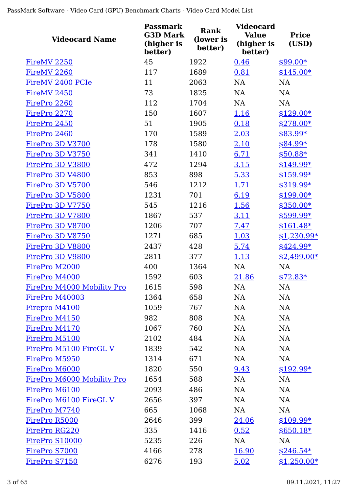| <b>Videocard Name</b>      | <b>Passmark</b><br><b>G3D Mark</b><br>(higher is<br>better) | <b>Rank</b><br>(lower is<br>better) | <b>Videocard</b><br><b>Value</b><br>(higher is<br>better) | <b>Price</b><br>(USD) |
|----------------------------|-------------------------------------------------------------|-------------------------------------|-----------------------------------------------------------|-----------------------|
| FireMV <sub>2250</sub>     | 45                                                          | 1922                                | 0.46                                                      | $$99.00*$             |
| FireMV <sub>2260</sub>     | 117                                                         | 1689                                | 0.81                                                      | $$145.00*$            |
| FireMV 2400 PCIe           | 11                                                          | 2063                                | <b>NA</b>                                                 | <b>NA</b>             |
| FireMV 2450                | 73                                                          | 1825                                | <b>NA</b>                                                 | NA                    |
| FirePro 2260               | 112                                                         | 1704                                | <b>NA</b>                                                 | <b>NA</b>             |
| FirePro 2270               | 150                                                         | 1607                                | 1.16                                                      | $$129.00*$            |
| FirePro 2450               | 51                                                          | 1905                                | 0.18                                                      | $$278.00*$            |
| FirePro 2460               | 170                                                         | 1589                                | 2.03                                                      | \$83.99*              |
| FirePro 3D V3700           | 178                                                         | 1580                                | 2.10                                                      | \$84.99*              |
| FirePro 3D V3750           | 341                                                         | 1410                                | 6.71                                                      | $$50.88*$             |
| FirePro 3D V3800           | 472                                                         | 1294                                | 3.15                                                      | $$149.99*$            |
| FirePro 3D V4800           | 853                                                         | 898                                 | 5.33                                                      | $$159.99*$            |
| FirePro 3D V5700           | 546                                                         | 1212                                | 1.71                                                      | \$319.99*             |
| FirePro 3D V5800           | 1231                                                        | 701                                 | 6.19                                                      | $$199.00*$            |
| FirePro 3D V7750           | 545                                                         | 1216                                | 1.56                                                      | $$350.00*$            |
| FirePro 3D V7800           | 1867                                                        | 537                                 | 3.11                                                      | \$599.99*             |
| FirePro 3D V8700           | 1206                                                        | 707                                 | 7.47                                                      | $$161.48*$            |
| FirePro 3D V8750           | 1271                                                        | 685                                 | 1.03                                                      | $$1,230.99*$          |
| FirePro 3D V8800           | 2437                                                        | 428                                 | 5.74                                                      | $$424.99*$            |
| FirePro 3D V9800           | 2811                                                        | 377                                 | 1.13                                                      | $$2,499.00*$          |
| FirePro M2000              | 400                                                         | 1364                                | <b>NA</b>                                                 | <b>NA</b>             |
| FirePro M4000              | 1592                                                        | 603                                 | 21.86                                                     | $$72.83*$             |
| FirePro M4000 Mobility Pro | 1615                                                        | 598                                 | NA                                                        | NA                    |
| FirePro M40003             | 1364                                                        | 658                                 | NA                                                        | <b>NA</b>             |
| Firepro M4100              | 1059                                                        | 767                                 | NA                                                        | <b>NA</b>             |
| FirePro M4150              | 982                                                         | 808                                 | NA                                                        | NA                    |
| FirePro M4170              | 1067                                                        | 760                                 | NA                                                        | <b>NA</b>             |
| FirePro M5100              | 2102                                                        | 484                                 | NA                                                        | NA                    |
| FirePro M5100 FireGL V     | 1839                                                        | 542                                 | NA                                                        | <b>NA</b>             |
| FirePro M5950              | 1314                                                        | 671                                 | NA                                                        | NA                    |
| FirePro M6000              | 1820                                                        | 550                                 | 9.43                                                      | $$192.99*$            |
| FirePro M6000 Mobility Pro | 1654                                                        | 588                                 | NA                                                        | NA                    |
| FirePro M6100              | 2093                                                        | 486                                 | NA                                                        | NA                    |
| FirePro M6100 FireGL V     | 2656                                                        | 397                                 | NA                                                        | <b>NA</b>             |
| FirePro M7740              | 665                                                         | 1068                                | NA                                                        | NA                    |
| FirePro R5000              | 2646                                                        | 399                                 | 24.06                                                     | $$109.99*$            |
| FirePro RG220              | 335                                                         | 1416                                | 0.52                                                      | $$650.18*$            |
| FirePro S10000             | 5235                                                        | 226                                 | NA                                                        | <b>NA</b>             |
| FirePro S7000              | 4166                                                        | 278                                 | <u>16.90</u>                                              | $$246.54*$            |
| FirePro S7150              | 6276                                                        | 193                                 | 5.02                                                      | $$1,250.00*$          |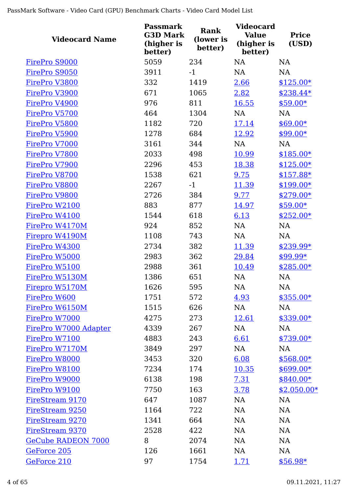| <b>Videocard Name</b>     | <b>Passmark</b><br><b>G3D Mark</b><br>(higher is<br>better) | <b>Rank</b><br>(lower is<br>better) | <b>Videocard</b><br><b>Value</b><br>(higher is<br>better) | <b>Price</b><br>(USD) |
|---------------------------|-------------------------------------------------------------|-------------------------------------|-----------------------------------------------------------|-----------------------|
| FirePro S9000             | 5059                                                        | 234                                 | <b>NA</b>                                                 | <b>NA</b>             |
| FirePro S9050             | 3911                                                        | $-1$                                | <b>NA</b>                                                 | <b>NA</b>             |
| FirePro V3800             | 332                                                         | 1419                                | 2.66                                                      | $$125.00*$            |
| FirePro V3900             | 671                                                         | 1065                                | 2.82                                                      | $$238.44*$            |
| FirePro V4900             | 976                                                         | 811                                 | 16.55                                                     | \$59.00*              |
| FirePro V5700             | 464                                                         | 1304                                | NA                                                        | NA                    |
| FirePro V5800             | 1182                                                        | 720                                 | 17.14                                                     | $$69.00*$             |
| FirePro V5900             | 1278                                                        | 684                                 | 12.92                                                     | $$99.00*$             |
| FirePro V7000             | 3161                                                        | 344                                 | <b>NA</b>                                                 | <b>NA</b>             |
| FirePro V7800             | 2033                                                        | 498                                 | 10.99                                                     | $$185.00*$            |
| FirePro V7900             | 2296                                                        | 453                                 | 18.38                                                     | $$125.00*$            |
| FirePro V8700             | 1538                                                        | 621                                 | 9.75                                                      | $$157.88*$            |
| FirePro V8800             | 2267                                                        | $-1$                                | 11.39                                                     | $$199.00*$            |
| FirePro V9800             | 2726                                                        | 384                                 | 9.77                                                      | $$279.00*$            |
| FirePro W2100             | 883                                                         | 877                                 | 14.97                                                     | $$59.00*$             |
| FirePro W4100             | 1544                                                        | 618                                 | 6.13                                                      | $$252.00*$            |
| FirePro W4170M            | 924                                                         | 852                                 | NA                                                        | <b>NA</b>             |
| Firepro W4190M            | 1108                                                        | 743                                 | NA                                                        | NA                    |
| FirePro W4300             | 2734                                                        | 382                                 | 11.39                                                     | \$239.99*             |
| FirePro W5000             | 2983                                                        | 362                                 | 29.84                                                     | $$99.99*$             |
| FirePro W5100             | 2988                                                        | 361                                 | 10.49                                                     | $$285.00*$            |
| FirePro W5130M            | 1386                                                        | 651                                 | <b>NA</b>                                                 | NA                    |
| Firepro W5170M            | 1626                                                        | 595                                 | NA                                                        | NA                    |
| FirePro W600              | 1751                                                        | 572                                 | 4.93                                                      | $$355.00*$            |
| FirePro W6150M            | 1515                                                        | 626                                 | NA                                                        | NA                    |
| FirePro W7000             | 4275                                                        | 273                                 | 12.61                                                     | $$339.00*$            |
| FirePro W7000 Adapter     | 4339                                                        | 267                                 | NA                                                        | NA                    |
| FirePro W7100             | 4883                                                        | 243                                 | 6.61                                                      | $$739.00*$            |
| FirePro W7170M            | 3849                                                        | 297                                 | NA                                                        | NA                    |
| FirePro W8000             | 3453                                                        | 320                                 | 6.08                                                      | $$568.00*$            |
| FirePro W8100             | 7234                                                        | 174                                 | 10.35                                                     | $$699.00*$            |
| FirePro W9000             | 6138                                                        | 198                                 | 7.31                                                      | $$840.00*$            |
| FirePro W9100             | 7750                                                        | 163                                 | 3.78                                                      | $$2,050.00*$          |
| FireStream 9170           | 647                                                         | 1087                                | NA                                                        | <b>NA</b>             |
| FireStream 9250           | 1164                                                        | 722                                 | NA                                                        | NA                    |
| FireStream 9270           | 1341                                                        | 664                                 | NA                                                        | NA                    |
| FireStream 9370           | 2528                                                        | 422                                 | NA                                                        | NA                    |
| <b>GeCube RADEON 7000</b> | 8                                                           | 2074                                | NA                                                        | <b>NA</b>             |
| GeForce 205               | 126                                                         | 1661                                | NA                                                        | <b>NA</b>             |
| GeForce 210               | 97                                                          | 1754                                | <u>1.71</u>                                               | $$56.98*$             |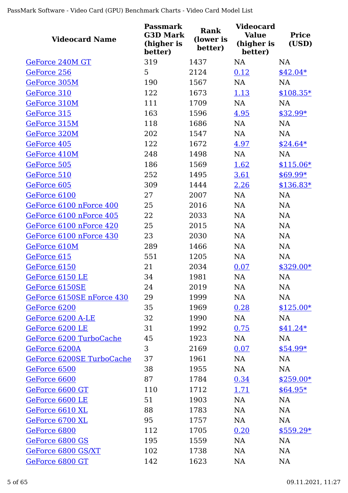| <b>Videocard Name</b>     | <b>Passmark</b><br><b>G3D Mark</b><br>(higher is<br>better) | Rank<br>(lower is<br>better) | <b>Videocard</b><br><b>Value</b><br>(higher is<br>better) | <b>Price</b><br>(USD) |
|---------------------------|-------------------------------------------------------------|------------------------------|-----------------------------------------------------------|-----------------------|
| GeForce 240M GT           | 319                                                         | 1437                         | <b>NA</b>                                                 | <b>NA</b>             |
| GeForce 256               | 5                                                           | 2124                         | 0.12                                                      | $$42.04*$             |
| GeForce 305M              | 190                                                         | 1567                         | <b>NA</b>                                                 | <b>NA</b>             |
| GeForce 310               | 122                                                         | 1673                         | 1.13                                                      | $$108.35*$            |
| GeForce 310M              | 111                                                         | 1709                         | NA                                                        | <b>NA</b>             |
| GeForce 315               | 163                                                         | 1596                         | 4.95                                                      | \$32.99*              |
| GeForce 315M              | 118                                                         | 1686                         | <b>NA</b>                                                 | NA                    |
| GeForce 320M              | 202                                                         | 1547                         | <b>NA</b>                                                 | <b>NA</b>             |
| GeForce 405               | 122                                                         | 1672                         | 4.97                                                      | $$24.64*$             |
| GeForce 410M              | 248                                                         | 1498                         | NA                                                        | NA                    |
| GeForce 505               | 186                                                         | 1569                         | 1.62                                                      | $$115.06*$            |
| GeForce 510               | 252                                                         | 1495                         | 3.61                                                      | $$69.99*$             |
| GeForce 605               | 309                                                         | 1444                         | 2.26                                                      | $$136.83*$            |
| GeForce 6100              | 27                                                          | 2007                         | <b>NA</b>                                                 | <b>NA</b>             |
| GeForce 6100 nForce 400   | 25                                                          | 2016                         | <b>NA</b>                                                 | <b>NA</b>             |
| GeForce 6100 nForce 405   | 22                                                          | 2033                         | <b>NA</b>                                                 | <b>NA</b>             |
| GeForce 6100 nForce 420   | 25                                                          | 2015                         | NA                                                        | NA                    |
| GeForce 6100 nForce 430   | 23                                                          | 2030                         | <b>NA</b>                                                 | <b>NA</b>             |
| GeForce 610M              | 289                                                         | 1466                         | <b>NA</b>                                                 | NA                    |
| GeForce 615               | 551                                                         | 1205                         | <b>NA</b>                                                 | <b>NA</b>             |
| GeForce 6150              | 21                                                          | 2034                         | 0.07                                                      | $$329.00*$            |
| GeForce 6150 LE           | 34                                                          | 1981                         | <b>NA</b>                                                 | <b>NA</b>             |
| GeForce 6150SE            | 24                                                          | 2019                         | NA                                                        | NA                    |
| GeForce 6150SE nForce 430 | 29                                                          | 1999                         | <b>NA</b>                                                 | <b>NA</b>             |
| GeForce 6200              | 35                                                          | 1969                         | 0.28                                                      | $$125.00*$            |
| GeForce 6200 A-LE         | 32                                                          | 1990                         | NA                                                        | NA                    |
| GeForce 6200 LE           | 31                                                          | 1992                         | 0.75                                                      | $$41.24*$             |
| GeForce 6200 TurboCache   | 45                                                          | 1923                         | NA                                                        | <b>NA</b>             |
| GeForce 6200A             | 3                                                           | 2169                         | 0.07                                                      | $$54.99*$             |
| GeForce 6200SE TurboCache | 37                                                          | 1961                         | NA                                                        | NA                    |
| GeForce 6500              | 38                                                          | 1955                         | NA                                                        | NA                    |
| GeForce 6600              | 87                                                          | 1784                         | 0.34                                                      | $$259.00*$            |
| GeForce 6600 GT           | 110                                                         | 1712                         | <u>1.71</u>                                               | $$64.95*$             |
| GeForce 6600 LE           | 51                                                          | 1903                         | NA                                                        | <b>NA</b>             |
| GeForce 6610 XL           | 88                                                          | 1783                         | <b>NA</b>                                                 | NA                    |
| GeForce 6700 XL           | 95                                                          | 1757                         | NA                                                        | <b>NA</b>             |
| GeForce 6800              | 112                                                         | 1705                         | 0.20                                                      | $$559.29*$            |
| GeForce 6800 GS           | 195                                                         | 1559                         | <b>NA</b>                                                 | <b>NA</b>             |
| GeForce 6800 GS/XT        | 102                                                         | 1738                         | <b>NA</b>                                                 | NA                    |
| GeForce 6800 GT           | 142                                                         | 1623                         | <b>NA</b>                                                 | <b>NA</b>             |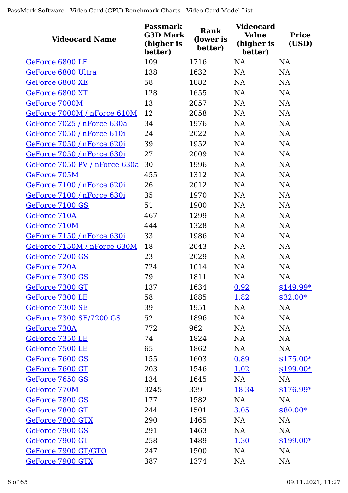| <b>Videocard Name</b>         | Passmark<br><b>G3D Mark</b><br>(higher is<br>better) | Rank<br>(lower is<br>better) | <b>Videocard</b><br><b>Value</b><br>(higher is<br>better) | <b>Price</b><br>(USD) |
|-------------------------------|------------------------------------------------------|------------------------------|-----------------------------------------------------------|-----------------------|
| GeForce 6800 LE               | 109                                                  | 1716                         | <b>NA</b>                                                 | NA                    |
| GeForce 6800 Ultra            | 138                                                  | 1632                         | <b>NA</b>                                                 | <b>NA</b>             |
| GeForce 6800 XE               | 58                                                   | 1882                         | <b>NA</b>                                                 | NA                    |
| GeForce 6800 XT               | 128                                                  | 1655                         | <b>NA</b>                                                 | NA                    |
| GeForce 7000M                 | 13                                                   | 2057                         | NA                                                        | NA                    |
| GeForce 7000M / nForce 610M   | 12                                                   | 2058                         | NA                                                        | NA                    |
| GeForce 7025 / nForce 630a    | 34                                                   | 1976                         | <b>NA</b>                                                 | NA                    |
| GeForce 7050 / nForce 610i    | 24                                                   | 2022                         | NA                                                        | NA                    |
| GeForce 7050 / nForce 620i    | 39                                                   | 1952                         | <b>NA</b>                                                 | NA                    |
| GeForce 7050 / nForce 630i    | 27                                                   | 2009                         | <b>NA</b>                                                 | <b>NA</b>             |
| GeForce 7050 PV / nForce 630a | 30                                                   | 1996                         | <b>NA</b>                                                 | NA                    |
| GeForce 705M                  | 455                                                  | 1312                         | <b>NA</b>                                                 | NA                    |
| GeForce 7100 / nForce 620i    | 26                                                   | 2012                         | <b>NA</b>                                                 | <b>NA</b>             |
| GeForce 7100 / nForce 630i    | 35                                                   | 1970                         | <b>NA</b>                                                 | NA                    |
| GeForce 7100 GS               | 51                                                   | 1900                         | <b>NA</b>                                                 | NA                    |
| GeForce 710A                  | 467                                                  | 1299                         | <b>NA</b>                                                 | <b>NA</b>             |
| GeForce 710M                  | 444                                                  | 1328                         | NA                                                        | NA                    |
| GeForce 7150 / nForce 630i    | 33                                                   | 1986                         | <b>NA</b>                                                 | NA                    |
| GeForce 7150M / nForce 630M   | 18                                                   | 2043                         | <b>NA</b>                                                 | NA                    |
| GeForce 7200 GS               | 23                                                   | 2029                         | <b>NA</b>                                                 | NA                    |
| GeForce 720A                  | 724                                                  | 1014                         | <b>NA</b>                                                 | NA                    |
| GeForce 7300 GS               | 79                                                   | 1811                         | <b>NA</b>                                                 | <b>NA</b>             |
| GeForce 7300 GT               | 137                                                  | 1634                         | 0.92                                                      | \$149.99*             |
| GeForce 7300 LE               | 58                                                   | 1885                         | 1.82                                                      | $$32.00*$             |
| GeForce 7300 SE               | 39                                                   | 1951                         | NA                                                        | NA                    |
| GeForce 7300 SE/7200 GS       | 52                                                   | 1896                         | NA                                                        | NA                    |
| GeForce 730A                  | 772                                                  | 962                          | NA                                                        | NA                    |
| GeForce 7350 LE               | 74                                                   | 1824                         | NA                                                        | NA                    |
| GeForce 7500 LE               | 65                                                   | 1862                         | NA                                                        | NA                    |
| GeForce 7600 GS               | 155                                                  | 1603                         | 0.89                                                      | $$175.00*$            |
| GeForce 7600 GT               | 203                                                  | 1546                         | 1.02                                                      | $$199.00*$            |
| GeForce 7650 GS               | 134                                                  | 1645                         | NA                                                        | NA                    |
| GeForce 770M                  | 3245                                                 | 339                          | 18.34                                                     | $$176.99*$            |
| GeForce 7800 GS               | 177                                                  | 1582                         | NA                                                        | <b>NA</b>             |
| GeForce 7800 GT               | 244                                                  | 1501                         | <u>3.05</u>                                               | $$80.00*$             |
| GeForce 7800 GTX              | 290                                                  | 1465                         | NA                                                        | NA                    |
| GeForce 7900 GS               | 291                                                  | 1463                         | NA                                                        | NA                    |
| GeForce 7900 GT               | 258                                                  | 1489                         | <u>1.30</u>                                               | $$199.00*$            |
| GeForce 7900 GT/GTO           | 247                                                  | 1500                         | NA                                                        | NA                    |
| GeForce 7900 GTX              | 387                                                  | 1374                         | <b>NA</b>                                                 | <b>NA</b>             |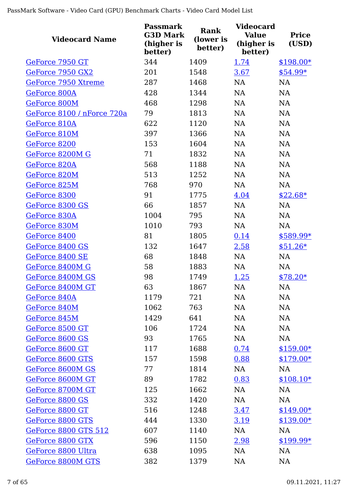| <b>Videocard Name</b>       | <b>Passmark</b><br><b>G3D Mark</b><br>(higher is<br>better) | Rank<br>(lower is<br>better) | <b>Videocard</b><br><b>Value</b><br>(higher is<br>better) | <b>Price</b><br>(USD) |
|-----------------------------|-------------------------------------------------------------|------------------------------|-----------------------------------------------------------|-----------------------|
| GeForce 7950 GT             | 344                                                         | 1409                         | 1.74                                                      | $$198.00*$            |
| GeForce 7950 GX2            | 201                                                         | 1548                         | 3.67                                                      | $$54.99*$             |
| GeForce 7950 Xtreme         | 287                                                         | 1468                         | <b>NA</b>                                                 | <b>NA</b>             |
| GeForce 800A                | 428                                                         | 1344                         | <b>NA</b>                                                 | NA                    |
| GeForce 800M                | 468                                                         | 1298                         | <b>NA</b>                                                 | NA                    |
| GeForce 8100 / nForce 720a  | 79                                                          | 1813                         | NA                                                        | NA                    |
| GeForce 810A                | 622                                                         | 1120                         | <b>NA</b>                                                 | NA                    |
| GeForce 810M                | 397                                                         | 1366                         | <b>NA</b>                                                 | <b>NA</b>             |
| GeForce 8200                | 153                                                         | 1604                         | NA                                                        | NA                    |
| GeForce 8200M G             | 71                                                          | 1832                         | <b>NA</b>                                                 | <b>NA</b>             |
| GeForce 820A                | 568                                                         | 1188                         | <b>NA</b>                                                 | <b>NA</b>             |
| GeForce 820M                | 513                                                         | 1252                         | <b>NA</b>                                                 | <b>NA</b>             |
| GeForce 825M                | 768                                                         | 970                          | <b>NA</b>                                                 | <b>NA</b>             |
| GeForce 8300                | 91                                                          | 1775                         | 4.04                                                      | $$22.68*$             |
| GeForce 8300 GS             | 66                                                          | 1857                         | NA                                                        | <b>NA</b>             |
| GeForce 830A                | 1004                                                        | 795                          | <b>NA</b>                                                 | <b>NA</b>             |
| GeForce 830M                | 1010                                                        | 793                          | NA                                                        | <b>NA</b>             |
| GeForce 8400                | 81                                                          | 1805                         | 0.14                                                      | \$589.99*             |
| GeForce 8400 GS             | 132                                                         | 1647                         | 2.58                                                      | $$51.26*$             |
| GeForce 8400 SE             | 68                                                          | 1848                         | NA                                                        | <b>NA</b>             |
| GeForce 8400M G             | 58                                                          | 1883                         | <b>NA</b>                                                 | <b>NA</b>             |
| GeForce 8400M GS            | 98                                                          | 1749                         | 1.25                                                      | $$78.20*$             |
| GeForce 8400M GT            | 63                                                          | 1867                         | NA                                                        | $\rm NA$              |
| GeForce 840A                | 1179                                                        | 721                          | <b>NA</b>                                                 | <b>NA</b>             |
| GeForce 840M                | 1062                                                        | 763                          | <b>NA</b>                                                 | <b>NA</b>             |
| GeForce 845M                | 1429                                                        | 641                          | <b>NA</b>                                                 | <b>NA</b>             |
| GeForce 8500 GT             | 106                                                         | 1724                         | <b>NA</b>                                                 | <b>NA</b>             |
| GeForce 8600 GS             | 93                                                          | 1765                         | NA                                                        | <b>NA</b>             |
| GeForce 8600 GT             | 117                                                         | 1688                         | 0.74                                                      | $$159.00*$            |
| GeForce 8600 GTS            | 157                                                         | 1598                         | 0.88                                                      | $$179.00*$            |
| GeForce 8600M GS            | 77                                                          | 1814                         | NA                                                        | NA                    |
| GeForce 8600M GT            | 89                                                          | 1782                         | 0.83                                                      | $$108.10*$            |
| GeForce 8700M GT            | 125                                                         | 1662                         | <b>NA</b>                                                 | <b>NA</b>             |
| GeForce 8800 GS             | 332                                                         | 1420                         | <b>NA</b>                                                 | <b>NA</b>             |
| GeForce 8800 GT             | 516                                                         | 1248                         | <u>3.47</u>                                               | $$149.00*$            |
| GeForce 8800 GTS            | 444                                                         | 1330                         | 3.19                                                      | $$139.00*$            |
| <b>GeForce 8800 GTS 512</b> | 607                                                         | 1140                         | NA                                                        | NA                    |
| GeForce 8800 GTX            | 596                                                         | 1150                         | <u>2.98</u>                                               | $$199.99*$            |
| GeForce 8800 Ultra          | 638                                                         | 1095                         | <b>NA</b>                                                 | NA                    |
| GeForce 8800M GTS           | 382                                                         | 1379                         | <b>NA</b>                                                 | <b>NA</b>             |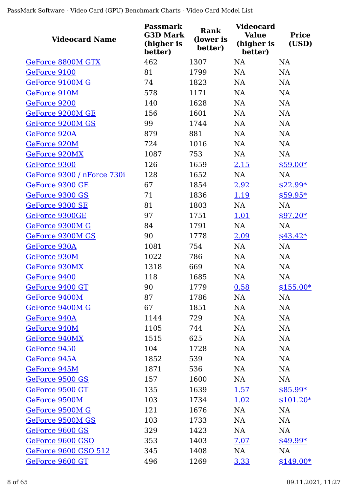| <b>Videocard Name</b>      | <b>Passmark</b><br><b>G3D Mark</b><br>(higher is<br>better) | Rank<br>(lower is<br>better) | <b>Videocard</b><br><b>Value</b><br>(higher is<br>better) | <b>Price</b><br>(USD) |
|----------------------------|-------------------------------------------------------------|------------------------------|-----------------------------------------------------------|-----------------------|
| GeForce 8800M GTX          | 462                                                         | 1307                         | <b>NA</b>                                                 | <b>NA</b>             |
| GeForce 9100               | 81                                                          | 1799                         | <b>NA</b>                                                 | <b>NA</b>             |
| GeForce 9100M G            | 74                                                          | 1823                         | <b>NA</b>                                                 | NA                    |
| GeForce 910M               | 578                                                         | 1171                         | <b>NA</b>                                                 | NA                    |
| GeForce 9200               | 140                                                         | 1628                         | <b>NA</b>                                                 | NA                    |
| GeForce 9200M GE           | 156                                                         | 1601                         | <b>NA</b>                                                 | NA                    |
| GeForce 9200M GS           | 99                                                          | 1744                         | <b>NA</b>                                                 | <b>NA</b>             |
| GeForce 920A               | 879                                                         | 881                          | <b>NA</b>                                                 | <b>NA</b>             |
| GeForce 920M               | 724                                                         | 1016                         | <b>NA</b>                                                 | <b>NA</b>             |
| GeForce 920MX              | 1087                                                        | 753                          | <b>NA</b>                                                 | <b>NA</b>             |
| GeForce 9300               | 126                                                         | 1659                         | 2.15                                                      | $$59.00*$             |
| GeForce 9300 / nForce 730i | 128                                                         | 1652                         | NA                                                        | <b>NA</b>             |
| GeForce 9300 GE            | 67                                                          | 1854                         | 2.92                                                      | $$22.99*$             |
| GeForce 9300 GS            | 71                                                          | 1836                         | 1.19                                                      | $$59.95*$             |
| GeForce 9300 SE            | 81                                                          | 1803                         | NA                                                        | <b>NA</b>             |
| GeForce 9300GE             | 97                                                          | 1751                         | 1.01                                                      | $$97.20*$             |
| GeForce 9300M G            | 84                                                          | 1791                         | NA                                                        | <b>NA</b>             |
| GeForce 9300M GS           | 90                                                          | 1778                         | 2.09                                                      | $$43.42*$             |
| GeForce 930A               | 1081                                                        | 754                          | NA                                                        | NA                    |
| GeForce 930M               | 1022                                                        | 786                          | <b>NA</b>                                                 | <b>NA</b>             |
| GeForce 930MX              | 1318                                                        | 669                          | NA                                                        | <b>NA</b>             |
| GeForce 9400               | 118                                                         | 1685                         | <b>NA</b>                                                 | <b>NA</b>             |
| GeForce 9400 GT            | 90                                                          | 1779                         | 0.58                                                      | $$155.00*$            |
| GeForce 9400M              | 87                                                          | 1786                         | <b>NA</b>                                                 | NA                    |
| GeForce 9400M G            | 67                                                          | 1851                         | <b>NA</b>                                                 | <b>NA</b>             |
| GeForce 940A               | 1144                                                        | 729                          | <b>NA</b>                                                 | <b>NA</b>             |
| GeForce 940M               | 1105                                                        | 744                          | <b>NA</b>                                                 | <b>NA</b>             |
| GeForce 940MX              | 1515                                                        | 625                          | <b>NA</b>                                                 | <b>NA</b>             |
| GeForce 9450               | 104                                                         | 1728                         | <b>NA</b>                                                 | NA                    |
| GeForce 945A               | 1852                                                        | 539                          | <b>NA</b>                                                 | NA                    |
| GeForce 945M               | 1871                                                        | 536                          | <b>NA</b>                                                 | <b>NA</b>             |
| GeForce 9500 GS            | 157                                                         | 1600                         | NA                                                        | <b>NA</b>             |
| GeForce 9500 GT            | 135                                                         | 1639                         | <u>1.57</u>                                               | $$85.99*$             |
| GeForce 9500M              | 103                                                         | 1734                         | 1.02                                                      | $$101.20*$            |
| GeForce 9500M G            | 121                                                         | 1676                         | <b>NA</b>                                                 | NA                    |
| GeForce 9500M GS           | 103                                                         | 1733                         | <b>NA</b>                                                 | NA                    |
| GeForce 9600 GS            | 329                                                         | 1423                         | <b>NA</b>                                                 | <b>NA</b>             |
| GeForce 9600 GSO           | 353                                                         | 1403                         | 7.07                                                      | $$49.99*$             |
| GeForce 9600 GSO 512       | 345                                                         | 1408                         | <b>NA</b>                                                 | NA                    |
| GeForce 9600 GT            | 496                                                         | 1269                         | 3.33                                                      | $$149.00*$            |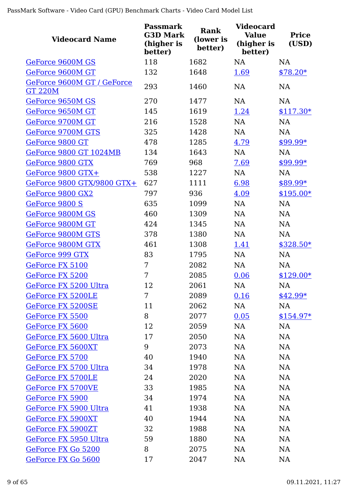| <b>Videocard Name</b>                        | <b>Passmark</b><br><b>G3D Mark</b><br>(higher is<br>better) | Rank<br>(lower is<br>better) | <b>Videocard</b><br><b>Value</b><br>(higher is<br>better) | <b>Price</b><br>(USD) |
|----------------------------------------------|-------------------------------------------------------------|------------------------------|-----------------------------------------------------------|-----------------------|
| GeForce 9600M GS                             | 118                                                         | 1682                         | <b>NA</b>                                                 | <b>NA</b>             |
| GeForce 9600M GT                             | 132                                                         | 1648                         | 1.69                                                      | $$78.20*$             |
| GeForce 9600M GT / GeForce<br><b>GT 220M</b> | 293                                                         | 1460                         | <b>NA</b>                                                 | <b>NA</b>             |
| GeForce 9650M GS                             | 270                                                         | 1477                         | <b>NA</b>                                                 | <b>NA</b>             |
| GeForce 9650M GT                             | 145                                                         | 1619                         | 1.24                                                      | $$117.30*$            |
| GeForce 9700M GT                             | 216                                                         | 1528                         | <b>NA</b>                                                 | <b>NA</b>             |
| <b>GeForce 9700M GTS</b>                     | 325                                                         | 1428                         | <b>NA</b>                                                 | <b>NA</b>             |
| GeForce 9800 GT                              | 478                                                         | 1285                         | 4.79                                                      | \$99.99*              |
| <b>GeForce 9800 GT 1024MB</b>                | 134                                                         | 1643                         | <b>NA</b>                                                 | <b>NA</b>             |
| GeForce 9800 GTX                             | 769                                                         | 968                          | 7.69                                                      | \$99.99*              |
| GeForce 9800 GTX+                            | 538                                                         | 1227                         | <b>NA</b>                                                 | <b>NA</b>             |
| GeForce 9800 GTX/9800 GTX+                   | 627                                                         | 1111                         | 6.98                                                      | $$89.99*$             |
| GeForce 9800 GX2                             | 797                                                         | 936                          | 4.09                                                      | $$195.00*$            |
| GeForce 9800 S                               | 635                                                         | 1099                         | <b>NA</b>                                                 | NA                    |
| GeForce 9800M GS                             | 460                                                         | 1309                         | <b>NA</b>                                                 | <b>NA</b>             |
| GeForce 9800M GT                             | 424                                                         | 1345                         | <b>NA</b>                                                 | <b>NA</b>             |
| GeForce 9800M GTS                            | 378                                                         | 1380                         | <b>NA</b>                                                 | <b>NA</b>             |
| GeForce 9800M GTX                            | 461                                                         | 1308                         | <u>1.41</u>                                               | $$328.50*$            |
| GeForce 999 GTX                              | 83                                                          | 1795                         | <b>NA</b>                                                 | <b>NA</b>             |
| GeForce FX 5100                              | 7                                                           | 2082                         | <b>NA</b>                                                 | <b>NA</b>             |
| GeForce FX 5200                              | 7                                                           | 2085                         | 0.06                                                      | $$129.00*$            |
| GeForce FX 5200 Ultra                        | 12                                                          | 2061                         | NA                                                        | <b>NA</b>             |
| <b>GeForce FX 5200LE</b>                     | 7                                                           | 2089                         | 0.16                                                      | $$42.99*$             |
| GeForce FX 5200SE                            | 11                                                          | 2062                         | NA                                                        | NA                    |
| GeForce FX 5500                              | 8                                                           | 2077                         | 0.05                                                      | $$154.97*$            |
| GeForce FX 5600                              | 12                                                          | 2059                         | NA                                                        | NA                    |
| GeForce FX 5600 Ultra                        | 17                                                          | 2050                         | <b>NA</b>                                                 | NA                    |
| GeForce FX 5600XT                            | 9                                                           | 2073                         | <b>NA</b>                                                 | NA                    |
| GeForce FX 5700                              | 40                                                          | 1940                         | <b>NA</b>                                                 | NA                    |
| GeForce FX 5700 Ultra                        | 34                                                          | 1978                         | <b>NA</b>                                                 | NA                    |
| GeForce FX 5700LE                            | 24                                                          | 2020                         | NA                                                        | NA                    |
| <b>GeForce FX 5700VE</b>                     | 33                                                          | 1985                         | <b>NA</b>                                                 | NA                    |
| GeForce FX 5900                              | 34                                                          | 1974                         | <b>NA</b>                                                 | NA                    |
| GeForce FX 5900 Ultra                        | 41                                                          | 1938                         | <b>NA</b>                                                 | <b>NA</b>             |
| GeForce FX 5900XT                            | 40                                                          | 1944                         | <b>NA</b>                                                 | NA                    |
| GeForce FX 5900ZT                            | 32                                                          | 1988                         | <b>NA</b>                                                 | NA                    |
| GeForce FX 5950 Ultra                        | 59                                                          | 1880                         | NA                                                        | NA                    |
| GeForce FX Go 5200                           | 8                                                           | 2075                         | <b>NA</b>                                                 | NA                    |
| GeForce FX Go 5600                           | 17                                                          | 2047                         | <b>NA</b>                                                 | <b>NA</b>             |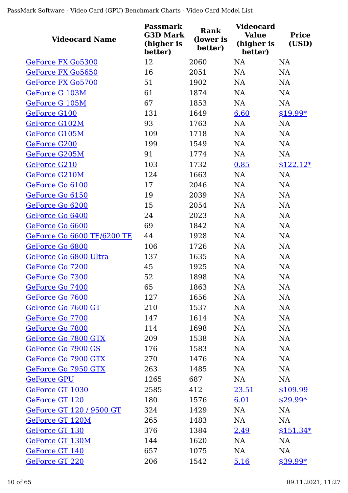| <b>Videocard Name</b>           | <b>Passmark</b><br><b>G3D Mark</b><br>(higher is<br>better) | Rank<br>(lower is<br>better) | <b>Videocard</b><br><b>Value</b><br>(higher is<br>better) | <b>Price</b><br>(USD) |
|---------------------------------|-------------------------------------------------------------|------------------------------|-----------------------------------------------------------|-----------------------|
| GeForce FX Go5300               | 12                                                          | 2060                         | <b>NA</b>                                                 | <b>NA</b>             |
| GeForce FX Go5650               | 16                                                          | 2051                         | <b>NA</b>                                                 | NA                    |
| GeForce FX Go5700               | 51                                                          | 1902                         | <b>NA</b>                                                 | <b>NA</b>             |
| GeForce G 103M                  | 61                                                          | 1874                         | <b>NA</b>                                                 | <b>NA</b>             |
| GeForce G 105M                  | 67                                                          | 1853                         | NA                                                        | NA                    |
| GeForce G100                    | 131                                                         | 1649                         | 6.60                                                      | $$19.99*$             |
| GeForce G102M                   | 93                                                          | 1763                         | <b>NA</b>                                                 | NA                    |
| GeForce G105M                   | 109                                                         | 1718                         | <b>NA</b>                                                 | NA                    |
| GeForce G200                    | 199                                                         | 1549                         | <b>NA</b>                                                 | NA                    |
| GeForce G205M                   | 91                                                          | 1774                         | <b>NA</b>                                                 | <b>NA</b>             |
| GeForce G210                    | 103                                                         | 1732                         | 0.85                                                      | $$122.12*$            |
| <b>GeForce G210M</b>            | 124                                                         | 1663                         | NA                                                        | NA                    |
| GeForce Go 6100                 | 17                                                          | 2046                         | <b>NA</b>                                                 | NA                    |
| GeForce Go 6150                 | 19                                                          | 2039                         | <b>NA</b>                                                 | <b>NA</b>             |
| GeForce Go 6200                 | 15                                                          | 2054                         | <b>NA</b>                                                 | NA                    |
| GeForce Go 6400                 | 24                                                          | 2023                         | <b>NA</b>                                                 | <b>NA</b>             |
| GeForce Go 6600                 | 69                                                          | 1842                         | NA                                                        | NA                    |
| GeForce Go 6600 TE/6200 TE      | 44                                                          | 1928                         | NA                                                        | NA                    |
| GeForce Go 6800                 | 106                                                         | 1726                         | NA                                                        | NA                    |
| GeForce Go 6800 Ultra           | 137                                                         | 1635                         | <b>NA</b>                                                 | <b>NA</b>             |
| GeForce Go 7200                 | 45                                                          | 1925                         | <b>NA</b>                                                 | <b>NA</b>             |
| GeForce Go 7300                 | 52                                                          | 1898                         | <b>NA</b>                                                 | <b>NA</b>             |
| GeForce Go 7400                 | 65                                                          | 1863                         | NA                                                        | $\rm NA$              |
| GeForce Go 7600                 | 127                                                         | 1656                         | <b>NA</b>                                                 | <b>NA</b>             |
| GeForce Go 7600 GT              | 210                                                         | 1537                         | <b>NA</b>                                                 | NA                    |
| GeForce Go 7700                 | 147                                                         | 1614                         | <b>NA</b>                                                 | NA                    |
| GeForce Go 7800                 | 114                                                         | 1698                         | NA                                                        | NA                    |
| GeForce Go 7800 GTX             | 209                                                         | 1538                         | NA                                                        | NA                    |
| GeForce Go 7900 GS              | 176                                                         | 1583                         | <b>NA</b>                                                 | <b>NA</b>             |
| GeForce Go 7900 GTX             | 270                                                         | 1476                         | <b>NA</b>                                                 | NA                    |
| GeForce Go 7950 GTX             | 263                                                         | 1485                         | <b>NA</b>                                                 | <b>NA</b>             |
| <b>GeForce GPU</b>              | 1265                                                        | 687                          | <b>NA</b>                                                 | NA                    |
| GeForce GT 1030                 | 2585                                                        | 412                          | 23.51                                                     | \$109.99              |
| GeForce GT 120                  | 180                                                         | 1576                         | 6.01                                                      | $$29.99*$             |
| <b>GeForce GT 120 / 9500 GT</b> | 324                                                         | 1429                         | <b>NA</b>                                                 | <b>NA</b>             |
| GeForce GT 120M                 | 265                                                         | 1483                         | NA                                                        | NA                    |
| GeForce GT 130                  | 376                                                         | 1384                         | 2.49                                                      | $$151.34*$            |
| GeForce GT 130M                 | 144                                                         | 1620                         | <b>NA</b>                                                 | NA                    |
| GeForce GT 140                  | 657                                                         | 1075                         | NA                                                        | NA                    |
| GeForce GT 220                  | 206                                                         | 1542                         | 5.16                                                      | $$39.99*$             |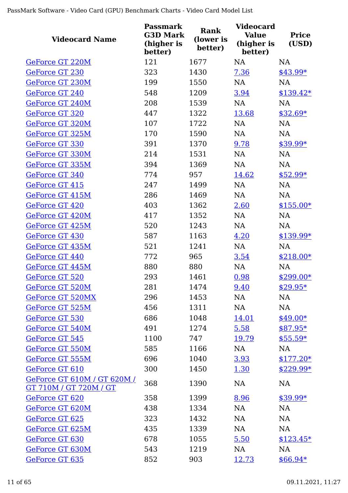| <b>Videocard Name</b>                                 | <b>Passmark</b><br><b>G3D Mark</b><br>(higher is<br>better) | Rank<br>(lower is<br>better) | <b>Videocard</b><br><b>Value</b><br>(higher is<br>better) | <b>Price</b><br>(USD) |
|-------------------------------------------------------|-------------------------------------------------------------|------------------------------|-----------------------------------------------------------|-----------------------|
| GeForce GT 220M                                       | 121                                                         | 1677                         | <b>NA</b>                                                 | NA                    |
| GeForce GT 230                                        | 323                                                         | 1430                         | 7.36                                                      | $$43.99*$             |
| GeForce GT 230M                                       | 199                                                         | 1550                         | <b>NA</b>                                                 | <b>NA</b>             |
| <b>GeForce GT 240</b>                                 | 548                                                         | 1209                         | 3.94                                                      | $$139.42*$            |
| GeForce GT 240M                                       | 208                                                         | 1539                         | <b>NA</b>                                                 | <b>NA</b>             |
| GeForce GT 320                                        | 447                                                         | 1322                         | 13.68                                                     | $$32.69*$             |
| GeForce GT 320M                                       | 107                                                         | 1722                         | <b>NA</b>                                                 | <b>NA</b>             |
| GeForce GT 325M                                       | 170                                                         | 1590                         | <b>NA</b>                                                 | <b>NA</b>             |
| GeForce GT 330                                        | 391                                                         | 1370                         | 9.78                                                      | \$39.99*              |
| GeForce GT 330M                                       | 214                                                         | 1531                         | NA                                                        | NA                    |
| GeForce GT 335M                                       | 394                                                         | 1369                         | <b>NA</b>                                                 | <b>NA</b>             |
| GeForce GT 340                                        | 774                                                         | 957                          | 14.62                                                     | $$52.99*$             |
| GeForce GT 415                                        | 247                                                         | 1499                         | <b>NA</b>                                                 | <b>NA</b>             |
| GeForce GT 415M                                       | 286                                                         | 1469                         | <b>NA</b>                                                 | <b>NA</b>             |
| GeForce GT 420                                        | 403                                                         | 1362                         | 2.60                                                      | $$155.00*$            |
| GeForce GT 420M                                       | 417                                                         | 1352                         | <b>NA</b>                                                 | <b>NA</b>             |
| GeForce GT 425M                                       | 520                                                         | 1243                         | <b>NA</b>                                                 | <b>NA</b>             |
| GeForce GT 430                                        | 587                                                         | 1163                         | 4.20                                                      | $$139.99*$            |
| GeForce GT 435M                                       | 521                                                         | 1241                         | NA                                                        | <b>NA</b>             |
| GeForce GT 440                                        | 772                                                         | 965                          | 3.54                                                      | $$218.00*$            |
| GeForce GT 445M                                       | 880                                                         | 880                          | NA                                                        | <b>NA</b>             |
| GeForce GT 520                                        | 293                                                         | 1461                         | 0.98                                                      | $$299.00*$            |
| GeForce GT 520M                                       | 281                                                         | 1474                         | 9.40                                                      | $$29.95*$             |
| <b>GeForce GT 520MX</b>                               | 296                                                         | 1453                         | NA                                                        | NA                    |
| GeForce GT 525M                                       | 456                                                         | 1311                         | NA                                                        | <b>NA</b>             |
| GeForce GT 530                                        | 686                                                         | 1048                         | <u>14.01</u>                                              | $$49.00*$             |
| GeForce GT 540M                                       | 491                                                         | 1274                         | 5.58                                                      | $$87.95*$             |
| GeForce GT 545                                        | 1100                                                        | 747                          | 19.79                                                     | $$55.59*$             |
| GeForce GT 550M                                       | 585                                                         | 1166                         | NA                                                        | NA                    |
| GeForce GT 555M                                       | 696                                                         | 1040                         | 3.93                                                      | $$177.20*$            |
| GeForce GT 610                                        | 300                                                         | 1450                         | 1.30                                                      | $$229.99*$            |
| GeForce GT 610M / GT 620M /<br>GT 710M / GT 720M / GT | 368                                                         | 1390                         | <b>NA</b>                                                 | <b>NA</b>             |
| GeForce GT 620                                        | 358                                                         | 1399                         | 8.96                                                      | $$39.99*$             |
| GeForce GT 620M                                       | 438                                                         | 1334                         | <b>NA</b>                                                 | <b>NA</b>             |
| GeForce GT 625                                        | 323                                                         | 1432                         | <b>NA</b>                                                 | <b>NA</b>             |
| GeForce GT 625M                                       | 435                                                         | 1339                         | <b>NA</b>                                                 | NA                    |
| GeForce GT 630                                        | 678                                                         | 1055                         | 5.50                                                      | $$123.45*$            |
| GeForce GT 630M                                       | 543                                                         | 1219                         | <b>NA</b>                                                 | <b>NA</b>             |
| GeForce GT 635                                        | 852                                                         | 903                          | 12.73                                                     | $$66.94*$             |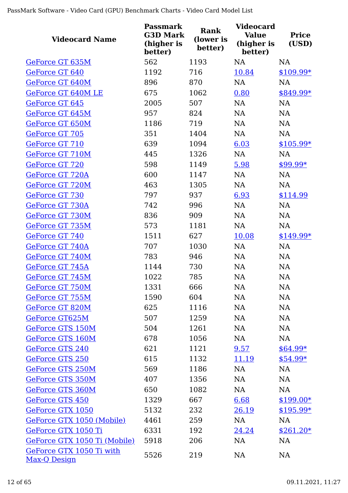| <b>Videocard Name</b>                    | <b>Passmark</b><br><b>G3D Mark</b><br>(higher is<br>better) | Rank<br>(lower is<br>better) | <b>Videocard</b><br><b>Value</b><br>(higher is<br>better) | <b>Price</b><br>(USD) |
|------------------------------------------|-------------------------------------------------------------|------------------------------|-----------------------------------------------------------|-----------------------|
| GeForce GT 635M                          | 562                                                         | 1193                         | <b>NA</b>                                                 | <b>NA</b>             |
| GeForce GT 640                           | 1192                                                        | 716                          | 10.84                                                     | $$109.99*$            |
| GeForce GT 640M                          | 896                                                         | 870                          | <b>NA</b>                                                 | <b>NA</b>             |
| GeForce GT 640M LE                       | 675                                                         | 1062                         | 0.80                                                      | $$849.99*$            |
| GeForce GT 645                           | 2005                                                        | 507                          | <b>NA</b>                                                 | <b>NA</b>             |
| GeForce GT 645M                          | 957                                                         | 824                          | <b>NA</b>                                                 | NA                    |
| GeForce GT 650M                          | 1186                                                        | 719                          | <b>NA</b>                                                 | <b>NA</b>             |
| GeForce GT 705                           | 351                                                         | 1404                         | NA                                                        | <b>NA</b>             |
| GeForce GT 710                           | 639                                                         | 1094                         | 6.03                                                      | $$105.99*$            |
| GeForce GT 710M                          | 445                                                         | 1326                         | NA                                                        | <b>NA</b>             |
| GeForce GT 720                           | 598                                                         | 1149                         | 5.98                                                      | $$99.99*$             |
| GeForce GT 720A                          | 600                                                         | 1147                         | <b>NA</b>                                                 | <b>NA</b>             |
| GeForce GT 720M                          | 463                                                         | 1305                         | <b>NA</b>                                                 | <b>NA</b>             |
| GeForce GT 730                           | 797                                                         | 937                          | 6.93                                                      | \$114.99              |
| GeForce GT 730A                          | 742                                                         | 996                          | <b>NA</b>                                                 | <b>NA</b>             |
| GeForce GT 730M                          | 836                                                         | 909                          | <b>NA</b>                                                 | <b>NA</b>             |
| GeForce GT 735M                          | 573                                                         | 1181                         | <b>NA</b>                                                 | <b>NA</b>             |
| GeForce GT 740                           | 1511                                                        | 627                          | 10.08                                                     | $$149.99*$            |
| GeForce GT 740A                          | 707                                                         | 1030                         | NA                                                        | NA                    |
| GeForce GT 740M                          | 783                                                         | 946                          | <b>NA</b>                                                 | NA                    |
| GeForce GT 745A                          | 1144                                                        | 730                          | <b>NA</b>                                                 | <b>NA</b>             |
| GeForce GT 745M                          | 1022                                                        | 785                          | NA                                                        | NA                    |
| GeForce GT 750M                          | 1331                                                        | 666                          | NA                                                        | NA                    |
| GeForce GT 755M                          | 1590                                                        | 604                          | <b>NA</b>                                                 | <b>NA</b>             |
| GeForce GT 820M                          | 625                                                         | 1116                         | <b>NA</b>                                                 | <b>NA</b>             |
| GeForce GT625M                           | 507                                                         | 1259                         | <b>NA</b>                                                 | <b>NA</b>             |
| <b>GeForce GTS 150M</b>                  | 504                                                         | 1261                         | <b>NA</b>                                                 | <b>NA</b>             |
| <b>GeForce GTS 160M</b>                  | 678                                                         | 1056                         | <b>NA</b>                                                 | <b>NA</b>             |
| <b>GeForce GTS 240</b>                   | 621                                                         | 1121                         | 9.57                                                      | $$64.99*$             |
| <b>GeForce GTS 250</b>                   | 615                                                         | 1132                         | 11.19                                                     | $$54.99*$             |
| <b>GeForce GTS 250M</b>                  | 569                                                         | 1186                         | <b>NA</b>                                                 | NA                    |
| GeForce GTS 350M                         | 407                                                         | 1356                         | <b>NA</b>                                                 | NA                    |
| GeForce GTS 360M                         | 650                                                         | 1082                         | <b>NA</b>                                                 | NA                    |
| GeForce GTS 450                          | 1329                                                        | 667                          | 6.68                                                      | $$199.00*$            |
| GeForce GTX 1050                         | 5132                                                        | 232                          | 26.19                                                     | $$195.99*$            |
| GeForce GTX 1050 (Mobile)                | 4461                                                        | 259                          | <b>NA</b>                                                 | <b>NA</b>             |
| GeForce GTX 1050 Ti                      | 6331                                                        | 192                          | 24.24                                                     | $$261.20*$            |
| GeForce GTX 1050 Ti (Mobile)             | 5918                                                        | 206                          | <b>NA</b>                                                 | <b>NA</b>             |
| GeForce GTX 1050 Ti with<br>Max-Q Design | 5526                                                        | 219                          | NA                                                        | NA                    |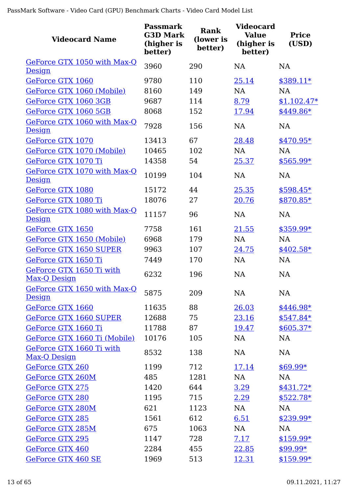| <b>Videocard Name</b>                            | <b>Passmark</b><br><b>G3D Mark</b><br>(higher is<br>better) | Rank<br>(lower is<br>better) | <b>Videocard</b><br><b>Value</b><br>(higher is<br>better) | <b>Price</b><br>(USD) |
|--------------------------------------------------|-------------------------------------------------------------|------------------------------|-----------------------------------------------------------|-----------------------|
| GeForce GTX 1050 with Max-Q<br>Design            | 3960                                                        | 290                          | NA                                                        | NA                    |
| GeForce GTX 1060                                 | 9780                                                        | 110                          | 25.14                                                     | $$389.11*$            |
| GeForce GTX 1060 (Mobile)                        | 8160                                                        | 149                          | <b>NA</b>                                                 | <b>NA</b>             |
| GeForce GTX 1060 3GB                             | 9687                                                        | 114                          | 8.79                                                      | $$1,102.47*$          |
| GeForce GTX 1060 5GB                             | 8068                                                        | 152                          | 17.94                                                     | $$449.86*$            |
| GeForce GTX 1060 with Max-Q<br>Design            | 7928                                                        | 156                          | <b>NA</b>                                                 | <b>NA</b>             |
| GeForce GTX 1070                                 | 13413                                                       | 67                           | 28.48                                                     | $$470.95*$            |
| GeForce GTX 1070 (Mobile)                        | 10465                                                       | 102                          | <b>NA</b>                                                 | NA                    |
| GeForce GTX 1070 Ti                              | 14358                                                       | 54                           | 25.37                                                     | $$565.99*$            |
| GeForce GTX 1070 with Max-Q<br>Design            | 10199                                                       | 104                          | <b>NA</b>                                                 | <b>NA</b>             |
| GeForce GTX 1080                                 | 15172                                                       | 44                           | 25.35                                                     | $$598.45*$            |
| GeForce GTX 1080 Ti                              | 18076                                                       | 27                           | 20.76                                                     | \$870.85*             |
| GeForce GTX 1080 with Max-Q<br><u>Design</u>     | 11157                                                       | 96                           | NA                                                        | NA                    |
| GeForce GTX 1650                                 | 7758                                                        | 161                          | 21.55                                                     | $$359.99*$            |
| GeForce GTX 1650 (Mobile)                        | 6968                                                        | 179                          | <b>NA</b>                                                 | <b>NA</b>             |
| <b>GeForce GTX 1650 SUPER</b>                    | 9963                                                        | 107                          | 24.75                                                     | $$402.58*$            |
| GeForce GTX 1650 Ti                              | 7449                                                        | 170                          | <b>NA</b>                                                 | <b>NA</b>             |
| GeForce GTX 1650 Ti with<br><u>Max-Q Design</u>  | 6232                                                        | 196                          | <b>NA</b>                                                 | <b>NA</b>             |
| GeForce GTX 1650 with Max-Q<br>Design            | 5875                                                        | 209                          | <b>NA</b>                                                 | <b>NA</b>             |
| GeForce GTX 1660                                 | 11635                                                       | 88                           | 26.03                                                     | $$446.98*$            |
| <b>GeForce GTX 1660 SUPER</b>                    | 12688                                                       | 75                           | 23.16                                                     | $$547.84*$            |
| GeForce GTX 1660 Ti                              | 11788                                                       | 87                           | 19.47                                                     | $$605.37*$            |
| GeForce GTX 1660 Ti (Mobile)                     | 10176                                                       | 105                          | <b>NA</b>                                                 | NA                    |
| GeForce GTX 1660 Ti with<br><u> Max-Q Design</u> | 8532                                                        | 138                          | <b>NA</b>                                                 | NA                    |
| GeForce GTX 260                                  | 1199                                                        | 712                          | 17.14                                                     | $$69.99*$             |
| <b>GeForce GTX 260M</b>                          | 485                                                         | 1281                         | <b>NA</b>                                                 | <b>NA</b>             |
| <b>GeForce GTX 275</b>                           | 1420                                                        | 644                          | 3.29                                                      | $$431.72*$            |
| <b>GeForce GTX 280</b>                           | 1195                                                        | 715                          | 2.29                                                      | $$522.78*$            |
| GeForce GTX 280M                                 | 621                                                         | 1123                         | <b>NA</b>                                                 | <b>NA</b>             |
| <b>GeForce GTX 285</b>                           | 1561                                                        | 612                          | 6.51                                                      | \$239.99*             |
| GeForce GTX 285M                                 | 675                                                         | 1063                         | <b>NA</b>                                                 | NA                    |
| <b>GeForce GTX 295</b>                           | 1147                                                        | 728                          | 7.17                                                      | $$159.99*$            |
| GeForce GTX 460                                  | 2284                                                        | 455                          | 22.85                                                     | $$99.99*$             |
| GeForce GTX 460 SE                               | 1969                                                        | 513                          | 12.31                                                     | $$159.99*$            |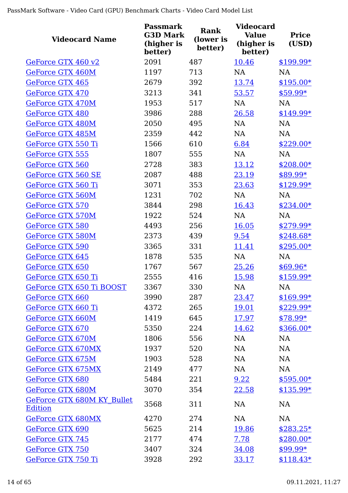| <b>Videocard Name</b>                               | <b>Passmark</b><br><b>G3D Mark</b><br>(higher is<br>better) | Rank<br>(lower is<br>better) | <b>Videocard</b><br><b>Value</b><br>(higher is<br>better) | <b>Price</b><br>(USD) |
|-----------------------------------------------------|-------------------------------------------------------------|------------------------------|-----------------------------------------------------------|-----------------------|
| GeForce GTX 460 v2                                  | 2091                                                        | 487                          | 10.46                                                     | $$199.99*$            |
| GeForce GTX 460M                                    | 1197                                                        | 713                          | <b>NA</b>                                                 | <b>NA</b>             |
| GeForce GTX 465                                     | 2679                                                        | 392                          | 13.74                                                     | $$195.00*$            |
| GeForce GTX 470                                     | 3213                                                        | 341                          | 53.57                                                     | $$59.99*$             |
| GeForce GTX 470M                                    | 1953                                                        | 517                          | <b>NA</b>                                                 | <b>NA</b>             |
| <b>GeForce GTX 480</b>                              | 3986                                                        | 288                          | 26.58                                                     | $$149.99*$            |
| <b>GeForce GTX 480M</b>                             | 2050                                                        | 495                          | <b>NA</b>                                                 | <b>NA</b>             |
| GeForce GTX 485M                                    | 2359                                                        | 442                          | <b>NA</b>                                                 | <b>NA</b>             |
| GeForce GTX 550 Ti                                  | 1566                                                        | 610                          | 6.84                                                      | $$229.00*$            |
| GeForce GTX 555                                     | 1807                                                        | 555                          | NA                                                        | <b>NA</b>             |
| GeForce GTX 560                                     | 2728                                                        | 383                          | 13.12                                                     | $$208.00*$            |
| GeForce GTX 560 SE                                  | 2087                                                        | 488                          | 23.19                                                     | \$89.99*              |
| GeForce GTX 560 Ti                                  | 3071                                                        | 353                          | 23.63                                                     | $$129.99*$            |
| GeForce GTX 560M                                    | 1231                                                        | 702                          | <b>NA</b>                                                 | <b>NA</b>             |
| <b>GeForce GTX 570</b>                              | 3844                                                        | 298                          | 16.43                                                     | $$234.00*$            |
| GeForce GTX 570M                                    | 1922                                                        | 524                          | <b>NA</b>                                                 | <b>NA</b>             |
| <b>GeForce GTX 580</b>                              | 4493                                                        | 256                          | 16.05                                                     | $$279.99*$            |
| <b>GeForce GTX 580M</b>                             | 2373                                                        | 439                          | 9.54                                                      | $$248.68*$            |
| <b>GeForce GTX 590</b>                              | 3365                                                        | 331                          | 11.41                                                     | $$295.00*$            |
| GeForce GTX 645                                     | 1878                                                        | 535                          | NA                                                        | <b>NA</b>             |
| GeForce GTX 650                                     | 1767                                                        | 567                          | 25.26                                                     | $$69.96*$             |
| GeForce GTX 650 Ti                                  | 2555                                                        | 416                          | 15.98                                                     | $$159.99*$            |
| GeForce GTX 650 Ti BOOST                            | 3367                                                        | 330                          | NA                                                        | NA                    |
| GeForce GTX 660                                     | 3990                                                        | 287                          | 23.47                                                     | $$169.99*$            |
| GeForce GTX 660 Ti                                  | 4372                                                        | 265                          | 19.01                                                     | $$229.99*$            |
| GeForce GTX 660M                                    | 1419                                                        | 645                          | <u>17.97</u>                                              | $$78.99*$             |
| GeForce GTX 670                                     | 5350                                                        | 224                          | 14.62                                                     | $$366.00*$            |
| GeForce GTX 670M                                    | 1806                                                        | 556                          | <b>NA</b>                                                 | <b>NA</b>             |
| GeForce GTX 670MX                                   | 1937                                                        | 520                          | <b>NA</b>                                                 | NA                    |
| GeForce GTX 675M                                    | 1903                                                        | 528                          | <b>NA</b>                                                 | NA                    |
| GeForce GTX 675MX                                   | 2149                                                        | 477                          | NA                                                        | <b>NA</b>             |
| GeForce GTX 680                                     | 5484                                                        | 221                          | 9.22                                                      | $$595.00*$            |
| GeForce GTX 680M                                    | 3070                                                        | 354                          | 22.58                                                     | $$135.99*$            |
| <b>GeForce GTX 680M KY Bullet</b><br><b>Edition</b> | 3568                                                        | 311                          | <b>NA</b>                                                 | <b>NA</b>             |
| <b>GeForce GTX 680MX</b>                            | 4270                                                        | 274                          | <b>NA</b>                                                 | <b>NA</b>             |
| GeForce GTX 690                                     | 5625                                                        | 214                          | 19.86                                                     | $$283.25*$            |
| GeForce GTX 745                                     | 2177                                                        | 474                          | 7.78                                                      | $$280.00*$            |
| GeForce GTX 750                                     | 3407                                                        | 324                          | 34.08                                                     | $$99.99*$             |
| GeForce GTX 750 Ti                                  | 3928                                                        | 292                          | 33.17                                                     | $$118.43*$            |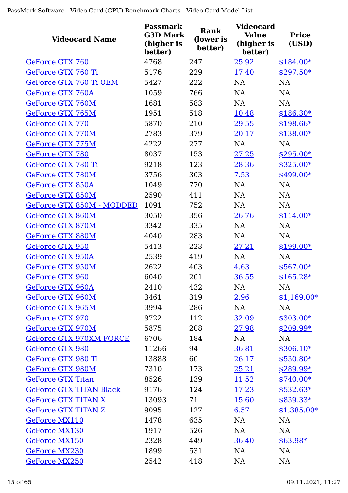| <b>Videocard Name</b>          | Passmark<br><b>G3D Mark</b><br>(higher is<br>better) | <b>Rank</b><br>(lower is<br>better) | <b>Videocard</b><br><b>Value</b><br>(higher is<br>better) | <b>Price</b><br>(USD) |
|--------------------------------|------------------------------------------------------|-------------------------------------|-----------------------------------------------------------|-----------------------|
| GeForce GTX 760                | 4768                                                 | 247                                 | 25.92                                                     | $$184.00*$            |
| GeForce GTX 760 Ti             | 5176                                                 | 229                                 | 17.40                                                     | $$297.50*$            |
| GeForce GTX 760 Ti OEM         | 5427                                                 | 222                                 | <b>NA</b>                                                 | <b>NA</b>             |
| <b>GeForce GTX 760A</b>        | 1059                                                 | 766                                 | <b>NA</b>                                                 | <b>NA</b>             |
| <b>GeForce GTX 760M</b>        | 1681                                                 | 583                                 | <b>NA</b>                                                 | <b>NA</b>             |
| GeForce GTX 765M               | 1951                                                 | 518                                 | 10.48                                                     | $$186.30*$            |
| <b>GeForce GTX 770</b>         | 5870                                                 | 210                                 | 29.55                                                     | $$198.66*$            |
| GeForce GTX 770M               | 2783                                                 | 379                                 | 20.17                                                     | $$138.00*$            |
| GeForce GTX 775M               | 4222                                                 | 277                                 | <b>NA</b>                                                 | <b>NA</b>             |
| <b>GeForce GTX 780</b>         | 8037                                                 | 153                                 | 27.25                                                     | $$295.00*$            |
| GeForce GTX 780 Ti             | 9218                                                 | 123                                 | 28.36                                                     | $$325.00*$            |
| <b>GeForce GTX 780M</b>        | 3756                                                 | 303                                 | 7.53                                                      | \$499.00*             |
| <b>GeForce GTX 850A</b>        | 1049                                                 | 770                                 | <b>NA</b>                                                 | <b>NA</b>             |
| <b>GeForce GTX 850M</b>        | 2590                                                 | 411                                 | <b>NA</b>                                                 | <b>NA</b>             |
| GeForce GTX 850M - MODDED      | 1091                                                 | 752                                 | <b>NA</b>                                                 | <b>NA</b>             |
| GeForce GTX 860M               | 3050                                                 | 356                                 | 26.76                                                     | $$114.00*$            |
| GeForce GTX 870M               | 3342                                                 | 335                                 | <b>NA</b>                                                 | NA                    |
| GeForce GTX 880M               | 4040                                                 | 283                                 | <b>NA</b>                                                 | <b>NA</b>             |
| <b>GeForce GTX 950</b>         | 5413                                                 | 223                                 | 27.21                                                     | $$199.00*$            |
| <b>GeForce GTX 950A</b>        | 2539                                                 | 419                                 | <b>NA</b>                                                 | <b>NA</b>             |
| GeForce GTX 950M               | 2622                                                 | 403                                 | 4.63                                                      | $$567.00*$            |
| GeForce GTX 960                | 6040                                                 | 201                                 | 36.55                                                     | $$165.28*$            |
| GeForce GTX 960A               | 2410                                                 | 432                                 | NA                                                        | NA                    |
| GeForce GTX 960M               | 3461                                                 | 319                                 | 2.96                                                      | $$1,169.00*$          |
| GeForce GTX 965M               | 3994                                                 | 286                                 | NA                                                        | NA                    |
| GeForce GTX 970                | 9722                                                 | 112                                 | 32.09                                                     | $$303.00*$            |
| GeForce GTX 970M               | 5875                                                 | 208                                 | 27.98                                                     | $$209.99*$            |
| <b>GeForce GTX 970XM FORCE</b> | 6706                                                 | 184                                 | NA                                                        | NA                    |
| GeForce GTX 980                | 11266                                                | 94                                  | 36.81                                                     | $$306.10*$            |
| GeForce GTX 980 Ti             | 13888                                                | 60                                  | 26.17                                                     | $$530.80*$            |
| GeForce GTX 980M               | 7310                                                 | 173                                 | 25.21                                                     | $$289.99*$            |
| <b>GeForce GTX Titan</b>       | 8526                                                 | 139                                 | <u>11.52</u>                                              | $$740.00*$            |
| <b>GeForce GTX TITAN Black</b> | 9176                                                 | 124                                 | 17.23                                                     | $$532.63*$            |
| <b>GeForce GTX TITAN X</b>     | 13093                                                | 71                                  | 15.60                                                     | $$839.33*$            |
| <b>GeForce GTX TITAN Z</b>     | 9095                                                 | 127                                 | 6.57                                                      | $$1,385.00*$          |
| GeForce MX110                  | 1478                                                 | 635                                 | NA                                                        | <b>NA</b>             |
| GeForce MX130                  | 1917                                                 | 526                                 | NA                                                        | NA                    |
| GeForce MX150                  | 2328                                                 | 449                                 | 36.40                                                     | $$63.98*$             |
| <b>GeForce MX230</b>           | 1899                                                 | 531                                 | NA                                                        | NA                    |
| <b>GeForce MX250</b>           | 2542                                                 | 418                                 | NA                                                        | <b>NA</b>             |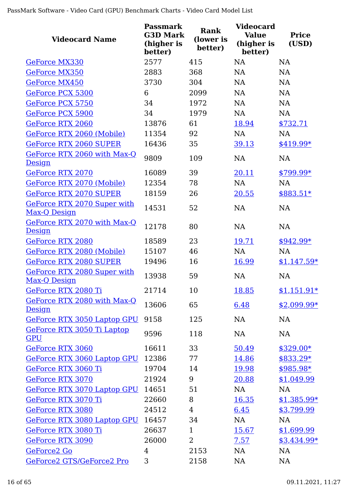| <b>Videocard Name</b>                        | <b>Passmark</b><br><b>G3D Mark</b><br>(higher is<br>better) | Rank<br>(lower is<br>better) | <b>Videocard</b><br><b>Value</b><br>(higher is<br>better) | <b>Price</b><br>(USD) |
|----------------------------------------------|-------------------------------------------------------------|------------------------------|-----------------------------------------------------------|-----------------------|
| GeForce MX330                                | 2577                                                        | 415                          | NA                                                        | <b>NA</b>             |
| GeForce MX350                                | 2883                                                        | 368                          | <b>NA</b>                                                 | <b>NA</b>             |
| GeForce MX450                                | 3730                                                        | 304                          | <b>NA</b>                                                 | <b>NA</b>             |
| GeForce PCX 5300                             | 6                                                           | 2099                         | <b>NA</b>                                                 | <b>NA</b>             |
| GeForce PCX 5750                             | 34                                                          | 1972                         | <b>NA</b>                                                 | <b>NA</b>             |
| GeForce PCX 5900                             | 34                                                          | 1979                         | <b>NA</b>                                                 | NA                    |
| <b>GeForce RTX 2060</b>                      | 13876                                                       | 61                           | 18.94                                                     | \$732.71              |
| GeForce RTX 2060 (Mobile)                    | 11354                                                       | 92                           | <b>NA</b>                                                 | <b>NA</b>             |
| <b>GeForce RTX 2060 SUPER</b>                | 16436                                                       | 35                           | 39.13                                                     | $$419.99*$            |
| GeForce RTX 2060 with Max-Q<br><b>Design</b> | 9809                                                        | 109                          | NA                                                        | <b>NA</b>             |
| GeForce RTX 2070                             | 16089                                                       | 39                           | 20.11                                                     | $$799.99*$            |
| GeForce RTX 2070 (Mobile)                    | 12354                                                       | 78                           | <b>NA</b>                                                 | <b>NA</b>             |
| <b>GeForce RTX 2070 SUPER</b>                | 18159                                                       | 26                           | 20.55                                                     | $$883.51*$            |
| GeForce RTX 2070 Super with<br>Max-Q Design  | 14531                                                       | 52                           | <b>NA</b>                                                 | <b>NA</b>             |
| GeForce RTX 2070 with Max-Q<br>Design        | 12178                                                       | 80                           | NA                                                        | <b>NA</b>             |
| <b>GeForce RTX 2080</b>                      | 18589                                                       | 23                           | 19.71                                                     | $$942.99*$            |
| GeForce RTX 2080 (Mobile)                    | 15107                                                       | 46                           | <b>NA</b>                                                 | <b>NA</b>             |
| <b>GeForce RTX 2080 SUPER</b>                | 19496                                                       | 16                           | 16.99                                                     | $$1,147.59*$          |
| GeForce RTX 2080 Super with<br>Max-Q Design  | 13938                                                       | 59                           | <b>NA</b>                                                 | <b>NA</b>             |
| GeForce RTX 2080 Ti                          | 21714                                                       | 10                           | 18.85                                                     | $$1,151.91*$          |
| GeForce RTX 2080 with Max-Q<br><b>Design</b> | 13606                                                       | 65                           | 6.48                                                      | $$2,099.99*$          |
| GeForce RTX 3050 Laptop GPU                  | 9158                                                        | 125                          | <b>NA</b>                                                 | <b>NA</b>             |
| GeForce RTX 3050 Ti Laptop<br><b>GPU</b>     | 9596                                                        | 118                          | <b>NA</b>                                                 | NA                    |
| GeForce RTX 3060                             | 16611                                                       | 33                           | 50.49                                                     | \$329.00*             |
| GeForce RTX 3060 Laptop GPU                  | 12386                                                       | 77                           | 14.86                                                     | $$833.29*$            |
| GeForce RTX 3060 Ti                          | 19704                                                       | 14                           | 19.98                                                     | $$985.98*$            |
| <b>GeForce RTX 3070</b>                      | 21924                                                       | 9                            | 20.88                                                     | \$1,049.99            |
| GeForce RTX 3070 Laptop GPU                  | 14651                                                       | 51                           | NA                                                        | NA                    |
| GeForce RTX 3070 Ti                          | 22660                                                       | 8                            | <u>16.35</u>                                              | $$1,385.99*$          |
| GeForce RTX 3080                             | 24512                                                       | $\overline{4}$               | 6.45                                                      | \$3,799.99            |
| GeForce RTX 3080 Laptop GPU                  | 16457                                                       | 34                           | <b>NA</b>                                                 | NA                    |
| GeForce RTX 3080 Ti                          | 26637                                                       | $\mathbf{1}$                 | 15.67                                                     | \$1,699.99            |
| <b>GeForce RTX 3090</b>                      | 26000                                                       | $\overline{2}$               | 7.57                                                      | $$3,434.99*$          |
| GeForce2 Go                                  | 4                                                           | 2153                         | <b>NA</b>                                                 | <b>NA</b>             |
| GeForce2 GTS/GeForce2 Pro                    | 3                                                           | 2158                         | NA                                                        | <b>NA</b>             |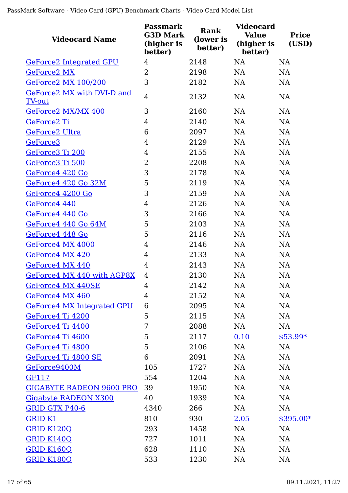| <b>Videocard Name</b>                       | <b>Passmark</b><br><b>G3D Mark</b><br>(higher is<br>better) | Rank<br>(lower is<br>better) | <b>Videocard</b><br><b>Value</b><br>(higher is<br>better) | <b>Price</b><br>(USD) |
|---------------------------------------------|-------------------------------------------------------------|------------------------------|-----------------------------------------------------------|-----------------------|
| <b>GeForce2 Integrated GPU</b>              | 4                                                           | 2148                         | <b>NA</b>                                                 | <b>NA</b>             |
| <b>GeForce2 MX</b>                          | $\overline{2}$                                              | 2198                         | <b>NA</b>                                                 | <b>NA</b>             |
| <b>GeForce2 MX 100/200</b>                  | 3                                                           | 2182                         | <b>NA</b>                                                 | <b>NA</b>             |
| GeForce2 MX with DVI-D and<br><b>TV-out</b> | $\overline{4}$                                              | 2132                         | <b>NA</b>                                                 | <b>NA</b>             |
| GeForce2 MX/MX 400                          | 3                                                           | 2160                         | <b>NA</b>                                                 | <b>NA</b>             |
| GeForce2 Ti                                 | 4                                                           | 2140                         | <b>NA</b>                                                 | <b>NA</b>             |
| GeForce2 Ultra                              | 6                                                           | 2097                         | <b>NA</b>                                                 | <b>NA</b>             |
| GeForce <sub>3</sub>                        | 4                                                           | 2129                         | <b>NA</b>                                                 | <b>NA</b>             |
| GeForce3 Ti 200                             | $\overline{4}$                                              | 2155                         | <b>NA</b>                                                 | <b>NA</b>             |
| GeForce3 Ti 500                             | $\overline{2}$                                              | 2208                         | <b>NA</b>                                                 | <b>NA</b>             |
| GeForce4 420 Go                             | 3                                                           | 2178                         | <b>NA</b>                                                 | <b>NA</b>             |
| GeForce4 420 Go 32M                         | 5                                                           | 2119                         | <b>NA</b>                                                 | <b>NA</b>             |
| GeForce4 4200 Go                            | 3                                                           | 2159                         | <b>NA</b>                                                 | <b>NA</b>             |
| GeForce4 440                                | 4                                                           | 2126                         | <b>NA</b>                                                 | <b>NA</b>             |
| GeForce4 440 Go                             | 3                                                           | 2166                         | <b>NA</b>                                                 | <b>NA</b>             |
| GeForce4 440 Go 64M                         | 5                                                           | 2103                         | <b>NA</b>                                                 | <b>NA</b>             |
| GeForce4 448 Go                             | 5                                                           | 2116                         | <b>NA</b>                                                 | <b>NA</b>             |
| GeForce4 MX 4000                            | 4                                                           | 2146                         | <b>NA</b>                                                 | <b>NA</b>             |
| GeForce4 MX 420                             | 4                                                           | 2133                         | <b>NA</b>                                                 | <b>NA</b>             |
| GeForce4 MX 440                             | 4                                                           | 2143                         | <b>NA</b>                                                 | <b>NA</b>             |
| GeForce4 MX 440 with AGP8X                  | 4                                                           | 2130                         | <b>NA</b>                                                 | <b>NA</b>             |
| GeForce4 MX 440SE                           | 4                                                           | 2142                         | NA                                                        | NA                    |
| GeForce4 MX 460                             | 4                                                           | 2152                         | NA                                                        | <b>NA</b>             |
| <b>GeForce4 MX Integrated GPU</b>           | 6                                                           | 2095                         | <b>NA</b>                                                 | <b>NA</b>             |
| GeForce4 Ti 4200                            | 5                                                           | 2115                         | NA                                                        | <b>NA</b>             |
| GeForce4 Ti 4400                            | 7                                                           | 2088                         | NA                                                        | <b>NA</b>             |
| GeForce4 Ti 4600                            | 5                                                           | 2117                         | 0.10                                                      | $$53.99*$             |
| GeForce4 Ti 4800                            | 5                                                           | 2106                         | <b>NA</b>                                                 | <b>NA</b>             |
| GeForce4 Ti 4800 SE                         | 6                                                           | 2091                         | <b>NA</b>                                                 | <b>NA</b>             |
| GeForce9400M                                | 105                                                         | 1727                         | <b>NA</b>                                                 | <b>NA</b>             |
| GF117                                       | 554                                                         | 1204                         | <b>NA</b>                                                 | <b>NA</b>             |
| <b>GIGABYTE RADEON 9600 PRO</b>             | 39                                                          | 1950                         | <b>NA</b>                                                 | <b>NA</b>             |
| <b>Gigabyte RADEON X300</b>                 | 40                                                          | 1939                         | <b>NA</b>                                                 | <b>NA</b>             |
| GRID GTX P40-6                              | 4340                                                        | 266                          | NA                                                        | NA                    |
| <b>GRID K1</b>                              | 810                                                         | 930                          | 2.05                                                      | $$395.00*$            |
| <b>GRID K120Q</b>                           | 293                                                         | 1458                         | <b>NA</b>                                                 | <b>NA</b>             |
| GRID K140Q                                  | 727                                                         | 1011                         | <b>NA</b>                                                 | NA                    |
| <b>GRID K160Q</b>                           | 628                                                         | 1110                         | <b>NA</b>                                                 | <b>NA</b>             |
| <b>GRID K180Q</b>                           | 533                                                         | 1230                         | <b>NA</b>                                                 | NA                    |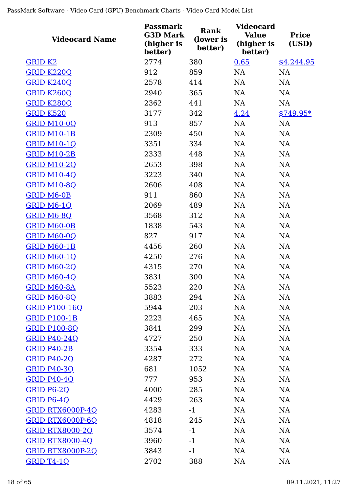| <b>Videocard Name</b>   | <b>Passmark</b><br><b>G3D Mark</b><br>(higher is<br>better) | <b>Rank</b><br>(lower is<br>better) | <b>Videocard</b><br><b>Value</b><br>(higher is<br>better) | <b>Price</b><br>(USD) |
|-------------------------|-------------------------------------------------------------|-------------------------------------|-----------------------------------------------------------|-----------------------|
| <b>GRID K2</b>          | 2774                                                        | 380                                 | 0.65                                                      | \$4,244.95            |
| <b>GRID K220Q</b>       | 912                                                         | 859                                 | NA                                                        | <b>NA</b>             |
| <b>GRID K240Q</b>       | 2578                                                        | 414                                 | <b>NA</b>                                                 | NA                    |
| <b>GRID K260Q</b>       | 2940                                                        | 365                                 | NA                                                        | NA                    |
| <b>GRID K280Q</b>       | 2362                                                        | 441                                 | NA                                                        | <b>NA</b>             |
| <b>GRID K520</b>        | 3177                                                        | 342                                 | 4.24                                                      | $$749.95*$            |
| <b>GRID M10-0Q</b>      | 913                                                         | 857                                 | NA                                                        | <b>NA</b>             |
| <b>GRID M10-1B</b>      | 2309                                                        | 450                                 | <b>NA</b>                                                 | <b>NA</b>             |
| <b>GRID M10-1Q</b>      | 3351                                                        | 334                                 | <b>NA</b>                                                 | <b>NA</b>             |
| <b>GRID M10-2B</b>      | 2333                                                        | 448                                 | <b>NA</b>                                                 | <b>NA</b>             |
| <b>GRID M10-2Q</b>      | 2653                                                        | 398                                 | <b>NA</b>                                                 | <b>NA</b>             |
| <b>GRID M10-4Q</b>      | 3223                                                        | 340                                 | <b>NA</b>                                                 | <b>NA</b>             |
| <b>GRID M10-8Q</b>      | 2606                                                        | 408                                 | <b>NA</b>                                                 | <b>NA</b>             |
| <b>GRID M6-0B</b>       | 911                                                         | 860                                 | <b>NA</b>                                                 | <b>NA</b>             |
| GRID M6-1Q              | 2069                                                        | 489                                 | NA                                                        | <b>NA</b>             |
| <b>GRID M6-8Q</b>       | 3568                                                        | 312                                 | NA                                                        | <b>NA</b>             |
| <b>GRID M60-0B</b>      | 1838                                                        | 543                                 | <b>NA</b>                                                 | NA                    |
| <b>GRID M60-0Q</b>      | 827                                                         | 917                                 | <b>NA</b>                                                 | <b>NA</b>             |
| <b>GRID M60-1B</b>      | 4456                                                        | 260                                 | <b>NA</b>                                                 | <b>NA</b>             |
| <b>GRID M60-1Q</b>      | 4250                                                        | 276                                 | <b>NA</b>                                                 | <b>NA</b>             |
| <b>GRID M60-2Q</b>      | 4315                                                        | 270                                 | <b>NA</b>                                                 | <b>NA</b>             |
| <b>GRID M60-4Q</b>      | 3831                                                        | 300                                 | NA                                                        | NA                    |
| GRID M60-8A             | 5523                                                        | 220                                 | NA                                                        | NA                    |
| <b>GRID M60-8Q</b>      | 3883                                                        | 294                                 | <b>NA</b>                                                 | <b>NA</b>             |
| <b>GRID P100-16O</b>    | 5944                                                        | 203                                 | <b>NA</b>                                                 | <b>NA</b>             |
| <b>GRID P100-1B</b>     | 2223                                                        | 465                                 | NA                                                        | <b>NA</b>             |
| <b>GRID P100-8Q</b>     | 3841                                                        | 299                                 | NA                                                        | <b>NA</b>             |
| <b>GRID P40-240</b>     | 4727                                                        | 250                                 | NA                                                        | <b>NA</b>             |
| <b>GRID P40-2B</b>      | 3354                                                        | 333                                 | NA                                                        | <b>NA</b>             |
| <b>GRID P40-2Q</b>      | 4287                                                        | 272                                 | NA                                                        | <b>NA</b>             |
| <b>GRID P40-30</b>      | 681                                                         | 1052                                | NA                                                        | <b>NA</b>             |
| <b>GRID P40-4Q</b>      | 777                                                         | 953                                 | NA                                                        | <b>NA</b>             |
| GRID P6-2Q              | 4000                                                        | 285                                 | <b>NA</b>                                                 | <b>NA</b>             |
| <b>GRID P6-4Q</b>       | 4429                                                        | 263                                 | <b>NA</b>                                                 | <b>NA</b>             |
| <b>GRID RTX6000P-4Q</b> | 4283                                                        | $-1$                                | <b>NA</b>                                                 | <b>NA</b>             |
| <b>GRID RTX6000P-6Q</b> | 4818                                                        | 245                                 | <b>NA</b>                                                 | <b>NA</b>             |
| <b>GRID RTX8000-2Q</b>  | 3574                                                        | $-1$                                | <b>NA</b>                                                 | <b>NA</b>             |
| <b>GRID RTX8000-4Q</b>  | 3960                                                        | $-1$                                | <b>NA</b>                                                 | <b>NA</b>             |
| <b>GRID RTX8000P-2Q</b> | 3843                                                        | $-1$                                | <b>NA</b>                                                 | <b>NA</b>             |
| <b>GRID T4-10</b>       | 2702                                                        | 388                                 | NA                                                        | <b>NA</b>             |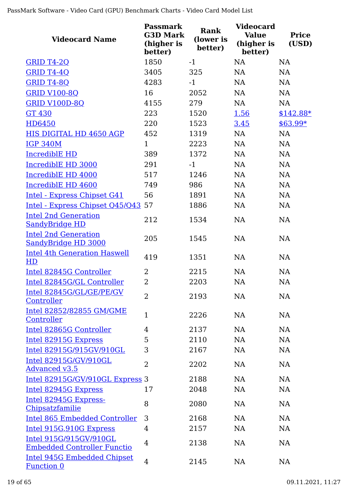| <b>Videocard Name</b>                                        | <b>Passmark</b><br><b>G3D Mark</b><br>(higher is<br>better) | Rank<br>(lower is<br>better) | <b>Videocard</b><br><b>Value</b><br>(higher is<br>better) | <b>Price</b><br>(USD) |
|--------------------------------------------------------------|-------------------------------------------------------------|------------------------------|-----------------------------------------------------------|-----------------------|
| <b>GRID T4-2Q</b>                                            | 1850                                                        | $-1$                         | <b>NA</b>                                                 | <b>NA</b>             |
| GRID T4-4Q                                                   | 3405                                                        | 325                          | NA                                                        | <b>NA</b>             |
| <b>GRID T4-8Q</b>                                            | 4283                                                        | $-1$                         | <b>NA</b>                                                 | <b>NA</b>             |
| <b>GRID V100-8Q</b>                                          | 16                                                          | 2052                         | NA                                                        | <b>NA</b>             |
| <b>GRID V100D-8Q</b>                                         | 4155                                                        | 279                          | NA                                                        | <b>NA</b>             |
| <b>GT 430</b>                                                | 223                                                         | 1520                         | 1.56                                                      | $$142.88*$            |
| HD6450                                                       | 220                                                         | 1523                         | 3.45                                                      | $$63.99*$             |
| HIS DIGITAL HD 4650 AGP                                      | 452                                                         | 1319                         | <b>NA</b>                                                 | NA                    |
| <b>IGP 340M</b>                                              | $\mathbf{1}$                                                | 2223                         | <b>NA</b>                                                 | NA                    |
| <b>IncrediblE HD</b>                                         | 389                                                         | 1372                         | <b>NA</b>                                                 | <b>NA</b>             |
| IncrediblE HD 3000                                           | 291                                                         | $-1$                         | <b>NA</b>                                                 | <b>NA</b>             |
| IncrediblE HD 4000                                           | 517                                                         | 1246                         | <b>NA</b>                                                 | <b>NA</b>             |
| IncrediblE HD 4600                                           | 749                                                         | 986                          | NA                                                        | <b>NA</b>             |
| Intel - Express Chipset G41                                  | 56                                                          | 1891                         | <b>NA</b>                                                 | <b>NA</b>             |
| Intel - Express Chipset Q45/Q43 57                           |                                                             | 1886                         | <b>NA</b>                                                 | <b>NA</b>             |
| <b>Intel 2nd Generation</b><br><b>SandyBridge HD</b>         | 212                                                         | 1534                         | <b>NA</b>                                                 | <b>NA</b>             |
| <b>Intel 2nd Generation</b><br><b>SandyBridge HD 3000</b>    | 205                                                         | 1545                         | <b>NA</b>                                                 | <b>NA</b>             |
| <b>Intel 4th Generation Haswell</b><br>HD                    | 419                                                         | 1351                         | <b>NA</b>                                                 | <b>NA</b>             |
| Intel 82845G Controller                                      | $\overline{2}$                                              | 2215                         | NA                                                        | <b>NA</b>             |
| Intel 82845G/GL Controller                                   | $\overline{2}$                                              | 2203                         | <b>NA</b>                                                 | <b>NA</b>             |
| Intel 82845G/GL/GE/PE/GV<br>Controller                       | $\overline{2}$                                              | 2193                         | <b>NA</b>                                                 | <b>NA</b>             |
| Intel 82852/82855 GM/GME<br>Controller                       | $\mathbf{1}$                                                | 2226                         | <b>NA</b>                                                 | <b>NA</b>             |
| Intel 82865G Controller                                      | 4                                                           | 2137                         | <b>NA</b>                                                 | <b>NA</b>             |
| Intel 82915G Express                                         | 5                                                           | 2110                         | NA                                                        | <b>NA</b>             |
| Intel 82915G/915GV/910GL                                     | 3                                                           | 2167                         | <b>NA</b>                                                 | <b>NA</b>             |
| Intel 82915G/GV/910GL<br>Advanced v3.5                       | $\overline{2}$                                              | 2202                         | <b>NA</b>                                                 | <b>NA</b>             |
| Intel 82915G/GV/910GL Express 3                              |                                                             | 2188                         | <b>NA</b>                                                 | <b>NA</b>             |
| Intel 82945G Express                                         | 17                                                          | 2048                         | <b>NA</b>                                                 | <b>NA</b>             |
| Intel 82945G Express-<br>Chipsatzfamilie                     | 8                                                           | 2080                         | <b>NA</b>                                                 | <b>NA</b>             |
| <b>Intel 865 Embedded Controller</b>                         | 3                                                           | 2168                         | <b>NA</b>                                                 | <b>NA</b>             |
| Intel 915G, 910G Express                                     | 4                                                           | 2157                         | <b>NA</b>                                                 | <b>NA</b>             |
| Intel 915G/915GV/910GL<br><b>Embedded Controller Functio</b> | 4                                                           | 2138                         | <b>NA</b>                                                 | <b>NA</b>             |
| <b>Intel 945G Embedded Chipset</b><br><b>Function 0</b>      | 4                                                           | 2145                         | NA                                                        | NA                    |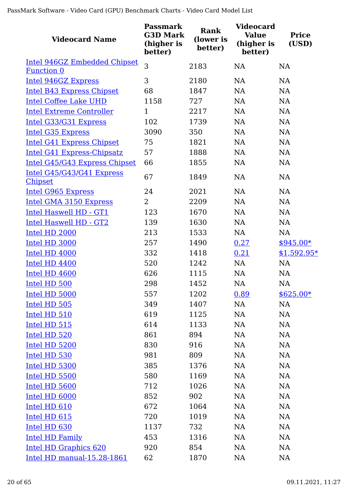| <b>Videocard Name</b>                                            | Passmark<br><b>G3D Mark</b><br>(higher is<br>better) | <b>Rank</b><br>(lower is<br>better) | <b>Videocard</b><br><b>Value</b><br>(higher is<br>better) | <b>Price</b><br>(USD) |
|------------------------------------------------------------------|------------------------------------------------------|-------------------------------------|-----------------------------------------------------------|-----------------------|
| <b>Intel 946GZ Embedded Chipset</b>                              | 3                                                    | 2183                                | <b>NA</b>                                                 | <b>NA</b>             |
| <b>Function 0</b>                                                | 3                                                    | 2180                                | <b>NA</b>                                                 | <b>NA</b>             |
| <b>Intel 946GZ Express</b>                                       | 68                                                   | 1847                                | <b>NA</b>                                                 | NA                    |
| <b>Intel B43 Express Chipset</b><br><b>Intel Coffee Lake UHD</b> | 1158                                                 | 727                                 | NA                                                        | NA                    |
| <b>Intel Extreme Controller</b>                                  | $\mathbf{1}$                                         | 2217                                | NA                                                        | NA                    |
| Intel G33/G31 Express                                            | 102                                                  | 1739                                | <b>NA</b>                                                 | NA                    |
| <b>Intel G35 Express</b>                                         | 3090                                                 | 350                                 | <b>NA</b>                                                 | <b>NA</b>             |
| Intel G41 Express Chipset                                        | 75                                                   | 1821                                | <b>NA</b>                                                 | <b>NA</b>             |
| Intel G41 Express-Chipsatz                                       | 57                                                   | 1888                                | <b>NA</b>                                                 | <b>NA</b>             |
| Intel G45/G43 Express Chipset                                    | 66                                                   | 1855                                | <b>NA</b>                                                 | <b>NA</b>             |
| Intel G45/G43/G41 Express                                        |                                                      |                                     |                                                           |                       |
| <b>Chipset</b>                                                   | 67                                                   | 1849                                | <b>NA</b>                                                 | <b>NA</b>             |
| <b>Intel G965 Express</b>                                        | 24                                                   | 2021                                | <b>NA</b>                                                 | NA                    |
| Intel GMA 3150 Express                                           | 2                                                    | 2209                                | <b>NA</b>                                                 | <b>NA</b>             |
| <b>Intel Haswell HD - GT1</b>                                    | 123                                                  | 1670                                | <b>NA</b>                                                 | <b>NA</b>             |
| <b>Intel Haswell HD - GT2</b>                                    | 139                                                  | 1630                                | <b>NA</b>                                                 | NA                    |
| Intel HD 2000                                                    | 213                                                  | 1533                                | NA                                                        | <b>NA</b>             |
| Intel HD 3000                                                    | 257                                                  | 1490                                | 0.27                                                      | $$945.00*$            |
| Intel HD 4000                                                    | 332                                                  | 1418                                | 0.21                                                      | $$1,592.95*$          |
| Intel HD 4400                                                    | 520                                                  | 1242                                | NA                                                        | <b>NA</b>             |
| Intel HD 4600                                                    | 626                                                  | 1115                                | <b>NA</b>                                                 | <b>NA</b>             |
| Intel HD 500                                                     | 298                                                  | 1452                                | <b>NA</b>                                                 | <b>NA</b>             |
| Intel HD 5000                                                    | 557                                                  | 1202                                | 0.89                                                      | $$625.00*$            |
| Intel HD 505                                                     | 349                                                  | 1407                                | NA                                                        | <b>NA</b>             |
| Intel HD 510                                                     | 619                                                  | 1125                                | <b>NA</b>                                                 | <b>NA</b>             |
| Intel HD 515                                                     | 614                                                  | 1133                                | <b>NA</b>                                                 | <b>NA</b>             |
| Intel HD 520                                                     | 861                                                  | 894                                 | <b>NA</b>                                                 | <b>NA</b>             |
| Intel HD 5200                                                    | 830                                                  | 916                                 | NA                                                        | <b>NA</b>             |
| Intel HD 530                                                     | 981                                                  | 809                                 | <b>NA</b>                                                 | <b>NA</b>             |
| Intel HD 5300                                                    | 385                                                  | 1376                                | NA                                                        | <b>NA</b>             |
| Intel HD 5500                                                    | 580                                                  | 1169                                | <b>NA</b>                                                 | <b>NA</b>             |
| Intel HD 5600                                                    | 712                                                  | 1026                                | NA                                                        | <b>NA</b>             |
| Intel HD 6000                                                    | 852                                                  | 902                                 | NA                                                        | <b>NA</b>             |
| Intel HD 610                                                     | 672                                                  | 1064                                | NA                                                        | <b>NA</b>             |
| Intel HD 615                                                     | 720                                                  | 1019                                | NA                                                        | <b>NA</b>             |
| Intel HD 630                                                     | 1137                                                 | 732                                 | NA                                                        | <b>NA</b>             |
| <b>Intel HD Family</b>                                           | 453                                                  | 1316                                | <b>NA</b>                                                 | <b>NA</b>             |
| Intel HD Graphics 620                                            | 920                                                  | 854                                 | <b>NA</b>                                                 | <b>NA</b>             |
| Intel HD manual-15.28-1861                                       | 62                                                   | 1870                                | NA                                                        | <b>NA</b>             |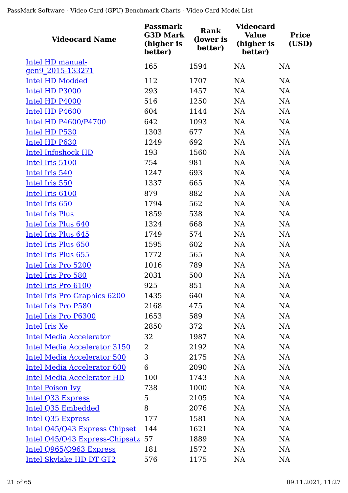| <b>Videocard Name</b>                 | <b>Passmark</b><br><b>G3D Mark</b><br>(higher is<br>better) | <b>Rank</b><br>(lower is<br>better) | <b>Videocard</b><br><b>Value</b><br>(higher is<br>better) | <b>Price</b><br>(USD) |
|---------------------------------------|-------------------------------------------------------------|-------------------------------------|-----------------------------------------------------------|-----------------------|
| Intel HD manual-                      | 165                                                         | 1594                                | <b>NA</b>                                                 | NA                    |
| gen9 2015-133271                      |                                                             |                                     |                                                           |                       |
| <b>Intel HD Modded</b>                | 112                                                         | 1707                                | NA                                                        | <b>NA</b>             |
| Intel HD P3000                        | 293                                                         | 1457                                | NA                                                        | <b>NA</b>             |
| Intel HD P4000                        | 516                                                         | 1250                                | NA                                                        | <b>NA</b>             |
| Intel HD P4600                        | 604                                                         | 1144                                | NA                                                        | <b>NA</b>             |
| Intel HD P4600/P4700                  | 642                                                         | 1093                                | NA                                                        | NA                    |
| Intel HD P530                         | 1303                                                        | 677                                 | NA                                                        | <b>NA</b>             |
| Intel HD P630                         | 1249                                                        | 692                                 | NA                                                        | <b>NA</b>             |
| <b>Intel Infoshock HD</b>             | 193                                                         | 1560                                | <b>NA</b>                                                 | NA                    |
| Intel Iris 5100                       | 754                                                         | 981                                 | NA                                                        | NA                    |
| Intel Iris 540                        | 1247                                                        | 693                                 | <b>NA</b>                                                 | <b>NA</b>             |
| Intel Iris 550                        | 1337                                                        | 665                                 | NA                                                        | NA                    |
| Intel Iris 6100                       | 879                                                         | 882                                 | <b>NA</b>                                                 | <b>NA</b>             |
| Intel Iris 650                        | 1794                                                        | 562                                 | NA                                                        | <b>NA</b>             |
| <b>Intel Iris Plus</b>                | 1859                                                        | 538                                 | NA                                                        | NA                    |
| Intel Iris Plus 640                   | 1324                                                        | 668                                 | NA                                                        | NA                    |
| Intel Iris Plus 645                   | 1749                                                        | 574                                 | NA                                                        | <b>NA</b>             |
| <b>Intel Iris Plus 650</b>            | 1595                                                        | 602                                 | NA                                                        | <b>NA</b>             |
| Intel Iris Plus 655                   | 1772                                                        | 565                                 | NA                                                        | NA                    |
| Intel Iris Pro 5200                   | 1016                                                        | 789                                 | NA                                                        | <b>NA</b>             |
| Intel Iris Pro 580                    | 2031                                                        | 500                                 | <b>NA</b>                                                 | NA                    |
| Intel Iris Pro 6100                   | 925                                                         | 851                                 | <b>NA</b>                                                 | NA                    |
| Intel Iris Pro Graphics 6200          | 1435                                                        | 640                                 | <b>NA</b>                                                 | <b>NA</b>             |
| Intel Iris Pro P580                   | 2168                                                        | 475                                 | NA                                                        | NA                    |
| Intel Iris Pro P6300                  | 1653                                                        | 589                                 | NA                                                        | <b>NA</b>             |
| Intel Iris Xe                         | 2850                                                        | 372                                 | NA                                                        | <b>NA</b>             |
| <b>Intel Media Accelerator</b>        | 32                                                          | 1987                                | NA                                                        | <b>NA</b>             |
| <b>Intel Media Accelerator 3150</b>   | 2                                                           | 2192                                | NA                                                        | <b>NA</b>             |
| <b>Intel Media Accelerator 500</b>    | 3                                                           | 2175                                | NA                                                        | NA                    |
| <b>Intel Media Accelerator 600</b>    | 6                                                           | 2090                                | NA                                                        | <b>NA</b>             |
| <b>Intel Media Accelerator HD</b>     | 100                                                         | 1743                                | NA                                                        | NA                    |
| <b>Intel Poison Ivy</b>               | 738                                                         | 1000                                | NA                                                        | <b>NA</b>             |
| <b>Intel Q33 Express</b>              | 5                                                           | 2105                                | NA                                                        | NA                    |
| <b>Intel Q35 Embedded</b>             | 8                                                           | 2076                                | NA                                                        | NA                    |
| Intel Q35 Express                     | 177                                                         | 1581                                | <b>NA</b>                                                 | NA                    |
| Intel Q45/Q43 Express Chipset         | 144                                                         | 1621                                | NA                                                        | NA                    |
| <u>Intel Q45/Q43 Express-Chipsatz</u> | 57                                                          | 1889                                | NA                                                        | <b>NA</b>             |
| Intel Q965/Q963 Express               | 181                                                         | 1572                                | NA                                                        | <b>NA</b>             |
| Intel Skylake HD DT GT2               | 576                                                         | 1175                                | <b>NA</b>                                                 | <b>NA</b>             |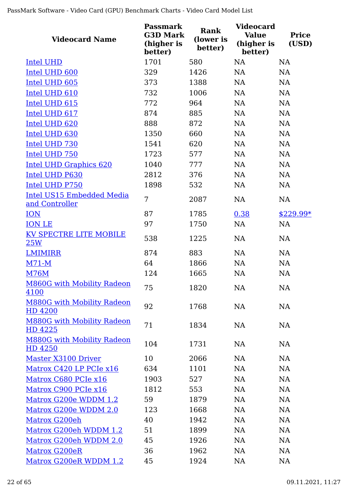| <b>Videocard Name</b>                        | <b>Passmark</b><br><b>G3D Mark</b><br>(higher is<br>better) | Rank<br>(lower is<br>better) | <b>Videocard</b><br><b>Value</b><br>(higher is<br>better) | <b>Price</b><br>(USD) |
|----------------------------------------------|-------------------------------------------------------------|------------------------------|-----------------------------------------------------------|-----------------------|
| <b>Intel UHD</b>                             | 1701                                                        | 580                          | NA                                                        | <b>NA</b>             |
| Intel UHD 600                                | 329                                                         | 1426                         | NA                                                        | <b>NA</b>             |
| Intel UHD 605                                | 373                                                         | 1388                         | <b>NA</b>                                                 | NA                    |
| Intel UHD 610                                | 732                                                         | 1006                         | NA                                                        | NA                    |
| Intel UHD 615                                | 772                                                         | 964                          | NA                                                        | <b>NA</b>             |
| Intel UHD 617                                | 874                                                         | 885                          | <b>NA</b>                                                 | NA                    |
| Intel UHD 620                                | 888                                                         | 872                          | NA                                                        | NA                    |
| Intel UHD 630                                | 1350                                                        | 660                          | <b>NA</b>                                                 | <b>NA</b>             |
| Intel UHD 730                                | 1541                                                        | 620                          | <b>NA</b>                                                 | <b>NA</b>             |
| Intel UHD 750                                | 1723                                                        | 577                          | <b>NA</b>                                                 | <b>NA</b>             |
| <b>Intel UHD Graphics 620</b>                | 1040                                                        | 777                          | <b>NA</b>                                                 | <b>NA</b>             |
| Intel UHD P630                               | 2812                                                        | 376                          | NA                                                        | <b>NA</b>             |
| Intel UHD P750                               | 1898                                                        | 532                          | <b>NA</b>                                                 | <b>NA</b>             |
| Intel US15 Embedded Media<br>and Controller  | 7                                                           | 2087                         | <b>NA</b>                                                 | <b>NA</b>             |
| <b>ION</b>                                   | 87                                                          | 1785                         | 0.38                                                      | $$229.99*$            |
| <b>ION LE</b>                                | 97                                                          | 1750                         | <b>NA</b>                                                 | NA                    |
| <b>KV SPECTRE LITE MOBILE</b><br>25W         | 538                                                         | 1225                         | <b>NA</b>                                                 | <b>NA</b>             |
| <b>LMIMIRR</b>                               | 874                                                         | 883                          | <b>NA</b>                                                 | <b>NA</b>             |
| $M71-M$                                      | 64                                                          | 1866                         | <b>NA</b>                                                 | <b>NA</b>             |
| <b>M76M</b>                                  | 124                                                         | 1665                         | NA                                                        | NA                    |
| <b>M860G with Mobility Radeon</b><br>4100    | 75                                                          | 1820                         | NA                                                        | NA                    |
| <b>M880G with Mobility Radeon</b><br>HD 4200 | 92                                                          | 1768                         | NA                                                        | NA                    |
| <b>M880G with Mobility Radeon</b><br>HD 4225 | 71                                                          | 1834                         | NA                                                        | NA                    |
| <b>M880G with Mobility Radeon</b><br>HD 4250 | 104                                                         | 1731                         | <b>NA</b>                                                 | <b>NA</b>             |
| Master X3100 Driver                          | 10                                                          | 2066                         | <b>NA</b>                                                 | NA                    |
| Matrox C420 LP PCIe x16                      | 634                                                         | 1101                         | <b>NA</b>                                                 | NA                    |
| Matrox C680 PCIe x16                         | 1903                                                        | 527                          | <b>NA</b>                                                 | <b>NA</b>             |
| Matrox C900 PCIe x16                         | 1812                                                        | 553                          | <b>NA</b>                                                 | NA                    |
| Matrox G200e WDDM 1.2                        | 59                                                          | 1879                         | NA                                                        | <b>NA</b>             |
| Matrox G200e WDDM 2.0                        | 123                                                         | 1668                         | <b>NA</b>                                                 | NA                    |
| Matrox G200eh                                | 40                                                          | 1942                         | <b>NA</b>                                                 | <b>NA</b>             |
| Matrox G200eh WDDM 1.2                       | 51                                                          | 1899                         | <b>NA</b>                                                 | <b>NA</b>             |
| Matrox G200eh WDDM 2.0                       | 45                                                          | 1926                         | NA                                                        | <b>NA</b>             |
| Matrox G200eR                                | 36                                                          | 1962                         | <b>NA</b>                                                 | <b>NA</b>             |
| Matrox G200eR WDDM 1.2                       | 45                                                          | 1924                         | <b>NA</b>                                                 | <b>NA</b>             |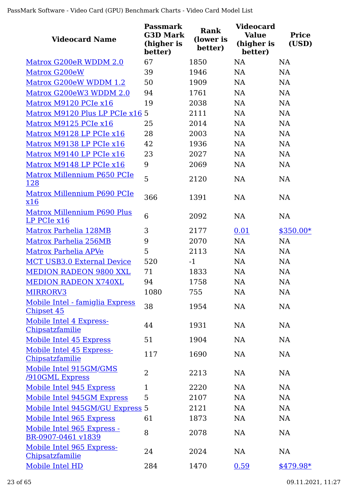| <b>Videocard Name</b>                             | <b>Passmark</b><br><b>G3D Mark</b><br>(higher is<br>better) | Rank<br>(lower is<br>better) | <b>Videocard</b><br><b>Value</b><br>(higher is<br>better) | <b>Price</b><br>(USD) |
|---------------------------------------------------|-------------------------------------------------------------|------------------------------|-----------------------------------------------------------|-----------------------|
| Matrox G200eR WDDM 2.0                            | 67                                                          | 1850                         | NA                                                        | NA                    |
| Matrox G200eW                                     | 39                                                          | 1946                         | <b>NA</b>                                                 | <b>NA</b>             |
| Matrox G200eW WDDM 1.2                            | 50                                                          | 1909                         | <b>NA</b>                                                 | <b>NA</b>             |
| Matrox G200eW3 WDDM 2.0                           | 94                                                          | 1761                         | <b>NA</b>                                                 | <b>NA</b>             |
| Matrox M9120 PCIe x16                             | 19                                                          | 2038                         | <b>NA</b>                                                 | NA                    |
| Matrox M9120 Plus LP PCIe x16 5                   |                                                             | 2111                         | <b>NA</b>                                                 | <b>NA</b>             |
| Matrox M9125 PCIe x16                             | 25                                                          | 2014                         | <b>NA</b>                                                 | NA                    |
| Matrox M9128 LP PCIe x16                          | 28                                                          | 2003                         | <b>NA</b>                                                 | <b>NA</b>             |
| Matrox M9138 LP PCIe x16                          | 42                                                          | 1936                         | <b>NA</b>                                                 | <b>NA</b>             |
| Matrox M9140 LP PCIe x16                          | 23                                                          | 2027                         | <b>NA</b>                                                 | <b>NA</b>             |
| Matrox M9148 LP PCIe x16                          | 9                                                           | 2069                         | <b>NA</b>                                                 | NA                    |
| Matrox Millennium P650 PCIe<br><u>128</u>         | 5                                                           | 2120                         | <b>NA</b>                                                 | NA                    |
| Matrox Millennium P690 PCIe<br>x16                | 366                                                         | 1391                         | <b>NA</b>                                                 | <b>NA</b>             |
| <b>Matrox Millennium P690 Plus</b><br>LP PCIe x16 | 6                                                           | 2092                         | NA                                                        | NA                    |
| Matrox Parhelia 128MB                             | 3                                                           | 2177                         | 0.01                                                      | $$350.00*$            |
| Matrox Parhelia 256MB                             | 9                                                           | 2070                         | <b>NA</b>                                                 | <b>NA</b>             |
| Matrox Parhelia APVe                              | 5                                                           | 2113                         | <b>NA</b>                                                 | NA                    |
| <b>MCT USB3.0 External Device</b>                 | 520                                                         | $-1$                         | <b>NA</b>                                                 | NA                    |
| <b>MEDION RADEON 9800 XXL</b>                     | 71                                                          | 1833                         | NA                                                        | <b>NA</b>             |
| <b>MEDION RADEON X740XL</b>                       | 94                                                          | 1758                         | <b>NA</b>                                                 | <b>NA</b>             |
| MIRRORV3                                          | 1080                                                        | 755                          | <b>NA</b>                                                 | <b>NA</b>             |
| Mobile Intel - famiglia Express<br>Chipset 45     | 38                                                          | 1954                         | <b>NA</b>                                                 | NA                    |
| Mobile Intel 4 Express-<br>Chipsatzfamilie        | 44                                                          | 1931                         | <b>NA</b>                                                 | <b>NA</b>             |
| Mobile Intel 45 Express                           | 51                                                          | 1904                         | <b>NA</b>                                                 | <b>NA</b>             |
| Mobile Intel 45 Express-<br>Chipsatzfamilie       | 117                                                         | 1690                         | NA                                                        | NA                    |
| Mobile Intel 915GM/GMS<br><b>/910GML Express</b>  | $\overline{2}$                                              | 2213                         | <b>NA</b>                                                 | <b>NA</b>             |
| Mobile Intel 945 Express                          | $\mathbf{1}$                                                | 2220                         | <b>NA</b>                                                 | <b>NA</b>             |
| Mobile Intel 945GM Express                        | 5                                                           | 2107                         | NA                                                        | <b>NA</b>             |
| Mobile Intel 945GM/GU Express 5                   |                                                             | 2121                         | NA                                                        | <b>NA</b>             |
| Mobile Intel 965 Express                          | 61                                                          | 1873                         | <b>NA</b>                                                 | <b>NA</b>             |
| Mobile Intel 965 Express -<br>BR-0907-0461 v1839  | 8                                                           | 2078                         | <b>NA</b>                                                 | NA                    |
| Mobile Intel 965 Express-<br>Chipsatzfamilie      | 24                                                          | 2024                         | <b>NA</b>                                                 | <b>NA</b>             |
| Mobile Intel HD                                   | 284                                                         | 1470                         | 0.59                                                      | \$479.98*             |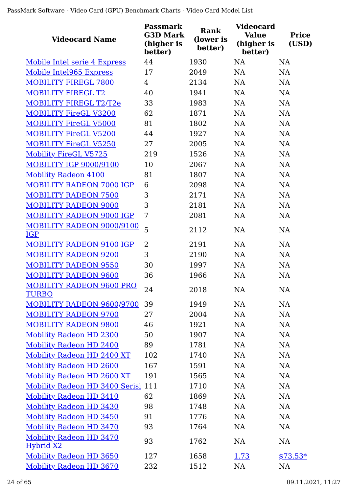| <b>Videocard Name</b>                              | <b>Passmark</b><br><b>G3D Mark</b><br>(higher is<br>better) | Rank<br>(lower is<br>better) | <b>Videocard</b><br><b>Value</b><br>(higher is<br>better) | <b>Price</b><br>(USD) |
|----------------------------------------------------|-------------------------------------------------------------|------------------------------|-----------------------------------------------------------|-----------------------|
| Mobile Intel serie 4 Express                       | 44                                                          | 1930                         | NA                                                        | <b>NA</b>             |
| Mobile Intel965 Express                            | 17                                                          | 2049                         | <b>NA</b>                                                 | <b>NA</b>             |
| <b>MOBILITY FIREGL 7800</b>                        | $\overline{4}$                                              | 2134                         | <b>NA</b>                                                 | NA                    |
| <b>MOBILITY FIREGL T2</b>                          | 40                                                          | 1941                         | <b>NA</b>                                                 | NA                    |
| <b>MOBILITY FIREGL T2/T2e</b>                      | 33                                                          | 1983                         | <b>NA</b>                                                 | <b>NA</b>             |
| <b>MOBILITY FireGL V3200</b>                       | 62                                                          | 1871                         | <b>NA</b>                                                 | <b>NA</b>             |
| <b>MOBILITY FireGL V5000</b>                       | 81                                                          | 1802                         | <b>NA</b>                                                 | NA                    |
| <b>MOBILITY FireGL V5200</b>                       | 44                                                          | 1927                         | <b>NA</b>                                                 | NA                    |
| <b>MOBILITY FireGL V5250</b>                       | 27                                                          | 2005                         | <b>NA</b>                                                 | NA                    |
| <b>Mobility FireGL V5725</b>                       | 219                                                         | 1526                         | <b>NA</b>                                                 | <b>NA</b>             |
| <b>MOBILITY IGP 9000/9100</b>                      | 10                                                          | 2067                         | <b>NA</b>                                                 | NA                    |
| <b>Mobility Radeon 4100</b>                        | 81                                                          | 1807                         | <b>NA</b>                                                 | NA                    |
| <b>MOBILITY RADEON 7000 IGP</b>                    | 6                                                           | 2098                         | <b>NA</b>                                                 | NA                    |
| <b>MOBILITY RADEON 7500</b>                        | 3                                                           | 2171                         | <b>NA</b>                                                 | <b>NA</b>             |
| <b>MOBILITY RADEON 9000</b>                        | 3                                                           | 2181                         | <b>NA</b>                                                 | NA                    |
| <b>MOBILITY RADEON 9000 IGP</b>                    | 7                                                           | 2081                         | <b>NA</b>                                                 | <b>NA</b>             |
| <b>MOBILITY RADEON 9000/9100</b><br><b>IGP</b>     | 5                                                           | 2112                         | NA                                                        | <b>NA</b>             |
| MOBILITY RADEON 9100 IGP                           | 2                                                           | 2191                         | <b>NA</b>                                                 | <b>NA</b>             |
| <b>MOBILITY RADEON 9200</b>                        | 3                                                           | 2190                         | <b>NA</b>                                                 | NA                    |
| <b>MOBILITY RADEON 9550</b>                        | 30                                                          | 1997                         | <b>NA</b>                                                 | <b>NA</b>             |
| <b>MOBILITY RADEON 9600</b>                        | 36                                                          | 1966                         | <b>NA</b>                                                 | <b>NA</b>             |
| <b>MOBILITY RADEON 9600 PRO</b><br><b>TURBO</b>    | 24                                                          | 2018                         | NA                                                        | <b>NA</b>             |
| <b>MOBILITY RADEON 9600/9700</b>                   | 39                                                          | 1949                         | <b>NA</b>                                                 | <b>NA</b>             |
| <b>MOBILITY RADEON 9700</b>                        | 27                                                          | 2004                         | <b>NA</b>                                                 | NA                    |
| <b>MOBILITY RADEON 9800</b>                        | 46                                                          | 1921                         | <b>NA</b>                                                 | <b>NA</b>             |
| <b>Mobility Radeon HD 2300</b>                     | 50                                                          | 1907                         | <b>NA</b>                                                 | NA                    |
| <b>Mobility Radeon HD 2400</b>                     | 89                                                          | 1781                         | NA                                                        | NA                    |
| Mobility Radeon HD 2400 XT                         | 102                                                         | 1740                         | NA                                                        | <b>NA</b>             |
| <b>Mobility Radeon HD 2600</b>                     | 167                                                         | 1591                         | <b>NA</b>                                                 | NA                    |
| Mobility Radeon HD 2600 XT                         | 191                                                         | 1565                         | <b>NA</b>                                                 | NA                    |
| Mobility Radeon HD 3400 Serisi 111                 |                                                             | 1710                         | <b>NA</b>                                                 | NA                    |
| <b>Mobility Radeon HD 3410</b>                     | 62                                                          | 1869                         | <b>NA</b>                                                 | NA                    |
| <b>Mobility Radeon HD 3430</b>                     | 98                                                          | 1748                         | <b>NA</b>                                                 | NA                    |
| <b>Mobility Radeon HD 3450</b>                     | 91                                                          | 1776                         | <b>NA</b>                                                 | NA                    |
| <b>Mobility Radeon HD 3470</b>                     | 93                                                          | 1764                         | <b>NA</b>                                                 | NA                    |
| <b>Mobility Radeon HD 3470</b><br><b>Hybrid X2</b> | 93                                                          | 1762                         | <b>NA</b>                                                 | NA                    |
| <b>Mobility Radeon HD 3650</b>                     | 127                                                         | 1658                         | 1.73                                                      | $$73.53*$             |
| <b>Mobility Radeon HD 3670</b>                     | 232                                                         | 1512                         | NA                                                        | <b>NA</b>             |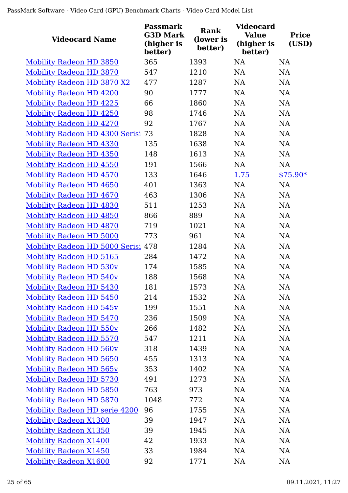| <b>Videocard Name</b>                | <b>Passmark</b><br><b>G3D Mark</b><br>(higher is<br>better) | <b>Rank</b><br>(lower is<br>better) | <b>Videocard</b><br><b>Value</b><br>(higher is<br>better) | <b>Price</b><br>(USD) |
|--------------------------------------|-------------------------------------------------------------|-------------------------------------|-----------------------------------------------------------|-----------------------|
| <b>Mobility Radeon HD 3850</b>       | 365                                                         | 1393                                | <b>NA</b>                                                 | <b>NA</b>             |
| <b>Mobility Radeon HD 3870</b>       | 547                                                         | 1210                                | NA                                                        | NA                    |
| <b>Mobility Radeon HD 3870 X2</b>    | 477                                                         | 1287                                | <b>NA</b>                                                 | <b>NA</b>             |
| <b>Mobility Radeon HD 4200</b>       | 90                                                          | 1777                                | <b>NA</b>                                                 | NA                    |
| <b>Mobility Radeon HD 4225</b>       | 66                                                          | 1860                                | NA                                                        | NA                    |
| <b>Mobility Radeon HD 4250</b>       | 98                                                          | 1746                                | NA                                                        | NA                    |
| <b>Mobility Radeon HD 4270</b>       | 92                                                          | 1767                                | <b>NA</b>                                                 | NA                    |
| Mobility Radeon HD 4300 Serisi 73    |                                                             | 1828                                | <b>NA</b>                                                 | NA                    |
| <b>Mobility Radeon HD 4330</b>       | 135                                                         | 1638                                | <b>NA</b>                                                 | <b>NA</b>             |
| <b>Mobility Radeon HD 4350</b>       | 148                                                         | 1613                                | <b>NA</b>                                                 | NA                    |
| <b>Mobility Radeon HD 4550</b>       | 191                                                         | 1566                                | <b>NA</b>                                                 | <b>NA</b>             |
| <b>Mobility Radeon HD 4570</b>       | 133                                                         | 1646                                | 1.75                                                      | $$75.90*$             |
| <b>Mobility Radeon HD 4650</b>       | 401                                                         | 1363                                | <b>NA</b>                                                 | NA                    |
| <b>Mobility Radeon HD 4670</b>       | 463                                                         | 1306                                | <b>NA</b>                                                 | <b>NA</b>             |
| <b>Mobility Radeon HD 4830</b>       | 511                                                         | 1253                                | <b>NA</b>                                                 | NA                    |
| <b>Mobility Radeon HD 4850</b>       | 866                                                         | 889                                 | <b>NA</b>                                                 | <b>NA</b>             |
| <b>Mobility Radeon HD 4870</b>       | 719                                                         | 1021                                | NA                                                        | NA                    |
| <b>Mobility Radeon HD 5000</b>       | 773                                                         | 961                                 | <b>NA</b>                                                 | NA                    |
| Mobility Radeon HD 5000 Serisi 478   |                                                             | 1284                                | NA                                                        | NA                    |
| <b>Mobility Radeon HD 5165</b>       | 284                                                         | 1472                                | <b>NA</b>                                                 | NA                    |
| <b>Mobility Radeon HD 530v</b>       | 174                                                         | 1585                                | <b>NA</b>                                                 | NA                    |
| <b>Mobility Radeon HD 540v</b>       | 188                                                         | 1568                                | <b>NA</b>                                                 | <b>NA</b>             |
| <b>Mobility Radeon HD 5430</b>       | 181                                                         | 1573                                | NA                                                        | <b>NA</b>             |
| <b>Mobility Radeon HD 5450</b>       | 214                                                         | 1532                                | NA                                                        | NA                    |
| <b>Mobility Radeon HD 545v</b>       | 199                                                         | 1551                                | <b>NA</b>                                                 | NA                    |
| Mobility Radeon HD 5470              | 236                                                         | 1509                                | <b>NA</b>                                                 | NA                    |
| <b>Mobility Radeon HD 550v</b>       | 266                                                         | 1482                                | <b>NA</b>                                                 | NA                    |
| <b>Mobility Radeon HD 5570</b>       | 547                                                         | 1211                                | NA                                                        | NA                    |
| <b>Mobility Radeon HD 560v</b>       | 318                                                         | 1439                                | <b>NA</b>                                                 | NA                    |
| <b>Mobility Radeon HD 5650</b>       | 455                                                         | 1313                                | NA                                                        | NA                    |
| <b>Mobility Radeon HD 565v</b>       | 353                                                         | 1402                                | <b>NA</b>                                                 | NA                    |
| <b>Mobility Radeon HD 5730</b>       | 491                                                         | 1273                                | <b>NA</b>                                                 | NA                    |
| <b>Mobility Radeon HD 5850</b>       | 763                                                         | 973                                 | <b>NA</b>                                                 | NA                    |
| <b>Mobility Radeon HD 5870</b>       | 1048                                                        | 772                                 | <b>NA</b>                                                 | NA                    |
| <b>Mobility Radeon HD serie 4200</b> | 96                                                          | 1755                                | <b>NA</b>                                                 | NA                    |
| <b>Mobility Radeon X1300</b>         | 39                                                          | 1947                                | <b>NA</b>                                                 | NA                    |
| <b>Mobility Radeon X1350</b>         | 39                                                          | 1945                                | <b>NA</b>                                                 | NA                    |
| <b>Mobility Radeon X1400</b>         | 42                                                          | 1933                                | <b>NA</b>                                                 | NA                    |
| <b>Mobility Radeon X1450</b>         | 33                                                          | 1984                                | <b>NA</b>                                                 | NA                    |
| <b>Mobility Radeon X1600</b>         | 92                                                          | 1771                                | <b>NA</b>                                                 | NA                    |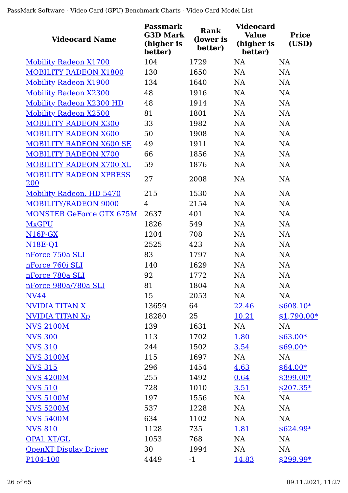| <b>Videocard Name</b>                | Passmark<br><b>G3D Mark</b><br>(higher is<br>better) | <b>Rank</b><br>(lower is<br>better) | <b>Videocard</b><br><b>Value</b><br>(higher is<br>better) | <b>Price</b><br>(USD) |
|--------------------------------------|------------------------------------------------------|-------------------------------------|-----------------------------------------------------------|-----------------------|
| <b>Mobility Radeon X1700</b>         | 104                                                  | 1729                                | <b>NA</b>                                                 | <b>NA</b>             |
| <b>MOBILITY RADEON X1800</b>         | 130                                                  | 1650                                | <b>NA</b>                                                 | <b>NA</b>             |
| <b>Mobility Radeon X1900</b>         | 134                                                  | 1640                                | <b>NA</b>                                                 | <b>NA</b>             |
| <b>Mobility Radeon X2300</b>         | 48                                                   | 1916                                | <b>NA</b>                                                 | NA                    |
| <b>Mobility Radeon X2300 HD</b>      | 48                                                   | 1914                                | <b>NA</b>                                                 | <b>NA</b>             |
| <b>Mobility Radeon X2500</b>         | 81                                                   | 1801                                | NA                                                        | <b>NA</b>             |
| <b>MOBILITY RADEON X300</b>          | 33                                                   | 1982                                | <b>NA</b>                                                 | NA                    |
| <b>MOBILITY RADEON X600</b>          | 50                                                   | 1908                                | NA                                                        | <b>NA</b>             |
| <b>MOBILITY RADEON X600 SE</b>       | 49                                                   | 1911                                | <b>NA</b>                                                 | <b>NA</b>             |
| <b>MOBILITY RADEON X700</b>          | 66                                                   | 1856                                | <b>NA</b>                                                 | <b>NA</b>             |
| MOBILITY RADEON X700 XL              | 59                                                   | 1876                                | <b>NA</b>                                                 | <b>NA</b>             |
| <b>MOBILITY RADEON XPRESS</b><br>200 | 27                                                   | 2008                                | <b>NA</b>                                                 | <b>NA</b>             |
| <b>Mobility Radeon. HD 5470</b>      | 215                                                  | 1530                                | <b>NA</b>                                                 | <b>NA</b>             |
| <b>MOBILITY/RADEON 9000</b>          | 4                                                    | 2154                                | <b>NA</b>                                                 | <b>NA</b>             |
| <b>MONSTER GeForce GTX 675M</b>      | 2637                                                 | 401                                 | <b>NA</b>                                                 | <b>NA</b>             |
| <b>MxGPU</b>                         | 1826                                                 | 549                                 | <b>NA</b>                                                 | <b>NA</b>             |
| $N16P-GX$                            | 1204                                                 | 708                                 | <b>NA</b>                                                 | <b>NA</b>             |
| <b>N18E-Q1</b>                       | 2525                                                 | 423                                 | <b>NA</b>                                                 | <b>NA</b>             |
| nForce 750a SLI                      | 83                                                   | 1797                                | <b>NA</b>                                                 | <b>NA</b>             |
| nForce 760i SLI                      | 140                                                  | 1629                                | <b>NA</b>                                                 | <b>NA</b>             |
| nForce 780a SLI                      | 92                                                   | 1772                                | <b>NA</b>                                                 | <b>NA</b>             |
| nForce 980a/780a SLI                 | 81                                                   | 1804                                | NA                                                        | NA                    |
| <b>NV44</b>                          | 15                                                   | 2053                                | NA                                                        | <b>NA</b>             |
| <b>NVIDIA TITAN X</b>                | 13659                                                | 64                                  | 22.46                                                     | $$608.10*$            |
| <b>NVIDIA TITAN Xp</b>               | 18280                                                | 25                                  | 10.21                                                     | $$1,790.00*$          |
| <b>NVS 2100M</b>                     | 139                                                  | 1631                                | NA                                                        | NA                    |
| <b>NVS 300</b>                       | 113                                                  | 1702                                | 1.80                                                      | $$63.00*$             |
| <b>NVS 310</b>                       | 244                                                  | 1502                                | 3.54                                                      | $$69.00*$             |
| <b>NVS 3100M</b>                     | 115                                                  | 1697                                | NA                                                        | NA                    |
| <b>NVS 315</b>                       | 296                                                  | 1454                                | 4.63                                                      | $$64.00*$             |
| <b>NVS 4200M</b>                     | 255                                                  | 1492                                | 0.64                                                      | \$399.00*             |
| <b>NVS 510</b>                       | 728                                                  | 1010                                | <u>3.51</u>                                               | $$207.35*$            |
| <b>NVS 5100M</b>                     | 197                                                  | 1556                                | NA                                                        | <b>NA</b>             |
| <b>NVS 5200M</b>                     | 537                                                  | 1228                                | NA                                                        | <b>NA</b>             |
| <b>NVS 5400M</b>                     | 634                                                  | 1102                                | NA                                                        | NA                    |
| <b>NVS 810</b>                       | 1128                                                 | 735                                 | 1.81                                                      | $$624.99*$            |
| <b>OPAL XT/GL</b>                    | 1053                                                 | 768                                 | <b>NA</b>                                                 | <b>NA</b>             |
| <b>OpenXT Display Driver</b>         | 30                                                   | 1994                                | NA                                                        | <b>NA</b>             |
| P104-100                             | 4449                                                 | $-1$                                | 14.83                                                     | $$299.99*$            |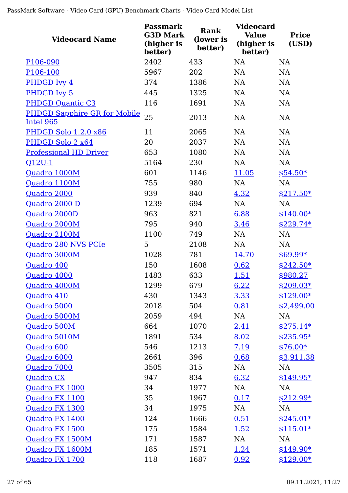| <b>Videocard Name</b>                            | <b>Passmark</b><br><b>G3D Mark</b><br>(higher is<br>better) | <b>Rank</b><br>(lower is<br>better) | <b>Videocard</b><br><b>Value</b><br>(higher is<br>better) | <b>Price</b><br>(USD) |
|--------------------------------------------------|-------------------------------------------------------------|-------------------------------------|-----------------------------------------------------------|-----------------------|
| P106-090                                         | 2402                                                        | 433                                 | <b>NA</b>                                                 | <b>NA</b>             |
| P <sub>106</sub> -100                            | 5967                                                        | 202                                 | <b>NA</b>                                                 | <b>NA</b>             |
| PHDGD Ivy 4                                      | 374                                                         | 1386                                | <b>NA</b>                                                 | <b>NA</b>             |
| PHDGD Ivy 5                                      | 445                                                         | 1325                                | <b>NA</b>                                                 | <b>NA</b>             |
| <b>PHDGD Quantic C3</b>                          | 116                                                         | 1691                                | <b>NA</b>                                                 | <b>NA</b>             |
| <b>PHDGD Sapphire GR for Mobile</b><br>Intel 965 | 25                                                          | 2013                                | <b>NA</b>                                                 | <b>NA</b>             |
| <b>PHDGD Solo 1.2.0 x86</b>                      | 11                                                          | 2065                                | <b>NA</b>                                                 | <b>NA</b>             |
| PHDGD Solo 2 x64                                 | 20                                                          | 2037                                | <b>NA</b>                                                 | <b>NA</b>             |
| <b>Professional HD Driver</b>                    | 653                                                         | 1080                                | <b>NA</b>                                                 | <b>NA</b>             |
| $Q12U-1$                                         | 5164                                                        | 230                                 | <b>NA</b>                                                 | <b>NA</b>             |
| Quadro 1000M                                     | 601                                                         | 1146                                | 11.05                                                     | $$54.50*$             |
| Quadro 1100M                                     | 755                                                         | 980                                 | NA                                                        | <b>NA</b>             |
| Quadro 2000                                      | 939                                                         | 840                                 | 4.32                                                      | $$217.50*$            |
| Quadro 2000 D                                    | 1239                                                        | 694                                 | NA                                                        | NA                    |
| Quadro 2000D                                     | 963                                                         | 821                                 | 6.88                                                      | $$140.00*$            |
| Quadro 2000M                                     | 795                                                         | 940                                 | 3.46                                                      | $$229.74*$            |
| Quadro 2100M                                     | 1100                                                        | 749                                 | <b>NA</b>                                                 | <b>NA</b>             |
| Quadro 280 NVS PCIe                              | 5                                                           | 2108                                | <b>NA</b>                                                 | <b>NA</b>             |
| Quadro 3000M                                     | 1028                                                        | 781                                 | 14.70                                                     | $$69.99*$             |
| Quadro 400                                       | 150                                                         | 1608                                | 0.62                                                      | $$242.50*$            |
| Quadro 4000                                      | 1483                                                        | 633                                 | 1.51                                                      | \$980.27              |
| Quadro 4000M                                     | 1299                                                        | 679                                 | 6.22                                                      | $$209.03*$            |
| Quadro 410                                       | 430                                                         | 1343                                | 3.33                                                      | $$129.00*$            |
| Quadro 5000                                      | 2018                                                        | 504                                 | 0.81                                                      | \$2,499.00            |
| Quadro 5000M                                     | 2059                                                        | 494                                 | NA                                                        | NA                    |
| Quadro 500M                                      | 664                                                         | 1070                                | <u>2.41</u>                                               | $$275.14*$            |
| Quadro 5010M                                     | 1891                                                        | 534                                 | 8.02                                                      | $$235.95*$            |
| Quadro 600                                       | 546                                                         | 1213                                | <u>7.19</u>                                               | $$76.00*$             |
| Quadro 6000                                      | 2661                                                        | 396                                 | 0.68                                                      | \$3,911.38            |
| Quadro 7000                                      | 3505                                                        | 315                                 | NA                                                        | NA                    |
| <b>Quadro CX</b>                                 | 947                                                         | 834                                 | 6.32                                                      | $$149.95*$            |
| Quadro FX 1000                                   | 34                                                          | 1977                                | NA                                                        | NA                    |
| Quadro FX 1100                                   | 35                                                          | 1967                                | 0.17                                                      | $$212.99*$            |
| Quadro FX 1300                                   | 34                                                          | 1975                                | NA                                                        | NA                    |
| Quadro FX 1400                                   | 124                                                         | 1666                                | 0.51                                                      | $$245.01*$            |
| Quadro FX 1500                                   | 175                                                         | 1584                                | 1.52                                                      | $$115.01*$            |
| Quadro FX 1500M                                  | 171                                                         | 1587                                | NA                                                        | NA                    |
| Quadro FX 1600M                                  | 185                                                         | 1571                                | 1.24                                                      | $$149.90*$            |
| Quadro FX 1700                                   | 118                                                         | 1687                                | 0.92                                                      | $$129.00*$            |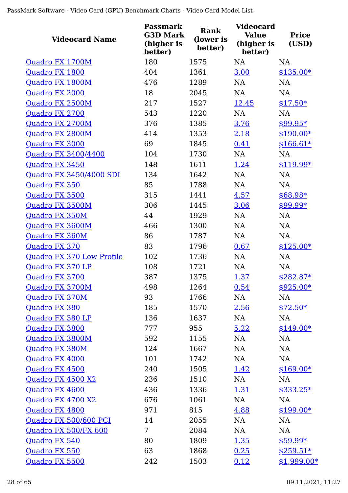| <b>Videocard Name</b>     | <b>Passmark</b><br><b>G3D Mark</b><br>(higher is<br>better) | <b>Rank</b><br>(lower is<br>better) | <b>Videocard</b><br><b>Value</b><br>(higher is<br>better) | <b>Price</b><br>(USD) |
|---------------------------|-------------------------------------------------------------|-------------------------------------|-----------------------------------------------------------|-----------------------|
| Quadro FX 1700M           | 180                                                         | 1575                                | <b>NA</b>                                                 | <b>NA</b>             |
| Quadro FX 1800            | 404                                                         | 1361                                | 3.00                                                      | $$135.00*$            |
| Quadro FX 1800M           | 476                                                         | 1289                                | <b>NA</b>                                                 | <b>NA</b>             |
| <b>Ouadro FX 2000</b>     | 18                                                          | 2045                                | <b>NA</b>                                                 | <b>NA</b>             |
| Quadro FX 2500M           | 217                                                         | 1527                                | 12.45                                                     | $$17.50*$             |
| Quadro FX 2700            | 543                                                         | 1220                                | <b>NA</b>                                                 | <b>NA</b>             |
| Quadro FX 2700M           | 376                                                         | 1385                                | 3.76                                                      | $$99.95*$             |
| Quadro FX 2800M           | 414                                                         | 1353                                | 2.18                                                      | $$190.00*$            |
| Quadro FX 3000            | 69                                                          | 1845                                | 0.41                                                      | $$166.61*$            |
| Quadro FX 3400/4400       | 104                                                         | 1730                                | NA                                                        | NA                    |
| Quadro FX 3450            | 148                                                         | 1611                                | 1.24                                                      | $$119.99*$            |
| Quadro FX 3450/4000 SDI   | 134                                                         | 1642                                | <b>NA</b>                                                 | <b>NA</b>             |
| <b>Quadro FX 350</b>      | 85                                                          | 1788                                | <b>NA</b>                                                 | <b>NA</b>             |
| Quadro FX 3500            | 315                                                         | 1441                                | 4.57                                                      | \$68.98*              |
| Quadro FX 3500M           | 306                                                         | 1445                                | 3.06                                                      | $$99.99*$             |
| Quadro FX 350M            | 44                                                          | 1929                                | <b>NA</b>                                                 | <b>NA</b>             |
| Quadro FX 3600M           | 466                                                         | 1300                                | <b>NA</b>                                                 | <b>NA</b>             |
| Quadro FX 360M            | 86                                                          | 1787                                | <b>NA</b>                                                 | <b>NA</b>             |
| Quadro FX 370             | 83                                                          | 1796                                | 0.67                                                      | $$125.00*$            |
| Quadro FX 370 Low Profile | 102                                                         | 1736                                | <b>NA</b>                                                 | NA                    |
| Quadro FX 370 LP          | 108                                                         | 1721                                | NA                                                        | <b>NA</b>             |
| Quadro FX 3700            | 387                                                         | 1375                                | 1.37                                                      | $$282.87*$            |
| Quadro FX 3700M           | 498                                                         | 1264                                | 0.54                                                      | $$925.00*$            |
| Quadro FX 370M            | 93                                                          | 1766                                | NA                                                        | NA                    |
| <b>Quadro FX 380</b>      | 185                                                         | 1570                                | 2.56                                                      | $$72.50*$             |
| Quadro FX 380 LP          | 136                                                         | 1637                                | NA                                                        | NA                    |
| Quadro FX 3800            | 777                                                         | 955                                 | 5.22                                                      | $$149.00*$            |
| Quadro FX 3800M           | 592                                                         | 1155                                | NA                                                        | NA                    |
| Quadro FX 380M            | 124                                                         | 1667                                | NA                                                        | NA                    |
| Quadro FX 4000            | 101                                                         | 1742                                | NA                                                        | NA                    |
| Quadro FX 4500            | 240                                                         | 1505                                | 1.42                                                      | $$169.00*$            |
| Quadro FX 4500 X2         | 236                                                         | 1510                                | NA                                                        | NA                    |
| Quadro FX 4600            | 436                                                         | 1336                                | <u>1.31</u>                                               | $$333.25*$            |
| Quadro FX 4700 X2         | 676                                                         | 1061                                | NA                                                        | NA                    |
| Quadro FX 4800            | 971                                                         | 815                                 | 4.88                                                      | $$199.00*$            |
| Quadro FX 500/600 PCI     | 14                                                          | 2055                                | NA                                                        | <b>NA</b>             |
| Quadro FX 500/FX 600      | 7                                                           | 2084                                | NA                                                        | NA                    |
| Quadro FX 540             | 80                                                          | 1809                                | 1.35                                                      | $$59.99*$             |
| Quadro FX 550             | 63                                                          | 1868                                | 0.25                                                      | $$259.51*$            |
| Quadro FX 5500            | 242                                                         | 1503                                | 0.12                                                      | $$1,999.00*$          |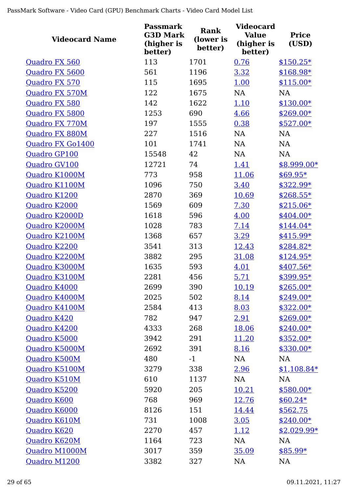| <b>Videocard Name</b> | <b>Passmark</b><br><b>G3D Mark</b><br>(higher is<br>better) | <b>Rank</b><br>(lower is<br>better) | <b>Videocard</b><br><b>Value</b><br>(higher is<br>better) | <b>Price</b><br>(USD) |
|-----------------------|-------------------------------------------------------------|-------------------------------------|-----------------------------------------------------------|-----------------------|
| Quadro FX 560         | 113                                                         | 1701                                | 0.76                                                      | $$150.25*$            |
| Quadro FX 5600        | 561                                                         | 1196                                | 3.32                                                      | \$168.98*             |
| Quadro FX 570         | 115                                                         | 1695                                | 1.00                                                      | $$115.00*$            |
| Quadro FX 570M        | 122                                                         | 1675                                | <b>NA</b>                                                 | <b>NA</b>             |
| Quadro FX 580         | 142                                                         | 1622                                | 1.10                                                      | $$130.00*$            |
| Quadro FX 5800        | 1253                                                        | 690                                 | 4.66                                                      | $$269.00*$            |
| Quadro FX 770M        | 197                                                         | 1555                                | 0.38                                                      | $$527.00*$            |
| Quadro FX 880M        | 227                                                         | 1516                                | NA                                                        | NA                    |
| Quadro FX Go1400      | 101                                                         | 1741                                | <b>NA</b>                                                 | <b>NA</b>             |
| Quadro GP100          | 15548                                                       | 42                                  | NA                                                        | <b>NA</b>             |
| Quadro GV100          | 12721                                                       | 74                                  | 1.41                                                      | $$8,999.00*$          |
| Quadro K1000M         | 773                                                         | 958                                 | 11.06                                                     | $$69.95*$             |
| Quadro K1100M         | 1096                                                        | 750                                 | 3.40                                                      | $$322.99*$            |
| Quadro K1200          | 2870                                                        | 369                                 | 10.69                                                     | $$268.55*$            |
| Quadro K2000          | 1569                                                        | 609                                 | 7.30                                                      | $$215.06*$            |
| Quadro K2000D         | 1618                                                        | 596                                 | 4.00                                                      | $$404.00*$            |
| Quadro K2000M         | 1028                                                        | 783                                 | 7.14                                                      | $$144.04*$            |
| Quadro K2100M         | 1368                                                        | 657                                 | 3.29                                                      | \$415.99*             |
| Quadro K2200          | 3541                                                        | 313                                 | 12.43                                                     | $$284.82*$            |
| Quadro K2200M         | 3882                                                        | 295                                 | 31.08                                                     | $$124.95*$            |
| Quadro K3000M         | 1635                                                        | 593                                 | 4.01                                                      | $$407.56*$            |
| Quadro K3100M         | 2281                                                        | 456                                 | 5.71                                                      | \$399.95*             |
| Quadro K4000          | 2699                                                        | 390                                 | 10.19                                                     | $$265.00*$            |
| Quadro K4000M         | 2025                                                        | 502                                 | 8.14                                                      | $$249.00*$            |
| Quadro K4100M         | 2584                                                        | 413                                 | 8.03                                                      | $$322.00*$            |
| Quadro K420           | 782                                                         | 947                                 | 2.91                                                      | $$269.00*$            |
| Quadro K4200          | 4333                                                        | 268                                 | <u>18.06</u>                                              | $$240.00*$            |
| Quadro K5000          | 3942                                                        | 291                                 | <u>11.20</u>                                              | \$352.00*             |
| Quadro K5000M         | 2692                                                        | 391                                 | 8.16                                                      | $$330.00*$            |
| Quadro K500M          | 480                                                         | $-1$                                | NA                                                        | <b>NA</b>             |
| Quadro K5100M         | 3279                                                        | 338                                 | 2.96                                                      | $$1,108.84*$          |
| Quadro K510M          | 610                                                         | 1137                                | NA                                                        | NA                    |
| Quadro K5200          | 5920                                                        | 205                                 | <u>10.21</u>                                              | $$580.00*$            |
| Quadro K600           | 768                                                         | 969                                 | 12.76                                                     | $$60.24*$             |
| Quadro K6000          | 8126                                                        | 151                                 | 14.44                                                     | \$562.75              |
| Quadro K610M          | 731                                                         | 1008                                | 3.05                                                      | $$240.00*$            |
| Quadro K620           | 2270                                                        | 457                                 | <u>1.12</u>                                               | $$2,029.99*$          |
| Quadro K620M          | 1164                                                        | 723                                 | NA                                                        | <b>NA</b>             |
| Quadro M1000M         | 3017                                                        | 359                                 | 35.09                                                     | $$85.99*$             |
| Quadro M1200          | 3382                                                        | 327                                 | NA                                                        | NA                    |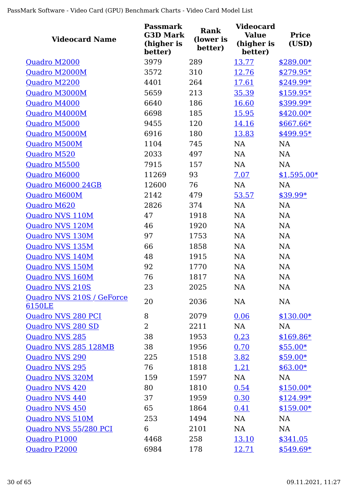| <b>Videocard Name</b>               | <b>Passmark</b><br><b>G3D Mark</b><br>(higher is<br>better) | <b>Rank</b><br>(lower is<br>better) | <b>Videocard</b><br><b>Value</b><br>(higher is<br>better) | <b>Price</b><br>(USD) |
|-------------------------------------|-------------------------------------------------------------|-------------------------------------|-----------------------------------------------------------|-----------------------|
| Quadro M2000                        | 3979                                                        | 289                                 | 13.77                                                     | $$289.00*$            |
| Quadro M2000M                       | 3572                                                        | 310                                 | <u>12.76</u>                                              | \$279.95*             |
| Quadro M2200                        | 4401                                                        | 264                                 | 17.61                                                     | \$249.99*             |
| Quadro M3000M                       | 5659                                                        | 213                                 | 35.39                                                     | $$159.95*$            |
| Quadro M4000                        | 6640                                                        | 186                                 | 16.60                                                     | \$399.99*             |
| Quadro M4000M                       | 6698                                                        | 185                                 | 15.95                                                     | $$420.00*$            |
| Quadro M5000                        | 9455                                                        | 120                                 | 14.16                                                     | $$667.66*$            |
| Quadro M5000M                       | 6916                                                        | 180                                 | 13.83                                                     | \$499.95*             |
| Quadro M500M                        | 1104                                                        | 745                                 | <b>NA</b>                                                 | <b>NA</b>             |
| Quadro M520                         | 2033                                                        | 497                                 | <b>NA</b>                                                 | NA                    |
| Quadro M5500                        | 7915                                                        | 157                                 | <b>NA</b>                                                 | <b>NA</b>             |
| Quadro M6000                        | 11269                                                       | 93                                  | 7.07                                                      | $$1,595.00*$          |
| Quadro M6000 24GB                   | 12600                                                       | 76                                  | <b>NA</b>                                                 | <b>NA</b>             |
| Quadro M600M                        | 2142                                                        | 479                                 | 53.57                                                     | \$39.99*              |
| Quadro M620                         | 2826                                                        | 374                                 | NA                                                        | <b>NA</b>             |
| Quadro NVS 110M                     | 47                                                          | 1918                                | <b>NA</b>                                                 | NA                    |
| Quadro NVS 120M                     | 46                                                          | 1920                                | <b>NA</b>                                                 | NA                    |
| Quadro NVS 130M                     | 97                                                          | 1753                                | <b>NA</b>                                                 | NA                    |
| Quadro NVS 135M                     | 66                                                          | 1858                                | NA                                                        | <b>NA</b>             |
| Quadro NVS 140M                     | 48                                                          | 1915                                | NA                                                        | NA                    |
| Quadro NVS 150M                     | 92                                                          | 1770                                | <b>NA</b>                                                 | <b>NA</b>             |
| Quadro NVS 160M                     | 76                                                          | 1817                                | <b>NA</b>                                                 | NA                    |
| <b>Quadro NVS 210S</b>              | 23                                                          | 2025                                | NA                                                        | $\rm NA$              |
| Quadro NVS 210S / GeForce<br>6150LE | 20                                                          | 2036                                | <b>NA</b>                                                 | NA                    |
| Quadro NVS 280 PCI                  | 8                                                           | 2079                                | 0.06                                                      | $$130.00*$            |
| Quadro NVS 280 SD                   | $\overline{2}$                                              | 2211                                | NA                                                        | NA                    |
| <b>Quadro NVS 285</b>               | 38                                                          | 1953                                | 0.23                                                      | $$169.86*$            |
| Quadro NVS 285 128MB                | 38                                                          | 1956                                | 0.70                                                      | $$55.00*$             |
| <b>Quadro NVS 290</b>               | 225                                                         | 1518                                | 3.82                                                      | $$59.00*$             |
| <b>Quadro NVS 295</b>               | 76                                                          | 1818                                | 1.21                                                      | $$63.00*$             |
| Quadro NVS 320M                     | 159                                                         | 1597                                | NA                                                        | <b>NA</b>             |
| <b>Quadro NVS 420</b>               | 80                                                          | 1810                                | 0.54                                                      | $$150.00*$            |
| <b>Quadro NVS 440</b>               | 37                                                          | 1959                                | 0.30                                                      | $$124.99*$            |
| Quadro NVS 450                      | 65                                                          | 1864                                | 0.41                                                      | $$159.00*$            |
| Quadro NVS 510M                     | 253                                                         | 1494                                | NA                                                        | NA                    |
| Quadro NVS 55/280 PCI               | 6                                                           | 2101                                | NA                                                        | NA                    |
| Quadro P1000                        | 4468                                                        | 258                                 | <u>13.10</u>                                              | \$341.05              |
| Quadro P2000                        | 6984                                                        | 178                                 | <u>12.71</u>                                              | $$549.69*$            |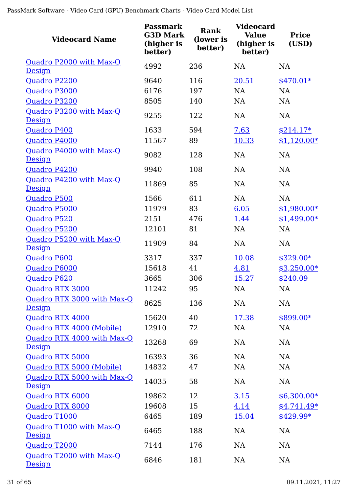| <b>Videocard Name</b>                       | <b>Passmark</b><br><b>G3D Mark</b><br>(higher is<br>better) | <b>Rank</b><br>(lower is<br>better) | <b>Videocard</b><br><b>Value</b><br>(higher is<br>better) | <b>Price</b><br>(USD) |
|---------------------------------------------|-------------------------------------------------------------|-------------------------------------|-----------------------------------------------------------|-----------------------|
| Quadro P2000 with Max-Q<br>Design           | 4992                                                        | 236                                 | <b>NA</b>                                                 | <b>NA</b>             |
| Quadro P2200                                | 9640                                                        | 116                                 | 20.51                                                     | $$470.01*$            |
| Quadro P3000                                | 6176                                                        | 197                                 | <b>NA</b>                                                 | <b>NA</b>             |
| Quadro P3200                                | 8505                                                        | 140                                 | <b>NA</b>                                                 | <b>NA</b>             |
| Quadro P3200 with Max-Q<br><b>Design</b>    | 9255                                                        | 122                                 | <b>NA</b>                                                 | <b>NA</b>             |
| Quadro P400                                 | 1633                                                        | 594                                 | 7.63                                                      | $$214.17*$            |
| Quadro P4000                                | 11567                                                       | 89                                  | 10.33                                                     | $$1,120.00*$          |
| Quadro P4000 with Max-Q<br><b>Design</b>    | 9082                                                        | 128                                 | <b>NA</b>                                                 | <b>NA</b>             |
| Quadro P4200                                | 9940                                                        | 108                                 | <b>NA</b>                                                 | <b>NA</b>             |
| Quadro P4200 with Max-Q<br>Design           | 11869                                                       | 85                                  | <b>NA</b>                                                 | <b>NA</b>             |
| <b>Quadro P500</b>                          | 1566                                                        | 611                                 | <b>NA</b>                                                 | <b>NA</b>             |
| Quadro P5000                                | 11979                                                       | 83                                  | 6.05                                                      | $$1,980.00*$          |
| Quadro P520                                 | 2151                                                        | 476                                 | 1.44                                                      | $$1,499.00*$          |
| Quadro P5200                                | 12101                                                       | 81                                  | <b>NA</b>                                                 | <b>NA</b>             |
| Quadro P5200 with Max-Q<br><b>Design</b>    | 11909                                                       | 84                                  | <b>NA</b>                                                 | NA                    |
| <b>Quadro P600</b>                          | 3317                                                        | 337                                 | 10.08                                                     | $$329.00*$            |
| Quadro P6000                                | 15618                                                       | 41                                  | 4.81                                                      | $$3,250.00*$          |
| Quadro P620                                 | 3665                                                        | 306                                 | <u>15.27</u>                                              | \$240.09              |
| Quadro RTX 3000                             | 11242                                                       | 95                                  | NA                                                        | <b>NA</b>             |
| Quadro RTX 3000 with Max-Q<br>Design        | 8625                                                        | 136                                 | NA                                                        | <b>NA</b>             |
| Quadro RTX 4000                             | 15620                                                       | 40                                  | 17.38                                                     | \$899.00*             |
| Quadro RTX 4000 (Mobile)                    | 12910                                                       | 72                                  | NA                                                        | <b>NA</b>             |
| Quadro RTX 4000 with Max-Q<br><b>Design</b> | 13268                                                       | 69                                  | NA                                                        | <b>NA</b>             |
| Quadro RTX 5000                             | 16393                                                       | 36                                  | NA                                                        | <b>NA</b>             |
| Quadro RTX 5000 (Mobile)                    | 14832                                                       | 47                                  | NA                                                        | <b>NA</b>             |
| Quadro RTX 5000 with Max-Q<br>Design        | 14035                                                       | 58                                  | NA                                                        | <b>NA</b>             |
| Quadro RTX 6000                             | 19862                                                       | 12                                  | <u>3.15</u>                                               | $$6,300.00*$          |
| Quadro RTX 8000                             | 19608                                                       | 15                                  | 4.14                                                      | $$4,741.49*$          |
| Quadro T1000                                | 6465                                                        | 189                                 | 15.04                                                     | $$429.99*$            |
| Quadro T1000 with Max-Q<br><b>Design</b>    | 6465                                                        | 188                                 | NA                                                        | <b>NA</b>             |
| Quadro T2000                                | 7144                                                        | 176                                 | NA                                                        | NA                    |
| Quadro T2000 with Max-Q<br><b>Design</b>    | 6846                                                        | 181                                 | NA                                                        | NA                    |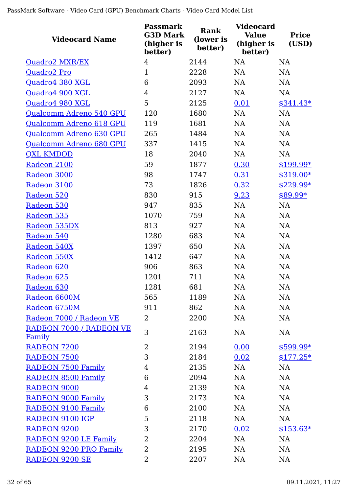| <b>Videocard Name</b>          | <b>Passmark</b><br><b>G3D Mark</b><br>(higher is<br>better) | <b>Rank</b><br>(lower is<br>better) | <b>Videocard</b><br><b>Value</b><br>(higher is<br>better) | <b>Price</b><br>(USD) |
|--------------------------------|-------------------------------------------------------------|-------------------------------------|-----------------------------------------------------------|-----------------------|
| <b>Quadro2 MXR/EX</b>          | $\overline{4}$                                              | 2144                                | <b>NA</b>                                                 | NA                    |
| Quadro2 Pro                    | $\mathbf{1}$                                                | 2228                                | <b>NA</b>                                                 | NA                    |
| Quadro4 380 XGL                | 6                                                           | 2093                                | <b>NA</b>                                                 | <b>NA</b>             |
| Quadro4 900 XGL                | $\overline{4}$                                              | 2127                                | <b>NA</b>                                                 | <b>NA</b>             |
| Quadro4 980 XGL                | 5                                                           | 2125                                | 0.01                                                      | $$341.43*$            |
| Qualcomm Adreno 540 GPU        | 120                                                         | 1680                                | <b>NA</b>                                                 | NA                    |
| Qualcomm Adreno 618 GPU        | 119                                                         | 1681                                | <b>NA</b>                                                 | <b>NA</b>             |
| Qualcomm Adreno 630 GPU        | 265                                                         | 1484                                | NA                                                        | NA                    |
| Qualcomm Adreno 680 GPU        | 337                                                         | 1415                                | NA                                                        | NA                    |
| <b>QXL KMDOD</b>               | 18                                                          | 2040                                | NA                                                        | NA                    |
| Radeon 2100                    | 59                                                          | 1877                                | 0.30                                                      | $$199.99*$            |
| Radeon 3000                    | 98                                                          | 1747                                | 0.31                                                      | $$319.00*$            |
| Radeon 3100                    | 73                                                          | 1826                                | 0.32                                                      | \$229.99*             |
| Radeon 520                     | 830                                                         | 915                                 | 9.23                                                      | \$89.99*              |
| Radeon 530                     | 947                                                         | 835                                 | NA                                                        | NA                    |
| Radeon 535                     | 1070                                                        | 759                                 | <b>NA</b>                                                 | <b>NA</b>             |
| Radeon 535DX                   | 813                                                         | 927                                 | NA                                                        | NA                    |
| Radeon 540                     | 1280                                                        | 683                                 | <b>NA</b>                                                 | NA                    |
| Radeon 540X                    | 1397                                                        | 650                                 | NA                                                        | NA                    |
| Radeon 550X                    | 1412                                                        | 647                                 | <b>NA</b>                                                 | NA                    |
| Radeon 620                     | 906                                                         | 863                                 | <b>NA</b>                                                 | NA                    |
| Radeon 625                     | 1201                                                        | 711                                 | <b>NA</b>                                                 | NA                    |
| Radeon 630                     | 1281                                                        | 681                                 | <b>NA</b>                                                 | NA                    |
| Radeon 6600M                   | 565                                                         | 1189                                | NA                                                        | NA                    |
| Radeon 6750M                   | 911                                                         | 862                                 | NA                                                        | NA                    |
| Radeon 7000 / Radeon VE        | $\overline{2}$                                              | 2200                                | NA                                                        | NA                    |
| <b>RADEON 7000 / RADEON VE</b> | 3                                                           | 2163                                | NA                                                        | NA                    |
| <u>Family</u>                  |                                                             |                                     |                                                           |                       |
| <b>RADEON 7200</b>             | $\overline{2}$                                              | 2194                                | 0.00                                                      | $$599.99*$            |
| <b>RADEON 7500</b>             | 3                                                           | 2184                                | 0.02                                                      | $$177.25*$            |
| <b>RADEON 7500 Family</b>      | $\overline{4}$                                              | 2135                                | NA                                                        | NA                    |
| <b>RADEON 8500 Family</b>      | 6                                                           | 2094                                | NA                                                        | NA                    |
| <b>RADEON 9000</b>             | $\overline{4}$                                              | 2139                                | NA                                                        | NA                    |
| <b>RADEON 9000 Family</b>      | 3                                                           | 2173                                | NA                                                        | NA                    |
| <b>RADEON 9100 Family</b>      | 6                                                           | 2100                                | NA                                                        | NA                    |
| RADEON 9100 IGP                | 5                                                           | 2118                                | NA                                                        | NA                    |
| <b>RADEON 9200</b>             | 3                                                           | 2170                                | 0.02                                                      | $$153.63*$            |
| RADEON 9200 LE Family          | 2                                                           | 2204                                | NA                                                        | NA                    |
| RADEON 9200 PRO Family         | 2                                                           | 2195                                | NA                                                        | NA                    |
| <b>RADEON 9200 SE</b>          | 2                                                           | 2207                                | NA                                                        | <b>NA</b>             |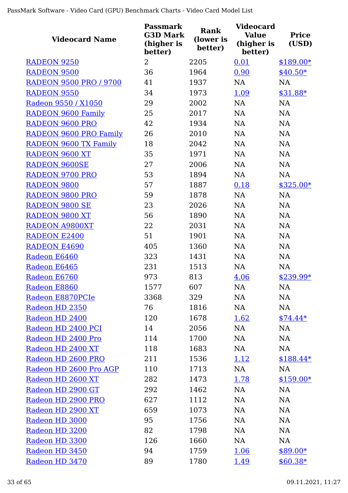| <b>Videocard Name</b>         | <b>Passmark</b><br><b>G3D Mark</b><br>(higher is<br>better) | Rank<br>(lower is<br>better) | <b>Videocard</b><br><b>Value</b><br>(higher is<br>better) | <b>Price</b><br>(USD) |
|-------------------------------|-------------------------------------------------------------|------------------------------|-----------------------------------------------------------|-----------------------|
| <b>RADEON 9250</b>            | $\overline{2}$                                              | 2205                         | 0.01                                                      | $$189.00*$            |
| <b>RADEON 9500</b>            | 36                                                          | 1964                         | 0.90                                                      | $$40.50*$             |
| <b>RADEON 9500 PRO / 9700</b> | 41                                                          | 1937                         | <b>NA</b>                                                 | <b>NA</b>             |
| <b>RADEON 9550</b>            | 34                                                          | 1973                         | 1.09                                                      | $$31.88*$             |
| Radeon 9550 / X1050           | 29                                                          | 2002                         | <b>NA</b>                                                 | <b>NA</b>             |
| <b>RADEON 9600 Family</b>     | 25                                                          | 2017                         | <b>NA</b>                                                 | <b>NA</b>             |
| <b>RADEON 9600 PRO</b>        | 42                                                          | 1934                         | NA                                                        | <b>NA</b>             |
| <b>RADEON 9600 PRO Family</b> | 26                                                          | 2010                         | NA                                                        | <b>NA</b>             |
| RADEON 9600 TX Family         | 18                                                          | 2042                         | NA                                                        | <b>NA</b>             |
| <b>RADEON 9600 XT</b>         | 35                                                          | 1971                         | NA                                                        | <b>NA</b>             |
| <b>RADEON 9600SE</b>          | 27                                                          | 2006                         | NA                                                        | <b>NA</b>             |
| <b>RADEON 9700 PRO</b>        | 53                                                          | 1894                         | NA                                                        | <b>NA</b>             |
| <b>RADEON 9800</b>            | 57                                                          | 1887                         | 0.18                                                      | $$325.00*$            |
| <b>RADEON 9800 PRO</b>        | 59                                                          | 1878                         | <b>NA</b>                                                 | <b>NA</b>             |
| <b>RADEON 9800 SE</b>         | 23                                                          | 2026                         | <b>NA</b>                                                 | <b>NA</b>             |
| RADEON 9800 XT                | 56                                                          | 1890                         | <b>NA</b>                                                 | NA                    |
| <b>RADEON A9800XT</b>         | 22                                                          | 2031                         | <b>NA</b>                                                 | <b>NA</b>             |
| <b>RADEON E2400</b>           | 51                                                          | 1901                         | NA                                                        | NA                    |
| <b>RADEON E4690</b>           | 405                                                         | 1360                         | <b>NA</b>                                                 | <b>NA</b>             |
| Radeon E6460                  | 323                                                         | 1431                         | NA                                                        | NA                    |
| Radeon E6465                  | 231                                                         | 1513                         | NA                                                        | NA                    |
| Radeon E6760                  | 973                                                         | 813                          | 4.06                                                      | \$239.99*             |
| Radeon E8860                  | 1577                                                        | 607                          | <b>NA</b>                                                 | NA                    |
| Radeon E8870PCIe              | 3368                                                        | 329                          | NA                                                        | <b>NA</b>             |
| Radeon HD 2350                | 76                                                          | 1816                         | <b>NA</b>                                                 | <b>NA</b>             |
| Radeon HD 2400                | 120                                                         | 1678                         | 1.62                                                      | $$74.44*$             |
| Radeon HD 2400 PCI            | 14                                                          | 2056                         | NA                                                        | <b>NA</b>             |
| Radeon HD 2400 Pro            | 114                                                         | 1700                         | NA                                                        | <b>NA</b>             |
| Radeon HD 2400 XT             | 118                                                         | 1683                         | <b>NA</b>                                                 | <b>NA</b>             |
| Radeon HD 2600 PRO            | 211                                                         | 1536                         | 1.12                                                      | $$188.44*$            |
| Radeon HD 2600 Pro AGP        | 110                                                         | 1713                         | <b>NA</b>                                                 | NA                    |
| Radeon HD 2600 XT             | 282                                                         | 1473                         | 1.78                                                      | $$159.00*$            |
| Radeon HD 2900 GT             | 292                                                         | 1462                         | <b>NA</b>                                                 | <b>NA</b>             |
| Radeon HD 2900 PRO            | 627                                                         | 1112                         | NA                                                        | <b>NA</b>             |
| Radeon HD 2900 XT             | 659                                                         | 1073                         | <b>NA</b>                                                 | <b>NA</b>             |
| Radeon HD 3000                | 95                                                          | 1756                         | NA                                                        | <b>NA</b>             |
| Radeon HD 3200                | 82                                                          | 1798                         | NA                                                        | <b>NA</b>             |
| Radeon HD 3300                | 126                                                         | 1660                         | <b>NA</b>                                                 | <b>NA</b>             |
| Radeon HD 3450                | 94                                                          | 1759                         | 1.06                                                      | $$89.00*$             |
| Radeon HD 3470                | 89                                                          | 1780                         | 1.49                                                      | $$60.38*$             |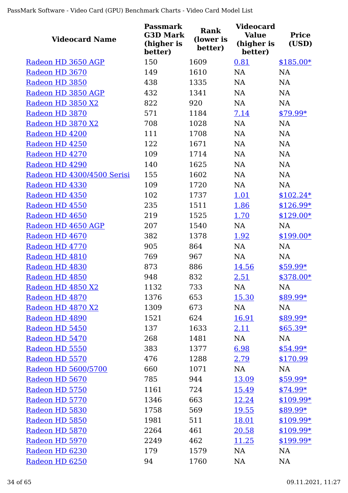| <b>Videocard Name</b>      | <b>Passmark</b><br><b>G3D Mark</b><br>(higher is<br>better) | Rank<br>(lower is<br>better) | <b>Videocard</b><br><b>Value</b><br>(higher is<br>better) | <b>Price</b><br>(USD) |
|----------------------------|-------------------------------------------------------------|------------------------------|-----------------------------------------------------------|-----------------------|
| Radeon HD 3650 AGP         | 150                                                         | 1609                         | 0.81                                                      | $$185.00*$            |
| Radeon HD 3670             | 149                                                         | 1610                         | <b>NA</b>                                                 | <b>NA</b>             |
| Radeon HD 3850             | 438                                                         | 1335                         | <b>NA</b>                                                 | <b>NA</b>             |
| Radeon HD 3850 AGP         | 432                                                         | 1341                         | <b>NA</b>                                                 | <b>NA</b>             |
| Radeon HD 3850 X2          | 822                                                         | 920                          | <b>NA</b>                                                 | <b>NA</b>             |
| Radeon HD 3870             | 571                                                         | 1184                         | 7.14                                                      | $$79.99*$             |
| Radeon HD 3870 X2          | 708                                                         | 1028                         | <b>NA</b>                                                 | <b>NA</b>             |
| Radeon HD 4200             | 111                                                         | 1708                         | <b>NA</b>                                                 | NA                    |
| Radeon HD 4250             | 122                                                         | 1671                         | <b>NA</b>                                                 | <b>NA</b>             |
| Radeon HD 4270             | 109                                                         | 1714                         | NA                                                        | <b>NA</b>             |
| Radeon HD 4290             | 140                                                         | 1625                         | <b>NA</b>                                                 | <b>NA</b>             |
| Radeon HD 4300/4500 Serisi | 155                                                         | 1602                         | <b>NA</b>                                                 | <b>NA</b>             |
| Radeon HD 4330             | 109                                                         | 1720                         | <b>NA</b>                                                 | <b>NA</b>             |
| Radeon HD 4350             | 102                                                         | 1737                         | 1.01                                                      | $$102.24*$            |
| Radeon HD 4550             | 235                                                         | 1511                         | 1.86                                                      | $$126.99*$            |
| Radeon HD 4650             | 219                                                         | 1525                         | 1.70                                                      | $$129.00*$            |
| Radeon HD 4650 AGP         | 207                                                         | 1540                         | NA                                                        | <b>NA</b>             |
| Radeon HD 4670             | 382                                                         | 1378                         | 1.92                                                      | $$199.00*$            |
| Radeon HD 4770             | 905                                                         | 864                          | NA                                                        | NA                    |
| Radeon HD 4810             | 769                                                         | 967                          | <b>NA</b>                                                 | <b>NA</b>             |
| Radeon HD 4830             | 873                                                         | 886                          | 14.56                                                     | $$59.99*$             |
| Radeon HD 4850             | 948                                                         | 832                          | 2.51                                                      | \$378.00*             |
| Radeon HD 4850 X2          | 1132                                                        | 733                          | NA                                                        | <b>NA</b>             |
| Radeon HD 4870             | 1376                                                        | 653                          | <u>15.30</u>                                              | \$89.99*              |
| Radeon HD 4870 X2          | 1309                                                        | 673                          | <b>NA</b>                                                 | <b>NA</b>             |
| Radeon HD 4890             | 1521                                                        | 624                          | <u>16.91</u>                                              | $$89.99*$             |
| Radeon HD 5450             | 137                                                         | 1633                         | 2.11                                                      | $$65.39*$             |
| Radeon HD 5470             | 268                                                         | 1481                         | NA                                                        | <b>NA</b>             |
| Radeon HD 5550             | 383                                                         | 1377                         | 6.98                                                      | $$54.99*$             |
| Radeon HD 5570             | 476                                                         | 1288                         | 2.79                                                      | \$170.99              |
| Radeon HD 5600/5700        | 660                                                         | 1071                         | NA                                                        | NA                    |
| Radeon HD 5670             | 785                                                         | 944                          | 13.09                                                     | $$59.99*$             |
| Radeon HD 5750             | 1161                                                        | 724                          | 15.49                                                     | $$74.99*$             |
| Radeon HD 5770             | 1346                                                        | 663                          | 12.24                                                     | $$109.99*$            |
| Radeon HD 5830             | 1758                                                        | 569                          | 19.55                                                     | $$89.99*$             |
| Radeon HD 5850             | 1981                                                        | 511                          | 18.01                                                     | $$109.99*$            |
| Radeon HD 5870             | 2264                                                        | 461                          | 20.58                                                     | $$109.99*$            |
| Radeon HD 5970             | 2249                                                        | 462                          | 11.25                                                     | $$199.99*$            |
| Radeon HD 6230             | 179                                                         | 1579                         | <b>NA</b>                                                 | <b>NA</b>             |
| Radeon HD 6250             | 94                                                          | 1760                         | NA                                                        | NA                    |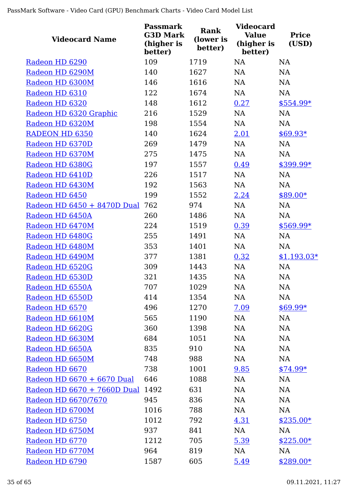| <b>Videocard Name</b>       | <b>Passmark</b><br><b>G3D Mark</b><br>(higher is<br>better) | <b>Rank</b><br>(lower is<br>better) | <b>Videocard</b><br><b>Value</b><br>(higher is<br>better) | <b>Price</b><br>(USD) |
|-----------------------------|-------------------------------------------------------------|-------------------------------------|-----------------------------------------------------------|-----------------------|
| Radeon HD 6290              | 109                                                         | 1719                                | <b>NA</b>                                                 | <b>NA</b>             |
| Radeon HD 6290M             | 140                                                         | 1627                                | <b>NA</b>                                                 | <b>NA</b>             |
| Radeon HD 6300M             | 146                                                         | 1616                                | <b>NA</b>                                                 | <b>NA</b>             |
| Radeon HD 6310              | 122                                                         | 1674                                | NA                                                        | <b>NA</b>             |
| Radeon HD 6320              | 148                                                         | 1612                                | 0.27                                                      | \$554.99*             |
| Radeon HD 6320 Graphic      | 216                                                         | 1529                                | NA                                                        | NA                    |
| Radeon HD 6320M             | 198                                                         | 1554                                | <b>NA</b>                                                 | NA                    |
| RADEON HD 6350              | 140                                                         | 1624                                | 2.01                                                      | $$69.93*$             |
| Radeon HD 6370D             | 269                                                         | 1479                                | <b>NA</b>                                                 | <b>NA</b>             |
| Radeon HD 6370M             | 275                                                         | 1475                                | <b>NA</b>                                                 | NA                    |
| Radeon HD 6380G             | 197                                                         | 1557                                | 0.49                                                      | \$399.99*             |
| Radeon HD 6410D             | 226                                                         | 1517                                | <b>NA</b>                                                 | <b>NA</b>             |
| Radeon HD 6430M             | 192                                                         | 1563                                | <b>NA</b>                                                 | <b>NA</b>             |
| Radeon HD 6450              | 199                                                         | 1552                                | 2.24                                                      | $$89.00*$             |
| Radeon HD 6450 + 8470D Dual | 762                                                         | 974                                 | <b>NA</b>                                                 | NA                    |
| Radeon HD 6450A             | 260                                                         | 1486                                | <b>NA</b>                                                 | <b>NA</b>             |
| Radeon HD 6470M             | 224                                                         | 1519                                | 0.39                                                      | \$569.99*             |
| Radeon HD 6480G             | 255                                                         | 1491                                | <b>NA</b>                                                 | <b>NA</b>             |
| Radeon HD 6480M             | 353                                                         | 1401                                | NA                                                        | NA                    |
| Radeon HD 6490M             | 377                                                         | 1381                                | 0.32                                                      | $$1,193.03*$          |
| Radeon HD 6520G             | 309                                                         | 1443                                | <b>NA</b>                                                 | <b>NA</b>             |
| Radeon HD 6530D             | 321                                                         | 1435                                | <b>NA</b>                                                 | NA                    |
| Radeon HD 6550A             | 707                                                         | 1029                                | NA                                                        | NA                    |
| Radeon HD 6550D             | 414                                                         | 1354                                | NA                                                        | <b>NA</b>             |
| Radeon HD 6570              | 496                                                         | 1270                                | 7.09                                                      | $$69.99*$             |
| Radeon HD 6610M             | 565                                                         | 1190                                | NA                                                        | NA                    |
| Radeon HD 6620G             | 360                                                         | 1398                                | NA                                                        | <b>NA</b>             |
| Radeon HD 6630M             | 684                                                         | 1051                                | NA                                                        | NA                    |
| Radeon HD 6650A             | 835                                                         | 910                                 | NA                                                        | <b>NA</b>             |
| Radeon HD 6650M             | 748                                                         | 988                                 | NA                                                        | NA                    |
| Radeon HD 6670              | 738                                                         | 1001                                | 9.85                                                      | $$74.99*$             |
| Radeon HD 6670 + 6670 Dual  | 646                                                         | 1088                                | NA                                                        | <b>NA</b>             |
| Radeon HD 6670 + 7660D Dual | 1492                                                        | 631                                 | NA                                                        | NA                    |
| Radeon HD 6670/7670         | 945                                                         | 836                                 | NA                                                        | <b>NA</b>             |
| Radeon HD 6700M             | 1016                                                        | 788                                 | NA                                                        | NA                    |
| Radeon HD 6750              | 1012                                                        | 792                                 | 4.31                                                      | $$235.00*$            |
| Radeon HD 6750M             | 937                                                         | 841                                 | NA                                                        | <b>NA</b>             |
| Radeon HD 6770              | 1212                                                        | 705                                 | 5.39                                                      | $$225.00*$            |
| Radeon HD 6770M             | 964                                                         | 819                                 | NA                                                        | NA                    |
| Radeon HD 6790              | 1587                                                        | 605                                 | 5.49                                                      | $$289.00*$            |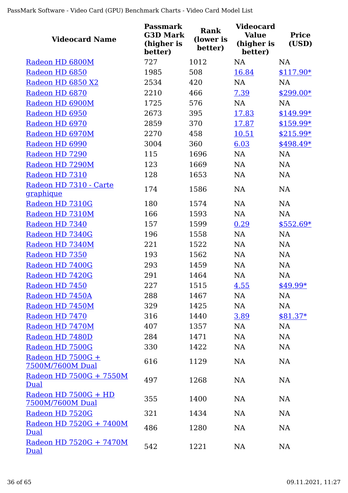| <b>Videocard Name</b>                    | <b>Passmark</b><br><b>G3D Mark</b><br>(higher is<br>better) | <b>Rank</b><br>(lower is<br>better) | <b>Videocard</b><br><b>Value</b><br>(higher is<br>better) | <b>Price</b><br>(USD) |
|------------------------------------------|-------------------------------------------------------------|-------------------------------------|-----------------------------------------------------------|-----------------------|
| Radeon HD 6800M                          | 727                                                         | 1012                                | <b>NA</b>                                                 | <b>NA</b>             |
| Radeon HD 6850                           | 1985                                                        | 508                                 | 16.84                                                     | $$117.90*$            |
| Radeon HD 6850 X2                        | 2534                                                        | 420                                 | <b>NA</b>                                                 | NA                    |
| Radeon HD 6870                           | 2210                                                        | 466                                 | 7.39                                                      | \$299.00*             |
| Radeon HD 6900M                          | 1725                                                        | 576                                 | <b>NA</b>                                                 | <b>NA</b>             |
| Radeon HD 6950                           | 2673                                                        | 395                                 | 17.83                                                     | $$149.99*$            |
| Radeon HD 6970                           | 2859                                                        | 370                                 | 17.87                                                     | \$159.99*             |
| Radeon HD 6970M                          | 2270                                                        | 458                                 | 10.51                                                     | $$215.99*$            |
| Radeon HD 6990                           | 3004                                                        | 360                                 | 6.03                                                      | \$498.49*             |
| Radeon HD 7290                           | 115                                                         | 1696                                | <b>NA</b>                                                 | NA                    |
| Radeon HD 7290M                          | 123                                                         | 1669                                | <b>NA</b>                                                 | NA                    |
| Radeon HD 7310                           | 128                                                         | 1653                                | <b>NA</b>                                                 | NA                    |
| Radeon HD 7310 - Carte<br>graphique      | 174                                                         | 1586                                | <b>NA</b>                                                 | NA                    |
| Radeon HD 7310G                          | 180                                                         | 1574                                | NA                                                        | <b>NA</b>             |
| Radeon HD 7310M                          | 166                                                         | 1593                                | <b>NA</b>                                                 | <b>NA</b>             |
| Radeon HD 7340                           | 157                                                         | 1599                                | 0.29                                                      | $$552.69*$            |
| Radeon HD 7340G                          | 196                                                         | 1558                                | <b>NA</b>                                                 | NA                    |
| Radeon HD 7340M                          | 221                                                         | 1522                                | <b>NA</b>                                                 | NA                    |
| Radeon HD 7350                           | 193                                                         | 1562                                | <b>NA</b>                                                 | NA                    |
| Radeon HD 7400G                          | 293                                                         | 1459                                | <b>NA</b>                                                 | NA                    |
| Radeon HD 7420G                          | 291                                                         | 1464                                | <b>NA</b>                                                 | <b>NA</b>             |
| Radeon HD 7450                           | 227                                                         | 1515                                | 4.55                                                      | \$49.99*              |
| Radeon HD 7450A                          | 288                                                         | 1467                                | NA                                                        | NA                    |
| Radeon HD 7450M                          | 329                                                         | 1425                                | NA                                                        | NA                    |
| Radeon HD 7470                           | 316                                                         | 1440                                | 3.89                                                      | $$81.37*$             |
| Radeon HD 7470M                          | 407                                                         | 1357                                | NA                                                        | NA                    |
| Radeon HD 7480D                          | 284                                                         | 1471                                | NA                                                        | NA                    |
| Radeon HD 7500G                          | 330                                                         | 1422                                | NA                                                        | <b>NA</b>             |
| Radeon HD 7500G +<br>7500M/7600M Dual    | 616                                                         | 1129                                | <b>NA</b>                                                 | <b>NA</b>             |
| Radeon HD 7500G + 7550M<br>Dual          | 497                                                         | 1268                                | NA                                                        | NA                    |
| Radeon HD 7500G + HD<br>7500M/7600M Dual | 355                                                         | 1400                                | <b>NA</b>                                                 | <b>NA</b>             |
| Radeon HD 7520G                          | 321                                                         | 1434                                | <b>NA</b>                                                 | NA                    |
| Radeon HD 7520G + 7400M<br>Dual          | 486                                                         | 1280                                | <b>NA</b>                                                 | NA                    |
| Radeon HD 7520G + 7470M<br><b>Dual</b>   | 542                                                         | 1221                                | NA                                                        | NA                    |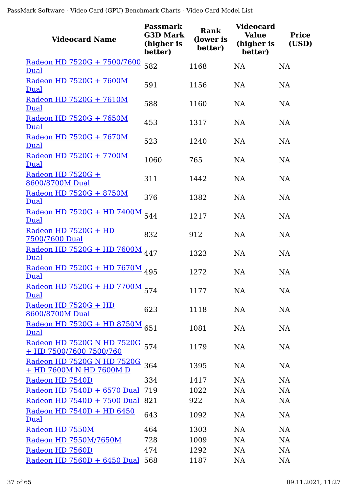| <b>Videocard Name</b>                                        | <b>Passmark</b><br><b>G3D Mark</b><br>(higher is<br>better) | <b>Rank</b><br>(lower is<br>better) | <b>Videocard</b><br><b>Value</b><br>(higher is<br>better) | <b>Price</b><br>(USD) |
|--------------------------------------------------------------|-------------------------------------------------------------|-------------------------------------|-----------------------------------------------------------|-----------------------|
| Radeon HD 7520G + 7500/7600<br>Dual                          | 582                                                         | 1168                                | <b>NA</b>                                                 | <b>NA</b>             |
| Radeon HD 7520G + 7600M<br>Dual                              | 591                                                         | 1156                                | <b>NA</b>                                                 | <b>NA</b>             |
| Radeon HD 7520G + 7610M<br>Dual                              | 588                                                         | 1160                                | <b>NA</b>                                                 | <b>NA</b>             |
| Radeon HD 7520G + 7650M<br>Dual                              | 453                                                         | 1317                                | <b>NA</b>                                                 | <b>NA</b>             |
| Radeon HD 7520G + 7670M<br>Dual                              | 523                                                         | 1240                                | <b>NA</b>                                                 | <b>NA</b>             |
| Radeon HD 7520G + 7700M<br>Dual                              | 1060                                                        | 765                                 | <b>NA</b>                                                 | <b>NA</b>             |
| Radeon HD 7520G +<br>8600/8700M Dual                         | 311                                                         | 1442                                | <b>NA</b>                                                 | <b>NA</b>             |
| Radeon HD 7520G + 8750M<br>Dual                              | 376                                                         | 1382                                | <b>NA</b>                                                 | <b>NA</b>             |
| Radeon HD 7520G + HD 7400M<br>Dual                           | 544                                                         | 1217                                | <b>NA</b>                                                 | NA                    |
| Radeon HD 7520G + HD<br>7500/7600 Dual                       | 832                                                         | 912                                 | <b>NA</b>                                                 | <b>NA</b>             |
| <u>Radeon HD 7520G + HD 7600M</u><br>Dual                    | 447                                                         | 1323                                | <b>NA</b>                                                 | <b>NA</b>             |
| <u>Radeon HD 7520G + HD 7670M</u><br>Dual                    | 495                                                         | 1272                                | <b>NA</b>                                                 | <b>NA</b>             |
| Radeon HD 7520G + HD 7700M<br>Dual                           | 574                                                         | 1177                                | <b>NA</b>                                                 | NA                    |
| Radeon HD 7520G + HD<br>8600/8700M Dual                      | 623                                                         | 1118                                | <b>NA</b>                                                 | NA                    |
| Radeon HD 7520G + HD 8750M<br>Dual                           | 651                                                         | 1081                                | <b>NA</b>                                                 | <b>NA</b>             |
| <u>Radeon HD 7520G N HD 7520G</u><br>+ HD 7500/7600 7500/760 | 574                                                         | 1179                                | <b>NA</b>                                                 | NA                    |
| Radeon HD 7520G N HD 7520G<br>+ HD 7600M N HD 7600M D        | 364                                                         | 1395                                | <b>NA</b>                                                 | <b>NA</b>             |
| Radeon HD 7540D                                              | 334                                                         | 1417                                | <b>NA</b>                                                 | <b>NA</b>             |
| Radeon HD $7540D + 6570$ Dual                                | 719                                                         | 1022                                | <b>NA</b>                                                 | NA                    |
| Radeon HD 7540D + 7500 Dual                                  | 821                                                         | 922                                 | <b>NA</b>                                                 | NA                    |
| Radeon HD 7540D + HD 6450<br>Dual                            | 643                                                         | 1092                                | <b>NA</b>                                                 | <b>NA</b>             |
| Radeon HD 7550M                                              | 464                                                         | 1303                                | <b>NA</b>                                                 | <b>NA</b>             |
| Radeon HD 7550M/7650M                                        | 728                                                         | 1009                                | <b>NA</b>                                                 | <b>NA</b>             |
| Radeon HD 7560D                                              | 474                                                         | 1292                                | <b>NA</b>                                                 | NA                    |
| Radeon HD 7560D + 6450 Dual                                  | 568                                                         | 1187                                | NA                                                        | <b>NA</b>             |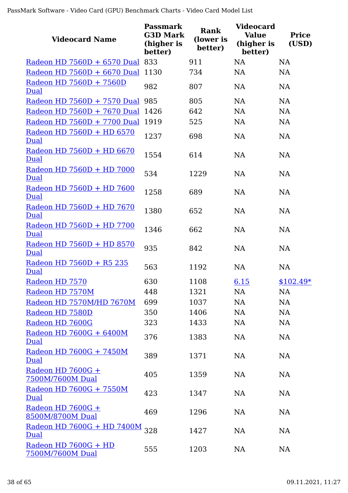| <b>Videocard Name</b>                     | <b>Passmark</b><br><b>G3D Mark</b><br>(higher is<br>better) | Rank<br>(lower is<br>better) | <b>Videocard</b><br><b>Value</b><br>(higher is<br>better) | <b>Price</b><br>(USD) |
|-------------------------------------------|-------------------------------------------------------------|------------------------------|-----------------------------------------------------------|-----------------------|
| Radeon HD 7560D + 6570 Dual 833           |                                                             | 911                          | <b>NA</b>                                                 | <b>NA</b>             |
| Radeon HD 7560D + 6670 Dual               | 1130                                                        | 734                          | <b>NA</b>                                                 | <b>NA</b>             |
| Radeon HD 7560D + 7560D<br>Dual           | 982                                                         | 807                          | <b>NA</b>                                                 | <b>NA</b>             |
| Radeon HD 7560D + 7570 Dual               | 985                                                         | 805                          | <b>NA</b>                                                 | NA                    |
| Radeon HD 7560D + 7670 Dual               | 1426                                                        | 642                          | <b>NA</b>                                                 | <b>NA</b>             |
| Radeon HD 7560D + 7700 Dual               | 1919                                                        | 525                          | <b>NA</b>                                                 | <b>NA</b>             |
| Radeon HD 7560D + HD 6570<br>Dual         | 1237                                                        | 698                          | <b>NA</b>                                                 | NA                    |
| Radeon HD 7560D + HD 6670<br>Dual         | 1554                                                        | 614                          | <b>NA</b>                                                 | <b>NA</b>             |
| Radeon HD 7560D + HD 7000<br>Dual         | 534                                                         | 1229                         | <b>NA</b>                                                 | <b>NA</b>             |
| Radeon HD 7560D + HD 7600<br>Dual         | 1258                                                        | 689                          | <b>NA</b>                                                 | <b>NA</b>             |
| Radeon HD 7560D + HD 7670<br>Dual         | 1380                                                        | 652                          | <b>NA</b>                                                 | <b>NA</b>             |
| Radeon HD 7560D + HD 7700<br>Dual         | 1346                                                        | 662                          | <b>NA</b>                                                 | <b>NA</b>             |
| Radeon HD 7560D + HD 8570<br>Dual         | 935                                                         | 842                          | <b>NA</b>                                                 | <b>NA</b>             |
| Radeon HD 7560D + R5 235<br>Dual          | 563                                                         | 1192                         | <b>NA</b>                                                 | <b>NA</b>             |
| Radeon HD 7570                            | 630                                                         | 1108                         | 6.15                                                      | $$102.49*$            |
| Radeon HD 7570M                           | 448                                                         | 1321                         | NA                                                        | <b>NA</b>             |
| Radeon HD 7570M/HD 7670M                  | 699                                                         | 1037                         | NA                                                        | NA                    |
| Radeon HD 7580D                           | 350                                                         | 1406                         | <b>NA</b>                                                 | NA                    |
| Radeon HD 7600G                           | 323                                                         | 1433                         | NA                                                        | NA                    |
| Radeon HD 7600G + 6400M<br>Dual           | 376                                                         | 1383                         | NA                                                        | NA                    |
| Radeon HD 7600G + 7450M<br>Dual           | 389                                                         | 1371                         | <b>NA</b>                                                 | NA                    |
| Radeon HD 7600G +<br>7500M/7600M Dual     | 405                                                         | 1359                         | <b>NA</b>                                                 | NA                    |
| Radeon HD 7600G + 7550M<br>Dual           | 423                                                         | 1347                         | NA                                                        | NA                    |
| Radeon HD $7600G +$<br>8500M/8700M Dual   | 469                                                         | 1296                         | <b>NA</b>                                                 | NA                    |
| <u>Radeon HD 7600G + HD 7400M</u><br>Dual | 328                                                         | 1427                         | NA                                                        | NA                    |
| Radeon HD 7600G + HD<br>7500M/7600M Dual  | 555                                                         | 1203                         | NA                                                        | NA                    |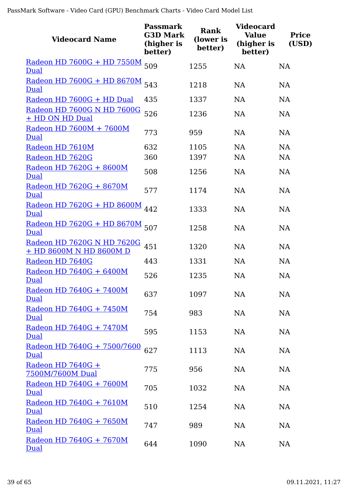| <b>Videocard Name</b>                                 | Passmark<br><b>G3D Mark</b><br>(higher is<br>better) | <b>Rank</b><br>(lower is<br>better) | <b>Videocard</b><br><b>Value</b><br>(higher is<br>better) | <b>Price</b><br>(USD) |
|-------------------------------------------------------|------------------------------------------------------|-------------------------------------|-----------------------------------------------------------|-----------------------|
| Radeon HD 7600G + HD 7550M<br>Dual                    | 509                                                  | 1255                                | <b>NA</b>                                                 | <b>NA</b>             |
| Radeon HD 7600G + HD 8670M<br>Dual                    | 543                                                  | 1218                                | <b>NA</b>                                                 | <b>NA</b>             |
| Radeon HD 7600G + HD Dual                             | 435                                                  | 1337                                | <b>NA</b>                                                 | <b>NA</b>             |
| Radeon HD 7600G N HD 7600G<br>+ HD ON HD Dual         | 526                                                  | 1236                                | <b>NA</b>                                                 | <b>NA</b>             |
| Radeon HD 7600M + 7600M<br>Dual                       | 773                                                  | 959                                 | <b>NA</b>                                                 | <b>NA</b>             |
| Radeon HD 7610M                                       | 632                                                  | 1105                                | <b>NA</b>                                                 | <b>NA</b>             |
| Radeon HD 7620G                                       | 360                                                  | 1397                                | <b>NA</b>                                                 | <b>NA</b>             |
| Radeon HD 7620G + 8600M<br>Dual                       | 508                                                  | 1256                                | <b>NA</b>                                                 | <b>NA</b>             |
| Radeon HD 7620G + 8670M<br><b>Dual</b>                | 577                                                  | 1174                                | <b>NA</b>                                                 | <b>NA</b>             |
| Radeon HD 7620G + HD 8600M<br>Dual                    | 442                                                  | 1333                                | <b>NA</b>                                                 | <b>NA</b>             |
| Radeon HD 7620G + HD 8670M<br>Dual                    | 507                                                  | 1258                                | <b>NA</b>                                                 | <b>NA</b>             |
| Radeon HD 7620G N HD 7620G<br>+ HD 8600M N HD 8600M D | 451                                                  | 1320                                | <b>NA</b>                                                 | <b>NA</b>             |
| Radeon HD 7640G                                       | 443                                                  | 1331                                | <b>NA</b>                                                 | <b>NA</b>             |
| Radeon HD 7640G + 6400M<br><b>Dual</b>                | 526                                                  | 1235                                | <b>NA</b>                                                 | NA                    |
| Radeon HD 7640G + 7400M<br>Dual                       | 637                                                  | 1097                                | <b>NA</b>                                                 | NA                    |
| Radeon HD 7640G + 7450M<br>Dual                       | 754                                                  | 983                                 | <b>NA</b>                                                 | <b>NA</b>             |
| Radeon HD 7640G + 7470M<br>Dual                       | 595                                                  | 1153                                | NA                                                        | <b>NA</b>             |
| <u>Radeon HD 7640G + 7500/7600</u><br>Dual            | 627                                                  | 1113                                | NA                                                        | <b>NA</b>             |
| Radeon HD 7640G +<br>7500M/7600M Dual                 | 775                                                  | 956                                 | NA                                                        | <b>NA</b>             |
| Radeon HD 7640G + 7600M<br>Dual                       | 705                                                  | 1032                                | NA                                                        | <b>NA</b>             |
| Radeon HD 7640G + 7610M<br>Dual                       | 510                                                  | 1254                                | <b>NA</b>                                                 | <b>NA</b>             |
| Radeon HD 7640G + 7650M<br>Dual                       | 747                                                  | 989                                 | NA                                                        | <b>NA</b>             |
| Radeon HD 7640G + 7670M<br>Dual                       | 644                                                  | 1090                                | <b>NA</b>                                                 | NA                    |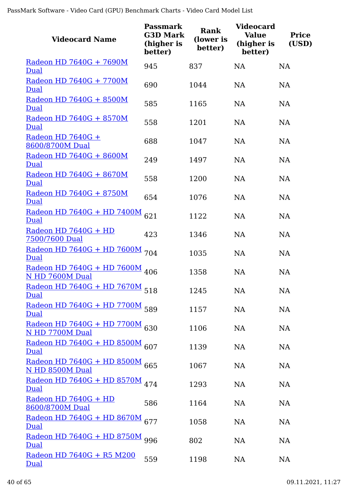| <b>Videocard Name</b>                                | <b>Passmark</b><br><b>G3D Mark</b><br>(higher is<br>better) | <b>Rank</b><br>(lower is<br>better) | <b>Videocard</b><br><b>Value</b><br>(higher is<br>better) | <b>Price</b><br>(USD) |
|------------------------------------------------------|-------------------------------------------------------------|-------------------------------------|-----------------------------------------------------------|-----------------------|
| Radeon HD 7640G + 7690M<br>Dual                      | 945                                                         | 837                                 | NA                                                        | <b>NA</b>             |
| Radeon HD 7640G + 7700M<br>Dual                      | 690                                                         | 1044                                | <b>NA</b>                                                 | <b>NA</b>             |
| Radeon HD 7640G + 8500M<br>Dual                      | 585                                                         | 1165                                | <b>NA</b>                                                 | <b>NA</b>             |
| Radeon HD 7640G + 8570M<br>Dual                      | 558                                                         | 1201                                | <b>NA</b>                                                 | <b>NA</b>             |
| Radeon HD 7640G +<br>8600/8700M Dual                 | 688                                                         | 1047                                | <b>NA</b>                                                 | <b>NA</b>             |
| Radeon HD 7640G + 8600M<br>Dual                      | 249                                                         | 1497                                | <b>NA</b>                                                 | <b>NA</b>             |
| Radeon HD 7640G + 8670M<br>Dual                      | 558                                                         | 1200                                | NA                                                        | NA                    |
| Radeon HD 7640G + 8750M<br>Dual                      | 654                                                         | 1076                                | <b>NA</b>                                                 | <b>NA</b>             |
| <u>Radeon HD 7640G + HD 7400M</u><br>Dual            | 621                                                         | 1122                                | <b>NA</b>                                                 | <b>NA</b>             |
| Radeon HD 7640G + HD<br>7500/7600 Dual               | 423                                                         | 1346                                | <b>NA</b>                                                 | <b>NA</b>             |
| Radeon HD 7640G + HD 7600M 704<br>Dual               |                                                             | 1035                                | <b>NA</b>                                                 | <b>NA</b>             |
| <u>Radeon HD 7640G + HD 7600M</u><br>N HD 7600M Dual | 406                                                         | 1358                                | <b>NA</b>                                                 | <b>NA</b>             |
| Radeon HD 7640G + HD 7670M 518<br>Dual               |                                                             | 1245                                | <b>NA</b>                                                 | NA                    |
| Radeon HD 7640G + HD 7700M 589<br><u>Dual</u>        |                                                             | 1157                                | NA                                                        | <b>NA</b>             |
| Radeon HD 7640G + HD 7700M 630<br>N HD 7700M Dual    |                                                             | 1106                                | <b>NA</b>                                                 | <b>NA</b>             |
| Radeon HD 7640G + HD 8500M 607<br>Dual               |                                                             | 1139                                | <b>NA</b>                                                 | NA                    |
| Radeon HD 7640G + HD 8500M 665<br>N HD 8500M Dual    |                                                             | 1067                                | <b>NA</b>                                                 | <b>NA</b>             |
| Radeon HD 7640G + HD 8570M 474<br>Dual               |                                                             | 1293                                | <b>NA</b>                                                 | <b>NA</b>             |
| Radeon HD 7640G + HD<br>8600/8700M Dual              | 586                                                         | 1164                                | NA                                                        | <b>NA</b>             |
| <u>Radeon HD 7640G + HD 8670M</u><br>Dual            | 677                                                         | 1058                                | <b>NA</b>                                                 | <b>NA</b>             |
| <u>Radeon HD 7640G + HD 8750M</u><br>Dual            | 996                                                         | 802                                 | <b>NA</b>                                                 | <b>NA</b>             |
| <u>Radeon HD 7640G + R5 M200</u><br><u>Dual</u>      | 559                                                         | 1198                                | NA                                                        | <b>NA</b>             |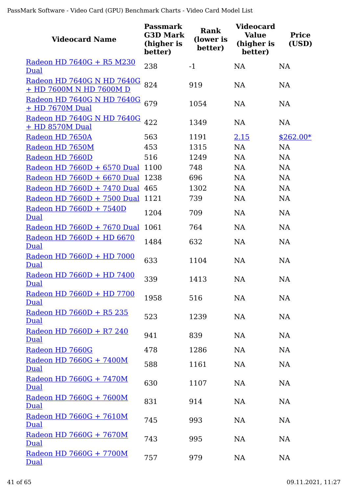| <b>Videocard Name</b>                                 | <b>Passmark</b><br><b>G3D Mark</b><br>(higher is<br>better) | <b>Rank</b><br>(lower is<br>better) | <b>Videocard</b><br><b>Value</b><br>(higher is<br>better) | <b>Price</b><br>(USD) |
|-------------------------------------------------------|-------------------------------------------------------------|-------------------------------------|-----------------------------------------------------------|-----------------------|
| Radeon HD 7640G + R5 M230                             | 238                                                         | $-1$                                | <b>NA</b>                                                 | <b>NA</b>             |
| Dual                                                  |                                                             |                                     |                                                           |                       |
| Radeon HD 7640G N HD 7640G<br>+ HD 7600M N HD 7600M D | 824                                                         | 919                                 | <b>NA</b>                                                 | <b>NA</b>             |
| Radeon HD 7640G N HD 7640G<br>+ HD 7670M Dual         | 679                                                         | 1054                                | <b>NA</b>                                                 | <b>NA</b>             |
| Radeon HD 7640G N HD 7640G<br>+ HD 8570M Dual         | 422                                                         | 1349                                | <b>NA</b>                                                 | <b>NA</b>             |
| Radeon HD 7650A                                       | 563                                                         | 1191                                | 2.15                                                      | $$262.00*$            |
| Radeon HD 7650M                                       | 453                                                         | 1315                                | NA                                                        | <b>NA</b>             |
| Radeon HD 7660D                                       | 516                                                         | 1249                                | <b>NA</b>                                                 | <b>NA</b>             |
| Radeon HD 7660D + 6570 Dual 1100                      |                                                             | 748                                 | NA                                                        | NA                    |
| Radeon HD $7660D + 6670$ Dual                         | 1238                                                        | 696                                 | <b>NA</b>                                                 | <b>NA</b>             |
| Radeon HD 7660D + 7470 Dual 465                       |                                                             | 1302                                | <b>NA</b>                                                 | <b>NA</b>             |
| Radeon HD 7660D + 7500 Dual                           | 1121                                                        | 739                                 | <b>NA</b>                                                 | <b>NA</b>             |
| Radeon HD 7660D + 7540D<br><b>Dual</b>                | 1204                                                        | 709                                 | <b>NA</b>                                                 | <b>NA</b>             |
| Radeon HD 7660D + 7670 Dual                           | 1061                                                        | 764                                 | <b>NA</b>                                                 | NA                    |
| Radeon HD 7660D + HD 6670<br>Dual                     | 1484                                                        | 632                                 | <b>NA</b>                                                 | <b>NA</b>             |
| Radeon HD 7660D + HD 7000<br>Dual                     | 633                                                         | 1104                                | <b>NA</b>                                                 | <b>NA</b>             |
| Radeon HD 7660D + HD 7400<br><b>Dual</b>              | 339                                                         | 1413                                | <b>NA</b>                                                 | <b>NA</b>             |
| Radeon HD 7660D + HD 7700<br>Dual                     | 1958                                                        | 516                                 | NA                                                        | <b>NA</b>             |
| Radeon HD 7660D + R5 235<br>Dual                      | 523                                                         | 1239                                | NA                                                        | <b>NA</b>             |
| Radeon HD 7660D + R7 240<br><u>Dual</u>               | 941                                                         | 839                                 | <b>NA</b>                                                 | <b>NA</b>             |
| Radeon HD 7660G                                       | 478                                                         | 1286                                | <b>NA</b>                                                 | <b>NA</b>             |
| Radeon HD 7660G + 7400M<br><b>Dual</b>                | 588                                                         | 1161                                | NA                                                        | <b>NA</b>             |
| Radeon HD 7660G + 7470M<br><b>Dual</b>                | 630                                                         | 1107                                | NA                                                        | <b>NA</b>             |
| Radeon HD 7660G + 7600M<br>Dual                       | 831                                                         | 914                                 | NA                                                        | <b>NA</b>             |
| Radeon HD 7660G + 7610M<br>Dual                       | 745                                                         | 993                                 | NA                                                        | <b>NA</b>             |
| Radeon HD 7660G + 7670M<br><b>Dual</b>                | 743                                                         | 995                                 | NA                                                        | <b>NA</b>             |
| Radeon HD 7660G + 7700M<br>Dual                       | 757                                                         | 979                                 | NA                                                        | <b>NA</b>             |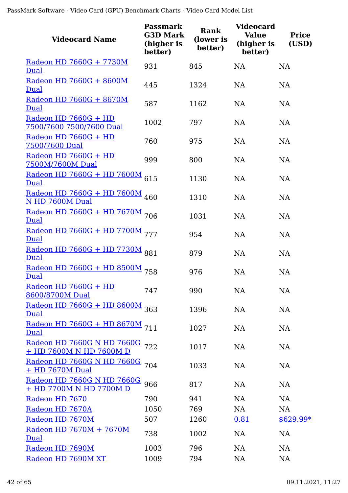| <b>Videocard Name</b>                                     | <b>Passmark</b><br><b>G3D Mark</b><br>(higher is<br>better) | <b>Rank</b><br>(lower is<br>better) | <b>Videocard</b><br><b>Value</b><br>(higher is<br>better) | <b>Price</b><br>(USD) |
|-----------------------------------------------------------|-------------------------------------------------------------|-------------------------------------|-----------------------------------------------------------|-----------------------|
| Radeon HD 7660G + 7730M<br>Dual                           | 931                                                         | 845                                 | <b>NA</b>                                                 | <b>NA</b>             |
| Radeon HD 7660G + 8600M<br>Dual                           | 445                                                         | 1324                                | NA                                                        | <b>NA</b>             |
| Radeon HD 7660G + 8670M<br>Dual                           | 587                                                         | 1162                                | NA                                                        | <b>NA</b>             |
| Radeon HD 7660G + HD<br>7500/7600 7500/7600 Dual          | 1002                                                        | 797                                 | <b>NA</b>                                                 | <b>NA</b>             |
| Radeon HD 7660G + HD<br>7500/7600 Dual                    | 760                                                         | 975                                 | <b>NA</b>                                                 | <b>NA</b>             |
| Radeon HD 7660G + HD<br>7500M/7600M Dual                  | 999                                                         | 800                                 | NA                                                        | NA                    |
| Radeon HD 7660G + HD 7600M<br>Dual                        | 615                                                         | 1130                                | <b>NA</b>                                                 | <b>NA</b>             |
| Radeon HD 7660G + HD 7600M 460<br>N HD 7600M Dual         |                                                             | 1310                                | <b>NA</b>                                                 | <b>NA</b>             |
| Radeon HD 7660G + HD 7670M 706<br>Dual                    |                                                             | 1031                                | NA                                                        | NA                    |
| Radeon HD 7660G + HD 7700M 777<br>Dual                    |                                                             | 954                                 | NA                                                        | <b>NA</b>             |
| Radeon HD 7660G + HD 7730M 881<br>Dual                    |                                                             | 879                                 | <b>NA</b>                                                 | <b>NA</b>             |
| <u>Radeon HD 7660G + HD 8500M</u><br>Dual                 | 758                                                         | 976                                 | NA                                                        | <b>NA</b>             |
| Radeon HD 7660G + HD<br>8600/8700M Dual                   | 747                                                         | 990                                 | <b>NA</b>                                                 | <b>NA</b>             |
| Radeon HD 7660G + HD 8600M 363<br>Dual                    |                                                             | 1396                                | <b>NA</b>                                                 | <b>NA</b>             |
| Radeon HD 7660G + HD 8670M 711<br>Dual                    |                                                             | 1027                                | <b>NA</b>                                                 | <b>NA</b>             |
| Radeon HD 7660G N HD 7660G 722<br>+ HD 7600M N HD 7600M D |                                                             | 1017                                | <b>NA</b>                                                 | <b>NA</b>             |
| Radeon HD 7660G N HD 7660G<br>+ HD 7670M Dual             | 704                                                         | 1033                                | <b>NA</b>                                                 | <b>NA</b>             |
| Radeon HD 7660G N HD 7660G<br>+ HD 7700M N HD 7700M D     | 966                                                         | 817                                 | <b>NA</b>                                                 | <b>NA</b>             |
| Radeon HD 7670                                            | 790                                                         | 941                                 | <b>NA</b>                                                 | <b>NA</b>             |
| Radeon HD 7670A                                           | 1050                                                        | 769                                 | <b>NA</b>                                                 | <b>NA</b>             |
| Radeon HD 7670M                                           | 507                                                         | 1260                                | 0.81                                                      | $$629.99*$            |
| Radeon HD 7670M + 7670M<br>Dual                           | 738                                                         | 1002                                | <b>NA</b>                                                 | <b>NA</b>             |
| Radeon HD 7690M                                           | 1003                                                        | 796                                 | <b>NA</b>                                                 | <b>NA</b>             |
| Radeon HD 7690M XT                                        | 1009                                                        | 794                                 | <b>NA</b>                                                 | <b>NA</b>             |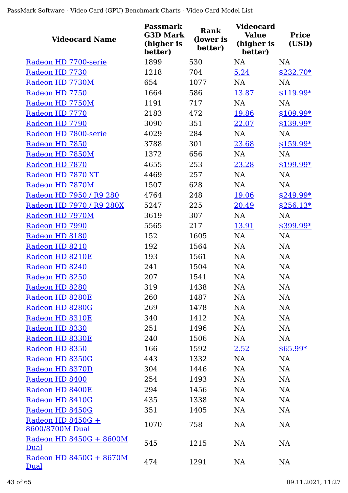| <b>Videocard Name</b>                  | <b>Passmark</b><br><b>G3D Mark</b><br>(higher is<br>better) | <b>Rank</b><br>(lower is<br>better) | <b>Videocard</b><br><b>Value</b><br>(higher is<br>better) | <b>Price</b><br>(USD) |
|----------------------------------------|-------------------------------------------------------------|-------------------------------------|-----------------------------------------------------------|-----------------------|
| Radeon HD 7700-serie                   | 1899                                                        | 530                                 | <b>NA</b>                                                 | <b>NA</b>             |
| Radeon HD 7730                         | 1218                                                        | 704                                 | 5.24                                                      | $$232.70*$            |
| Radeon HD 7730M                        | 654                                                         | 1077                                | <b>NA</b>                                                 | <b>NA</b>             |
| Radeon HD 7750                         | 1664                                                        | 586                                 | 13.87                                                     | $$119.99*$            |
| Radeon HD 7750M                        | 1191                                                        | 717                                 | <b>NA</b>                                                 | <b>NA</b>             |
| Radeon HD 7770                         | 2183                                                        | 472                                 | 19.86                                                     | $$109.99*$            |
| Radeon HD 7790                         | 3090                                                        | 351                                 | 22.07                                                     | $$139.99*$            |
| Radeon HD 7800-serie                   | 4029                                                        | 284                                 | NA                                                        | NA                    |
| Radeon HD 7850                         | 3788                                                        | 301                                 | 23.68                                                     | $$159.99*$            |
| Radeon HD 7850M                        | 1372                                                        | 656                                 | NA                                                        | NA                    |
| Radeon HD 7870                         | 4655                                                        | 253                                 | 23.28                                                     | \$199.99*             |
| Radeon HD 7870 XT                      | 4469                                                        | 257                                 | <b>NA</b>                                                 | <b>NA</b>             |
| Radeon HD 7870M                        | 1507                                                        | 628                                 | <b>NA</b>                                                 | <b>NA</b>             |
| Radeon HD 7950 / R9 280                | 4764                                                        | 248                                 | 19.06                                                     | $$249.99*$            |
| Radeon HD 7970 / R9 280X               | 5247                                                        | 225                                 | 20.49                                                     | $$256.13*$            |
| Radeon HD 7970M                        | 3619                                                        | 307                                 | <b>NA</b>                                                 | <b>NA</b>             |
| Radeon HD 7990                         | 5565                                                        | 217                                 | 13.91                                                     | \$399.99*             |
| Radeon HD 8180                         | 152                                                         | 1605                                | <b>NA</b>                                                 | <b>NA</b>             |
| Radeon HD 8210                         | 192                                                         | 1564                                | <b>NA</b>                                                 | NA                    |
| Radeon HD 8210E                        | 193                                                         | 1561                                | NA                                                        | NA                    |
| Radeon HD 8240                         | 241                                                         | 1504                                | NA                                                        | <b>NA</b>             |
| Radeon HD 8250                         | 207                                                         | 1541                                | <b>NA</b>                                                 | <b>NA</b>             |
| Radeon HD 8280                         | 319                                                         | 1438                                | NA                                                        | NA                    |
| Radeon HD 8280E                        | 260                                                         | 1487                                | NA                                                        | <b>NA</b>             |
| Radeon HD 8280G                        | 269                                                         | 1478                                | NA                                                        | <b>NA</b>             |
| Radeon HD 8310E                        | 340                                                         | 1412                                | NA                                                        | NA                    |
| Radeon HD 8330                         | 251                                                         | 1496                                | NA                                                        | <b>NA</b>             |
| Radeon HD 8330E                        | 240                                                         | 1506                                | NA                                                        | <b>NA</b>             |
| Radeon HD 8350                         | 166                                                         | 1592                                | 2.52                                                      | $$65.99*$             |
| Radeon HD 8350G                        | 443                                                         | 1332                                | NA                                                        | NA                    |
| Radeon HD 8370D                        | 304                                                         | 1446                                | NA                                                        | NA                    |
| Radeon HD 8400                         | 254                                                         | 1493                                | NA                                                        | NA                    |
| Radeon HD 8400E                        | 294                                                         | 1456                                | <b>NA</b>                                                 | NA                    |
| Radeon HD 8410G                        | 435                                                         | 1338                                | NA                                                        | <b>NA</b>             |
| Radeon HD 8450G                        | 351                                                         | 1405                                | NA                                                        | <b>NA</b>             |
| Radeon HD 8450G +<br>8600/8700M Dual   | 1070                                                        | 758                                 | <b>NA</b>                                                 | <b>NA</b>             |
| Radeon HD 8450G + 8600M<br>Dual        | 545                                                         | 1215                                | NA                                                        | <b>NA</b>             |
| Radeon HD 8450G + 8670M<br><u>Dual</u> | 474                                                         | 1291                                | NA                                                        | <b>NA</b>             |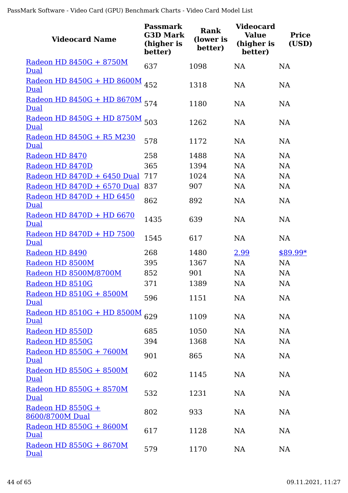| <b>Videocard Name</b>                     | <b>Passmark</b><br><b>G3D Mark</b><br>(higher is<br>better) | <b>Rank</b><br>(lower is<br>better) | <b>Videocard</b><br><b>Value</b><br>(higher is<br>better) | <b>Price</b><br>(USD) |
|-------------------------------------------|-------------------------------------------------------------|-------------------------------------|-----------------------------------------------------------|-----------------------|
| Radeon HD 8450G + 8750M<br>Dual           | 637                                                         | 1098                                | <b>NA</b>                                                 | <b>NA</b>             |
| Radeon HD 8450G + HD 8600M 452<br>Dual    |                                                             | 1318                                | <b>NA</b>                                                 | <b>NA</b>             |
| Radeon HD 8450G + HD 8670M<br>Dual        | 574                                                         | 1180                                | <b>NA</b>                                                 | <b>NA</b>             |
| Radeon HD 8450G + HD 8750M 503<br>Dual    |                                                             | 1262                                | <b>NA</b>                                                 | <b>NA</b>             |
| Radeon HD 8450G + R5 M230<br>Dual         | 578                                                         | 1172                                | <b>NA</b>                                                 | <b>NA</b>             |
| Radeon HD 8470                            | 258                                                         | 1488                                | <b>NA</b>                                                 | <b>NA</b>             |
| Radeon HD 8470D                           | 365                                                         | 1394                                | NA                                                        | <b>NA</b>             |
| Radeon HD 8470D + 6450 Dual               | 717                                                         | 1024                                | <b>NA</b>                                                 | <b>NA</b>             |
| Radeon HD 8470D + 6570 Dual               | 837                                                         | 907                                 | <b>NA</b>                                                 | <b>NA</b>             |
| Radeon HD 8470D + HD 6450<br>Dual         | 862                                                         | 892                                 | <b>NA</b>                                                 | <b>NA</b>             |
| Radeon HD 8470D + HD 6670<br>Dual         | 1435                                                        | 639                                 | <b>NA</b>                                                 | <b>NA</b>             |
| Radeon HD 8470D + HD 7500<br>Dual         | 1545                                                        | 617                                 | <b>NA</b>                                                 | <b>NA</b>             |
| Radeon HD 8490                            | 268                                                         | 1480                                | 2.99                                                      | $$89.99*$             |
| Radeon HD 8500M                           | 395                                                         | 1367                                | <b>NA</b>                                                 | <b>NA</b>             |
| Radeon HD 8500M/8700M                     | 852                                                         | 901                                 | <b>NA</b>                                                 | <b>NA</b>             |
| Radeon HD 8510G                           | 371                                                         | 1389                                | <b>NA</b>                                                 | <b>NA</b>             |
| Radeon HD 8510G + 8500M<br>Dual           | 596                                                         | 1151                                | NA                                                        | NA                    |
| <u>Radeon HD 8510G + HD 8500M</u><br>Dual | 629                                                         | 1109                                | NA                                                        | <b>NA</b>             |
| Radeon HD 8550D                           | 685                                                         | 1050                                | <b>NA</b>                                                 | <b>NA</b>             |
| Radeon HD 8550G                           | 394                                                         | 1368                                | NA                                                        | <b>NA</b>             |
| Radeon HD 8550G + 7600M<br>Dual           | 901                                                         | 865                                 | <b>NA</b>                                                 | <b>NA</b>             |
| Radeon HD 8550G + 8500M<br>Dual           | 602                                                         | 1145                                | NA                                                        | <b>NA</b>             |
| Radeon HD 8550G + 8570M<br>Dual           | 532                                                         | 1231                                | NA                                                        | <b>NA</b>             |
| Radeon HD $8550G +$<br>8600/8700M Dual    | 802                                                         | 933                                 | NA                                                        | <b>NA</b>             |
| Radeon HD 8550G + 8600M<br>Dual           | 617                                                         | 1128                                | NA                                                        | <b>NA</b>             |
| Radeon HD 8550G + 8670M<br>Dual           | 579                                                         | 1170                                | NA                                                        | NA                    |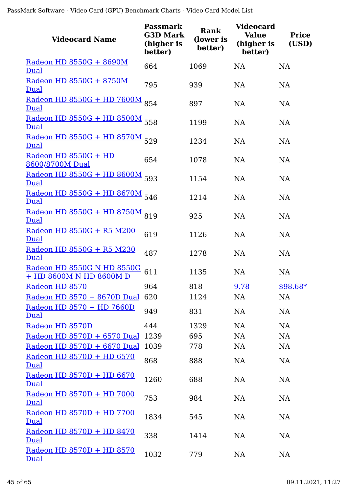| <b>Videocard Name</b>                                 | <b>Passmark</b><br><b>G3D Mark</b><br>(higher is<br>better) | <b>Rank</b><br>(lower is<br>better) | Videocard<br><b>Value</b><br>(higher is<br>better) | <b>Price</b><br>(USD) |
|-------------------------------------------------------|-------------------------------------------------------------|-------------------------------------|----------------------------------------------------|-----------------------|
| Radeon HD 8550G + 8690M<br>Dual                       | 664                                                         | 1069                                | <b>NA</b>                                          | <b>NA</b>             |
| Radeon HD 8550G + 8750M<br>Dual                       | 795                                                         | 939                                 | <b>NA</b>                                          | <b>NA</b>             |
| <u>Radeon HD 8550G + HD 7600M</u><br>Dual             | 854                                                         | 897                                 | <b>NA</b>                                          | <b>NA</b>             |
| <u>Radeon HD 8550G + HD 8500M</u><br>Dual             | 558                                                         | 1199                                | <b>NA</b>                                          | <b>NA</b>             |
| <u>Radeon HD 8550G + HD 8570M</u><br>Dual             | 529                                                         | 1234                                | <b>NA</b>                                          | <b>NA</b>             |
| Radeon HD 8550G + HD<br>8600/8700M Dual               | 654                                                         | 1078                                | NA                                                 | <b>NA</b>             |
| Radeon HD 8550G + HD 8600M<br>Dual                    | 593                                                         | 1154                                | NA                                                 | <b>NA</b>             |
| <u>Radeon HD 8550G + HD 8670M</u><br>Dual             | 546                                                         | 1214                                | <b>NA</b>                                          | <b>NA</b>             |
| <u>Radeon HD 8550G + HD 8750M</u><br>Dual             | 819                                                         | 925                                 | NA                                                 | <b>NA</b>             |
| Radeon HD 8550G + R5 M200<br>Dual                     | 619                                                         | 1126                                | NA                                                 | NA                    |
| Radeon HD 8550G + R5 M230<br>Dual                     | 487                                                         | 1278                                | <b>NA</b>                                          | <b>NA</b>             |
| Radeon HD 8550G N HD 8550G<br>+ HD 8600M N HD 8600M D | 611                                                         | 1135                                | <b>NA</b>                                          | <b>NA</b>             |
| Radeon HD 8570                                        | 964                                                         | 818                                 | 9.78                                               | $$98.68*$             |
| Radeon HD 8570 + 8670D Dual                           | 620                                                         | 1124                                | NA                                                 | <b>NA</b>             |
| Radeon HD 8570 + HD 7660D<br>Dual                     | 949                                                         | 831                                 | <b>NA</b>                                          | <b>NA</b>             |
| Radeon HD 8570D                                       | 444                                                         | 1329                                | NA                                                 | <b>NA</b>             |
| Radeon HD 8570D + 6570 Dual                           | 1239                                                        | 695                                 | <b>NA</b>                                          | NA                    |
| Radeon HD 8570D + 6670 Dual                           | 1039                                                        | 778                                 | <b>NA</b>                                          | <b>NA</b>             |
| Radeon HD 8570D + HD 6570<br>Dual                     | 868                                                         | 888                                 | <b>NA</b>                                          | <b>NA</b>             |
| Radeon HD 8570D + HD 6670<br>Dual                     | 1260                                                        | 688                                 | <b>NA</b>                                          | <b>NA</b>             |
| Radeon HD 8570D + HD 7000<br>Dual                     | 753                                                         | 984                                 | <b>NA</b>                                          | <b>NA</b>             |
| Radeon HD 8570D + HD 7700<br>Dual                     | 1834                                                        | 545                                 | NA                                                 | NA                    |
| Radeon HD 8570D + HD 8470<br>Dual                     | 338                                                         | 1414                                | <b>NA</b>                                          | <b>NA</b>             |
| Radeon HD 8570D + HD 8570<br>Dual                     | 1032                                                        | 779                                 | NA                                                 | <b>NA</b>             |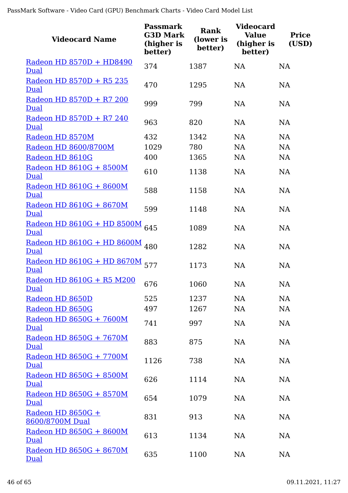| <b>Videocard Name</b>                     | <b>Passmark</b><br><b>G3D Mark</b><br>(higher is<br>better) | <b>Rank</b><br>(lower is<br>better) | <b>Videocard</b><br><b>Value</b><br>(higher is<br>better) | <b>Price</b><br>(USD) |
|-------------------------------------------|-------------------------------------------------------------|-------------------------------------|-----------------------------------------------------------|-----------------------|
| Radeon HD 8570D + HD8490<br>Dual          | 374                                                         | 1387                                | <b>NA</b>                                                 | <b>NA</b>             |
| Radeon HD 8570D + R5 235<br>Dual          | 470                                                         | 1295                                | <b>NA</b>                                                 | <b>NA</b>             |
| Radeon HD 8570D + R7 200<br>Dual          | 999                                                         | 799                                 | <b>NA</b>                                                 | <b>NA</b>             |
| Radeon HD 8570D + R7 240<br>Dual          | 963                                                         | 820                                 | <b>NA</b>                                                 | <b>NA</b>             |
| Radeon HD 8570M                           | 432                                                         | 1342                                | <b>NA</b>                                                 | <b>NA</b>             |
| Radeon HD 8600/8700M                      | 1029                                                        | 780                                 | <b>NA</b>                                                 | <b>NA</b>             |
| Radeon HD 8610G                           | 400                                                         | 1365                                | <b>NA</b>                                                 | <b>NA</b>             |
| Radeon HD 8610G + 8500M<br>Dual           | 610                                                         | 1138                                | <b>NA</b>                                                 | <b>NA</b>             |
| Radeon HD 8610G + 8600M<br>Dual           | 588                                                         | 1158                                | <b>NA</b>                                                 | <b>NA</b>             |
| Radeon HD 8610G + 8670M<br>Dual           | 599                                                         | 1148                                | <b>NA</b>                                                 | <b>NA</b>             |
| Radeon HD 8610G + HD 8500M<br>Dual        | 645                                                         | 1089                                | <b>NA</b>                                                 | <b>NA</b>             |
| <u>Radeon HD 8610G + HD 8600M</u><br>Dual | 480                                                         | 1282                                | <b>NA</b>                                                 | <b>NA</b>             |
| Radeon HD 8610G + HD 8670M 577<br>Dual    |                                                             | 1173                                | <b>NA</b>                                                 | <b>NA</b>             |
| Radeon HD 8610G + R5 M200<br>Dual         | 676                                                         | 1060                                | <b>NA</b>                                                 | <b>NA</b>             |
| Radeon HD 8650D                           | 525                                                         | 1237                                | NA                                                        | NA                    |
| Radeon HD 8650G                           | 497                                                         | 1267                                | <b>NA</b>                                                 | <b>NA</b>             |
| Radeon HD 8650G + 7600M<br>Dual           | 741                                                         | 997                                 | <b>NA</b>                                                 | <b>NA</b>             |
| Radeon HD 8650G + 7670M<br>Dual           | 883                                                         | 875                                 | <b>NA</b>                                                 | <b>NA</b>             |
| Radeon HD 8650G + 7700M<br>Dual           | 1126                                                        | 738                                 | NA                                                        | <b>NA</b>             |
| Radeon HD 8650G + 8500M<br>Dual           | 626                                                         | 1114                                | <b>NA</b>                                                 | NA                    |
| Radeon HD 8650G + 8570M<br><b>Dual</b>    | 654                                                         | 1079                                | <b>NA</b>                                                 | <b>NA</b>             |
| Radeon HD 8650G +<br>8600/8700M Dual      | 831                                                         | 913                                 | NA                                                        | <b>NA</b>             |
| Radeon HD 8650G + 8600M<br>Dual           | 613                                                         | 1134                                | <b>NA</b>                                                 | <b>NA</b>             |
| Radeon HD 8650G + 8670M<br>Dual           | 635                                                         | 1100                                | NA                                                        | <b>NA</b>             |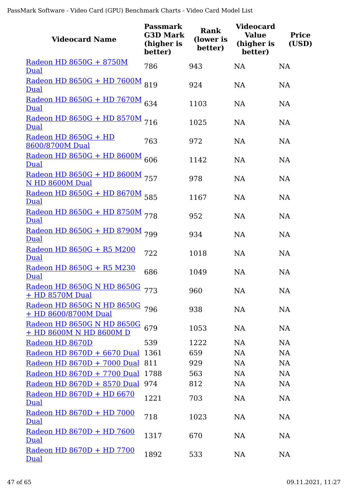| <b>Videocard Name</b>                                  | <b>Passmark</b><br><b>G3D Mark</b><br>(higher is<br>better) | <b>Rank</b><br>(lower is<br>better) | <b>Videocard</b><br><b>Value</b><br>(higher is<br>better) | <b>Price</b><br>(USD) |
|--------------------------------------------------------|-------------------------------------------------------------|-------------------------------------|-----------------------------------------------------------|-----------------------|
| Radeon HD 8650G + 8750M<br>Dual                        | 786                                                         | 943                                 | <b>NA</b>                                                 | <b>NA</b>             |
| <u>Radeon HD 8650G + HD 7600M</u><br>Dual              | 819                                                         | 924                                 | <b>NA</b>                                                 | <b>NA</b>             |
| Radeon HD 8650G + HD 7670M 634<br>Dual                 |                                                             | 1103                                | <b>NA</b>                                                 | <b>NA</b>             |
| Radeon HD 8650G + HD 8570M 716<br>Dual                 |                                                             | 1025                                | <b>NA</b>                                                 | <b>NA</b>             |
| $Radeon HD 8650G + HD$<br>8600/8700M Dual              | 763                                                         | 972                                 | <b>NA</b>                                                 | <b>NA</b>             |
| Radeon HD 8650G + HD 8600M 606<br>Dual                 |                                                             | 1142                                | <b>NA</b>                                                 | <b>NA</b>             |
| Radeon HD 8650G + HD 8600M 757<br>N HD 8600M Dual      |                                                             | 978                                 | <b>NA</b>                                                 | <b>NA</b>             |
| Radeon HD 8650G + HD 8670M 585<br>Dual                 |                                                             | 1167                                | <b>NA</b>                                                 | <b>NA</b>             |
| Radeon HD 8650G + HD 8750M 778<br>Dual                 |                                                             | 952                                 | <b>NA</b>                                                 | <b>NA</b>             |
| Radeon HD 8650G + HD 8790M 799<br>Dual                 |                                                             | 934                                 | NA                                                        | <b>NA</b>             |
| <u>Radeon HD 8650G + R5 M200</u><br>Dual               | 722                                                         | 1018                                | <b>NA</b>                                                 | <b>NA</b>             |
| Radeon HD 8650G + R5 M230<br>Dual                      | 686                                                         | 1049                                | <b>NA</b>                                                 | <b>NA</b>             |
| Radeon HD 8650G N HD 8650G 773<br>+ HD 8570M Dual      |                                                             | 960                                 | <b>NA</b>                                                 | NA                    |
| Radeon HD 8650G N HD 8650G 796<br>+ HD 8600/8700M Dual |                                                             | 938                                 | <b>NA</b>                                                 | <b>NA</b>             |
| Radeon HD 8650G N HD 8650G<br>+ HD 8600M N HD 8600M D  | 679                                                         | 1053                                | <b>NA</b>                                                 | <b>NA</b>             |
| Radeon HD 8670D                                        | 539                                                         | 1222                                | <b>NA</b>                                                 | <b>NA</b>             |
| Radeon HD 8670D + 6670 Dual 1361                       |                                                             | 659                                 | NA                                                        | <b>NA</b>             |
| Radeon HD 8670D + 7000 Dual 811                        |                                                             | 929                                 | <b>NA</b>                                                 | <b>NA</b>             |
| Radeon HD 8670D + 7700 Dual 1788                       |                                                             | 563                                 | <b>NA</b>                                                 | <b>NA</b>             |
| Radeon HD 8670D + 8570 Dual 974                        |                                                             | 812                                 | <b>NA</b>                                                 | <b>NA</b>             |
| Radeon HD 8670D + HD 6670<br>Dual                      | 1221                                                        | 703                                 | <b>NA</b>                                                 | NA                    |
| Radeon HD 8670D + HD 7000<br>Dual                      | 718                                                         | 1023                                | <b>NA</b>                                                 | NA                    |
| Radeon HD 8670D + HD 7600<br>Dual                      | 1317                                                        | 670                                 | <b>NA</b>                                                 | <b>NA</b>             |
| Radeon HD 8670D + HD 7700<br>Dual                      | 1892                                                        | 533                                 | NA                                                        | <b>NA</b>             |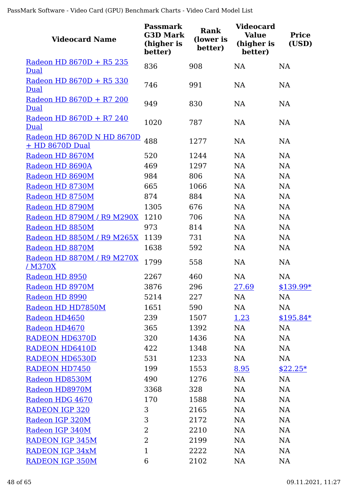| <b>Videocard Name</b>                         | <b>Passmark</b><br><b>G3D Mark</b><br>(higher is<br>better) | Rank<br>(lower is<br>better) | <b>Videocard</b><br><b>Value</b><br>(higher is<br>better) | <b>Price</b><br>(USD) |
|-----------------------------------------------|-------------------------------------------------------------|------------------------------|-----------------------------------------------------------|-----------------------|
| Radeon HD 8670D + R5 235                      | 836                                                         | 908                          | <b>NA</b>                                                 | <b>NA</b>             |
| Dual                                          |                                                             |                              |                                                           |                       |
| Radeon HD 8670D + R5 330<br>Dual              | 746                                                         | 991                          | <b>NA</b>                                                 | <b>NA</b>             |
| Radeon HD 8670D + R7 200<br><u>Dual</u>       | 949                                                         | 830                          | <b>NA</b>                                                 | <b>NA</b>             |
| Radeon HD 8670D + R7 240<br><b>Dual</b>       | 1020                                                        | 787                          | <b>NA</b>                                                 | <b>NA</b>             |
| Radeon HD 8670D N HD 8670D<br>+ HD 8670D Dual | 488                                                         | 1277                         | <b>NA</b>                                                 | <b>NA</b>             |
| Radeon HD 8670M                               | 520                                                         | 1244                         | <b>NA</b>                                                 | <b>NA</b>             |
| Radeon HD 8690A                               | 469                                                         | 1297                         | <b>NA</b>                                                 | <b>NA</b>             |
| Radeon HD 8690M                               | 984                                                         | 806                          | <b>NA</b>                                                 | <b>NA</b>             |
| Radeon HD 8730M                               | 665                                                         | 1066                         | <b>NA</b>                                                 | <b>NA</b>             |
| Radeon HD 8750M                               | 874                                                         | 884                          | <b>NA</b>                                                 | <b>NA</b>             |
| Radeon HD 8790M                               | 1305                                                        | 676                          | <b>NA</b>                                                 | <b>NA</b>             |
| Radeon HD 8790M / R9 M290X                    | 1210                                                        | 706                          | <b>NA</b>                                                 | <b>NA</b>             |
| Radeon HD 8850M                               | 973                                                         | 814                          | <b>NA</b>                                                 | NA                    |
| Radeon HD 8850M / R9 M265X                    | 1139                                                        | 731                          | <b>NA</b>                                                 | NA                    |
| Radeon HD 8870M                               | 1638                                                        | 592                          | <b>NA</b>                                                 | NA                    |
| Radeon HD 8870M / R9 M270X<br><u>/ M370X</u>  | 1799                                                        | 558                          | <b>NA</b>                                                 | NA                    |
| Radeon HD 8950                                | 2267                                                        | 460                          | <b>NA</b>                                                 | <b>NA</b>             |
| Radeon HD 8970M                               | 3876                                                        | 296                          | <u>27.69</u>                                              | \$139.99*             |
| Radeon HD 8990                                | 5214                                                        | 227                          | NA                                                        | NA                    |
| Radeon HD HD7850M                             | 1651                                                        | 590                          | NA                                                        | <b>NA</b>             |
| Radeon HD4650                                 | 239                                                         | 1507                         | <u>1.23</u>                                               | $$195.84*$            |
| Radeon HD4670                                 | 365                                                         | 1392                         | NA                                                        | <b>NA</b>             |
| <b>RADEON HD6370D</b>                         | 320                                                         | 1436                         | <b>NA</b>                                                 | NA                    |
| <b>RADEON HD6410D</b>                         | 422                                                         | 1348                         | <b>NA</b>                                                 | <b>NA</b>             |
| <b>RADEON HD6530D</b>                         | 531                                                         | 1233                         | NA                                                        | <b>NA</b>             |
| <b>RADEON HD7450</b>                          | 199                                                         | 1553                         | 8.95                                                      | $$22.25*$             |
| Radeon HD8530M                                | 490                                                         | 1276                         | NA                                                        | NA                    |
| Radeon HD8970M                                | 3368                                                        | 328                          | <b>NA</b>                                                 | NA                    |
| Radeon HDG 4670                               | 170                                                         | 1588                         | <b>NA</b>                                                 | <b>NA</b>             |
| <b>RADEON IGP 320</b>                         | 3                                                           | 2165                         | <b>NA</b>                                                 | <b>NA</b>             |
| Radeon IGP 320M                               | 3                                                           | 2172                         | <b>NA</b>                                                 | <b>NA</b>             |
| Radeon IGP 340M                               | 2                                                           | 2210                         | <b>NA</b>                                                 | <b>NA</b>             |
| <b>RADEON IGP 345M</b>                        | $\overline{2}$                                              | 2199                         | <b>NA</b>                                                 | <b>NA</b>             |
| <b>RADEON IGP 34xM</b>                        | $\mathbf{1}$                                                | 2222                         | <b>NA</b>                                                 | <b>NA</b>             |
| <b>RADEON IGP 350M</b>                        | 6                                                           | 2102                         | <b>NA</b>                                                 | <b>NA</b>             |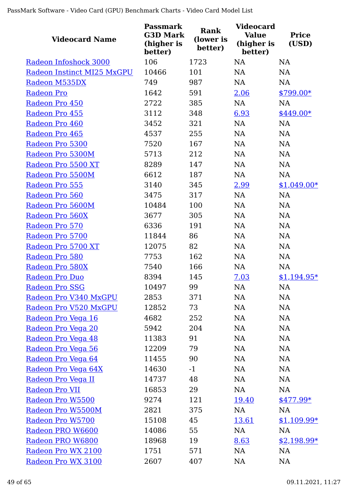| <b>Videocard Name</b>      | <b>Passmark</b><br><b>G3D Mark</b><br>(higher is<br>better) | Rank<br>(lower is<br>better) | <b>Videocard</b><br><b>Value</b><br>(higher is<br>better) | <b>Price</b><br>(USD) |
|----------------------------|-------------------------------------------------------------|------------------------------|-----------------------------------------------------------|-----------------------|
| Radeon Infoshock 3000      | 106                                                         | 1723                         | <b>NA</b>                                                 | NA                    |
| Radeon Instinct MI25 MxGPU | 10466                                                       | 101                          | NA                                                        | <b>NA</b>             |
| Radeon M535DX              | 749                                                         | 987                          | NA                                                        | <b>NA</b>             |
| <b>Radeon Pro</b>          | 1642                                                        | 591                          | 2.06                                                      | $$799.00*$            |
| Radeon Pro 450             | 2722                                                        | 385                          | <b>NA</b>                                                 | <b>NA</b>             |
| Radeon Pro 455             | 3112                                                        | 348                          | 6.93                                                      | $$449.00*$            |
| Radeon Pro 460             | 3452                                                        | 321                          | NA                                                        | <b>NA</b>             |
| Radeon Pro 465             | 4537                                                        | 255                          | NA                                                        | NA                    |
| Radeon Pro 5300            | 7520                                                        | 167                          | NA                                                        | NA                    |
| Radeon Pro 5300M           | 5713                                                        | 212                          | NA                                                        | NA                    |
| Radeon Pro 5500 XT         | 8289                                                        | 147                          | NA                                                        | NA                    |
| Radeon Pro 5500M           | 6612                                                        | 187                          | NA                                                        | <b>NA</b>             |
| Radeon Pro 555             | 3140                                                        | 345                          | 2.99                                                      | $$1,049.00*$          |
| Radeon Pro 560             | 3475                                                        | 317                          | NA                                                        | NA                    |
| Radeon Pro 5600M           | 10484                                                       | 100                          | NA                                                        | NA                    |
| Radeon Pro 560X            | 3677                                                        | 305                          | <b>NA</b>                                                 | <b>NA</b>             |
| Radeon Pro 570             | 6336                                                        | 191                          | NA                                                        | NA                    |
| Radeon Pro 5700            | 11844                                                       | 86                           | NA                                                        | <b>NA</b>             |
| Radeon Pro 5700 XT         | 12075                                                       | 82                           | NA                                                        | NA                    |
| Radeon Pro 580             | 7753                                                        | 162                          | NA                                                        | NA                    |
| Radeon Pro 580X            | 7540                                                        | 166                          | NA                                                        | NA                    |
| Radeon Pro Duo             | 8394                                                        | 145                          | 7.03                                                      | $$1,194.95*$          |
| Radeon Pro SSG             | 10497                                                       | 99                           | NA                                                        | NA                    |
| Radeon Pro V340 MxGPU      | 2853                                                        | 371                          | <b>NA</b>                                                 | NA                    |
| Radeon Pro V520 MxGPU      | 12852                                                       | 73                           | NA                                                        | NA                    |
| Radeon Pro Vega 16         | 4682                                                        | 252                          | NA                                                        | <b>NA</b>             |
| Radeon Pro Vega 20         | 5942                                                        | 204                          | NA                                                        | NA                    |
| Radeon Pro Vega 48         | 11383                                                       | 91                           | NA                                                        | NA                    |
| Radeon Pro Vega 56         | 12209                                                       | 79                           | NA                                                        | NA                    |
| <u>Radeon Pro Vega 64</u>  | 11455                                                       | 90                           | <b>NA</b>                                                 | NA                    |
| Radeon Pro Vega 64X        | 14630                                                       | $-1$                         | NA                                                        | NA                    |
| Radeon Pro Vega II         | 14737                                                       | 48                           | NA                                                        | NA                    |
| Radeon Pro VII             | 16853                                                       | 29                           | NA                                                        | NA                    |
| Radeon Pro W5500           | 9274                                                        | 121                          | 19.40                                                     | $$477.99*$            |
| Radeon Pro W5500M          | 2821                                                        | 375                          | <b>NA</b>                                                 | NA                    |
| Radeon Pro W5700           | 15108                                                       | 45                           | 13.61                                                     | $$1,109.99*$          |
| Radeon PRO W6600           | 14086                                                       | 55                           | NA                                                        | NA                    |
| Radeon PRO W6800           | 18968                                                       | 19                           | 8.63                                                      | $$2,198.99*$          |
| Radeon Pro WX 2100         | 1751                                                        | 571                          | <b>NA</b>                                                 | <b>NA</b>             |
| Radeon Pro WX 3100         | 2607                                                        | 407                          | NA                                                        | <b>NA</b>             |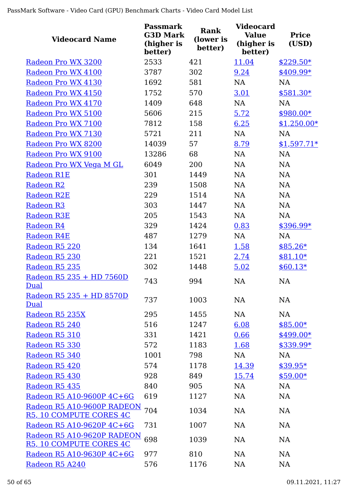| <b>Videocard Name</b>                                 | <b>Passmark</b><br><b>G3D Mark</b><br>(higher is<br>better) | <b>Rank</b><br>(lower is<br>better) | <b>Videocard</b><br><b>Value</b><br>(higher is<br>better) | <b>Price</b><br>(USD) |
|-------------------------------------------------------|-------------------------------------------------------------|-------------------------------------|-----------------------------------------------------------|-----------------------|
| Radeon Pro WX 3200                                    | 2533                                                        | 421                                 | 11.04                                                     | $$229.50*$            |
| Radeon Pro WX 4100                                    | 3787                                                        | 302                                 | 9.24                                                      | $$409.99*$            |
| Radeon Pro WX 4130                                    | 1692                                                        | 581                                 | <b>NA</b>                                                 | <b>NA</b>             |
| Radeon Pro WX 4150                                    | 1752                                                        | 570                                 | 3.01                                                      | $$581.30*$            |
| Radeon Pro WX 4170                                    | 1409                                                        | 648                                 | NA                                                        | <b>NA</b>             |
| Radeon Pro WX 5100                                    | 5606                                                        | 215                                 | 5.72                                                      | $$980.00*$            |
| Radeon Pro WX 7100                                    | 7812                                                        | 158                                 | 6.25                                                      | $$1,250.00*$          |
| Radeon Pro WX 7130                                    | 5721                                                        | 211                                 | NA                                                        | NA                    |
| Radeon Pro WX 8200                                    | 14039                                                       | 57                                  | 8.79                                                      | $$1,597.71*$          |
| Radeon Pro WX 9100                                    | 13286                                                       | 68                                  | <b>NA</b>                                                 | <b>NA</b>             |
| Radeon Pro WX Vega M GL                               | 6049                                                        | 200                                 | <b>NA</b>                                                 | <b>NA</b>             |
| <b>Radeon R1E</b>                                     | 301                                                         | 1449                                | NA                                                        | <b>NA</b>             |
| <b>Radeon R2</b>                                      | 239                                                         | 1508                                | <b>NA</b>                                                 | NA                    |
| <b>Radeon R2E</b>                                     | 229                                                         | 1514                                | <b>NA</b>                                                 | <b>NA</b>             |
| <b>Radeon R3</b>                                      | 303                                                         | 1447                                | NA                                                        | NA                    |
| <b>Radeon R3E</b>                                     | 205                                                         | 1543                                | <b>NA</b>                                                 | <b>NA</b>             |
| <b>Radeon R4</b>                                      | 329                                                         | 1424                                | 0.83                                                      | \$396.99*             |
| <b>Radeon R4E</b>                                     | 487                                                         | 1279                                | NA                                                        | <b>NA</b>             |
| Radeon R5 220                                         | 134                                                         | 1641                                | 1.58                                                      | $$85.26*$             |
| Radeon R5 230                                         | 221                                                         | 1521                                | 2.74                                                      | $$81.10*$             |
| Radeon R5 235                                         | 302                                                         | 1448                                | 5.02                                                      | $$60.13*$             |
| Radeon R5 235 + HD 7560D<br>Dual                      | 743                                                         | 994                                 | NA                                                        | NA                    |
| Radeon R5 235 + HD 8570D<br>Dual                      | 737                                                         | 1003                                | <b>NA</b>                                                 | NA                    |
| Radeon R5 235X                                        | 295                                                         | 1455                                | <b>NA</b>                                                 | <b>NA</b>             |
| Radeon R5 240                                         | 516                                                         | 1247                                | 6.08                                                      | $$85.00*$             |
| Radeon R5 310                                         | 331                                                         | 1421                                | 0.66                                                      | $$499.00*$            |
| Radeon R5 330                                         | 572                                                         | 1183                                | 1.68                                                      | \$339.99*             |
| Radeon R5 340                                         | 1001                                                        | 798                                 | NA                                                        | <b>NA</b>             |
| Radeon R5 420                                         | 574                                                         | 1178                                | 14.39                                                     | $$39.95*$             |
| Radeon R5 430                                         | 928                                                         | 849                                 | 15.74                                                     | $$59.00*$             |
| Radeon R5 435                                         | 840                                                         | 905                                 | <b>NA</b>                                                 | <b>NA</b>             |
| Radeon R5 A10-9600P 4C+6G                             | 619                                                         | 1127                                | <b>NA</b>                                                 | <b>NA</b>             |
| Radeon R5 A10-9600P RADEON<br>R5, 10 COMPUTE CORES 4C | 704                                                         | 1034                                | <b>NA</b>                                                 | <b>NA</b>             |
| Radeon R5 A10-9620P 4C+6G                             | 731                                                         | 1007                                | <b>NA</b>                                                 | NA                    |
| Radeon R5 A10-9620P RADEON<br>R5, 10 COMPUTE CORES 4C | 698                                                         | 1039                                | <b>NA</b>                                                 | NA                    |
| Radeon R5 A10-9630P 4C+6G                             | 977                                                         | 810                                 | <b>NA</b>                                                 | NA                    |
| Radeon R5 A240                                        | 576                                                         | 1176                                | NA                                                        | NA                    |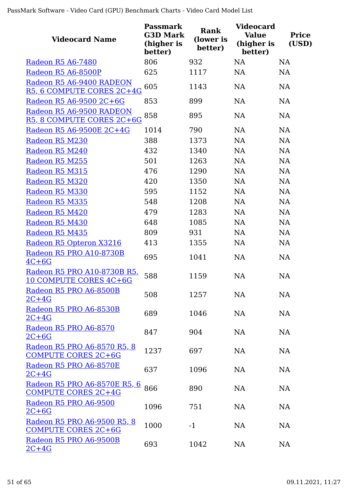| <b>Videocard Name</b>                                             | <b>Passmark</b><br><b>G3D Mark</b><br>(higher is<br>better) | <b>Rank</b><br>(lower is<br>better) | <b>Videocard</b><br><b>Value</b><br>(higher is<br>better) | <b>Price</b><br>(USD) |
|-------------------------------------------------------------------|-------------------------------------------------------------|-------------------------------------|-----------------------------------------------------------|-----------------------|
| Radeon R5 A6-7480                                                 | 806                                                         | 932                                 | <b>NA</b>                                                 | <b>NA</b>             |
| Radeon R5 A6-8500P                                                | 625                                                         | 1117                                | <b>NA</b>                                                 | <b>NA</b>             |
| Radeon R5 A6-9400 RADEON<br>R5, 6 COMPUTE CORES 2C+4G             | 605                                                         | 1143                                | <b>NA</b>                                                 | <b>NA</b>             |
| Radeon R5 A6-9500 2C+6G                                           | 853                                                         | 899                                 | <b>NA</b>                                                 | <b>NA</b>             |
| Radeon R5 A6-9500 RADEON<br>R5, 8 COMPUTE CORES 2C+6G             | 858                                                         | 895                                 | <b>NA</b>                                                 | <b>NA</b>             |
| Radeon R5 A6-9500E 2C+4G                                          | 1014                                                        | 790                                 | <b>NA</b>                                                 | <b>NA</b>             |
| Radeon R5 M230                                                    | 388                                                         | 1373                                | NA                                                        | <b>NA</b>             |
| Radeon R5 M240                                                    | 432                                                         | 1340                                | <b>NA</b>                                                 | <b>NA</b>             |
| Radeon R5 M255                                                    | 501                                                         | 1263                                | <b>NA</b>                                                 | <b>NA</b>             |
| Radeon R5 M315                                                    | 476                                                         | 1290                                | <b>NA</b>                                                 | <b>NA</b>             |
| Radeon R5 M320                                                    | 420                                                         | 1350                                | <b>NA</b>                                                 | <b>NA</b>             |
| Radeon R5 M330                                                    | 595                                                         | 1152                                | <b>NA</b>                                                 | <b>NA</b>             |
| Radeon R5 M335                                                    | 548                                                         | 1208                                | <b>NA</b>                                                 | <b>NA</b>             |
| Radeon R5 M420                                                    | 479                                                         | 1283                                | <b>NA</b>                                                 | <b>NA</b>             |
| Radeon R5 M430                                                    | 648                                                         | 1085                                | <b>NA</b>                                                 | NA                    |
| Radeon R5 M435                                                    | 809                                                         | 931                                 | <b>NA</b>                                                 | NA                    |
| Radeon R5 Opteron X3216                                           | 413                                                         | 1355                                | <b>NA</b>                                                 | <b>NA</b>             |
| Radeon R5 PRO A10-8730B<br>$4C+6G$                                | 695                                                         | 1041                                | <b>NA</b>                                                 | <b>NA</b>             |
| Radeon R5 PRO A10-8730B R5,<br><b>10 COMPUTE CORES 4C+6G</b>      | 588                                                         | 1159                                | <b>NA</b>                                                 | <b>NA</b>             |
| Radeon R5 PRO A6-8500B<br>$2C+4G$                                 | 508                                                         | 1257                                | <b>NA</b>                                                 | NA                    |
| Radeon R5 PRO A6-8530B<br>$2C+4G$                                 | 689                                                         | 1046                                | <b>NA</b>                                                 | <b>NA</b>             |
| Radeon R5 PRO A6-8570<br>$2C+6G$                                  | 847                                                         | 904                                 | <b>NA</b>                                                 | <b>NA</b>             |
| Radeon R5 PRO A6-8570 R5, 8<br><b>COMPUTE CORES 2C+6G</b>         | 1237                                                        | 697                                 | NA                                                        | NA                    |
| Radeon R5 PRO A6-8570E<br>$2C+4G$                                 | 637                                                         | 1096                                | <b>NA</b>                                                 | <b>NA</b>             |
| <u>Radeon R5 PRO A6-8570E R5, 6</u><br><b>COMPUTE CORES 2C+4G</b> | 866                                                         | 890                                 | <b>NA</b>                                                 | <b>NA</b>             |
| Radeon R5 PRO A6-9500<br>$2C+6G$                                  | 1096                                                        | 751                                 | NA                                                        | NA                    |
| Radeon R5 PRO A6-9500 R5, 8<br><b>COMPUTE CORES 2C+6G</b>         | 1000                                                        | $-1$                                | <b>NA</b>                                                 | <b>NA</b>             |
| Radeon R5 PRO A6-9500B<br>$2C+4G$                                 | 693                                                         | 1042                                | NA                                                        | NA                    |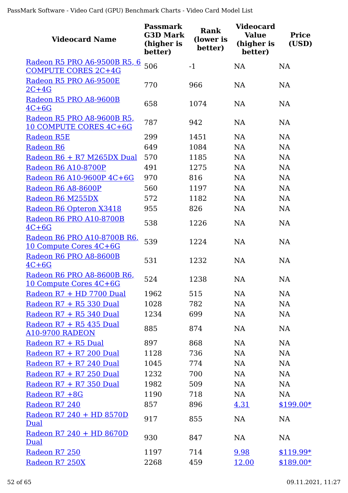| <b>Videocard Name</b>                                        | <b>Passmark</b><br><b>G3D Mark</b><br>(higher is<br>better) | <b>Rank</b><br>(lower is<br>better) | <b>Videocard</b><br><b>Value</b><br>(higher is<br>better) | <b>Price</b><br>(USD) |
|--------------------------------------------------------------|-------------------------------------------------------------|-------------------------------------|-----------------------------------------------------------|-----------------------|
| Radeon R5 PRO A6-9500B R5, 6                                 | 506                                                         | $-1$                                | <b>NA</b>                                                 | <b>NA</b>             |
| <b>COMPUTE CORES 2C+4G</b>                                   |                                                             |                                     |                                                           |                       |
| Radeon R5 PRO A6-9500E<br>$2C+4G$                            | 770                                                         | 966                                 | <b>NA</b>                                                 | <b>NA</b>             |
| Radeon R5 PRO A8-9600B<br>$4C+6G$                            | 658                                                         | 1074                                | <b>NA</b>                                                 | <b>NA</b>             |
| Radeon R5 PRO A8-9600B R5<br>10 COMPUTE CORES 4C+6G          | 787                                                         | 942                                 | <b>NA</b>                                                 | <b>NA</b>             |
| <b>Radeon R5E</b>                                            | 299                                                         | 1451                                | <b>NA</b>                                                 | NA                    |
| Radeon R6                                                    | 649                                                         | 1084                                | <b>NA</b>                                                 | NA                    |
| Radeon R6 + R7 M265DX Dual                                   | 570                                                         | 1185                                | <b>NA</b>                                                 | <b>NA</b>             |
| Radeon R6 A10-8700P                                          | 491                                                         | 1275                                | <b>NA</b>                                                 | <b>NA</b>             |
| Radeon R6 A10-9600P 4C+6G                                    | 970                                                         | 816                                 | <b>NA</b>                                                 | <b>NA</b>             |
| Radeon R6 A8-8600P                                           | 560                                                         | 1197                                | <b>NA</b>                                                 | <b>NA</b>             |
| Radeon R6 M255DX                                             | 572                                                         | 1182                                | <b>NA</b>                                                 | <b>NA</b>             |
| Radeon R6 Opteron X3418                                      | 955                                                         | 826                                 | <b>NA</b>                                                 | <b>NA</b>             |
| Radeon R6 PRO A10-8700B<br>$4C+6G$                           | 538                                                         | 1226                                | <b>NA</b>                                                 | <b>NA</b>             |
| Radeon R6 PRO A10-8700B R6<br>10 Compute Cores 4C+6G         | 539                                                         | 1224                                | <b>NA</b>                                                 | <b>NA</b>             |
| Radeon R6 PRO A8-8600B<br>$4C+6G$                            | 531                                                         | 1232                                | <b>NA</b>                                                 | <b>NA</b>             |
| Radeon R6 PRO A8-8600B R6,<br><u> 10 Compute Cores 4C+6G</u> | 524                                                         | 1238                                | <b>NA</b>                                                 | <b>NA</b>             |
| Radeon R7 + HD 7700 Dual                                     | 1962                                                        | 515                                 | <b>NA</b>                                                 | <b>NA</b>             |
| Radeon R7 + R5 330 Dual                                      | 1028                                                        | 782                                 | <b>NA</b>                                                 | <b>NA</b>             |
| Radeon R7 + R5 340 Dual                                      | 1234                                                        | 699                                 | <b>NA</b>                                                 | <b>NA</b>             |
| Radeon R7 + R5 435 Dual<br><b>A10-9700 RADEON</b>            | 885                                                         | 874                                 | <b>NA</b>                                                 | <b>NA</b>             |
| Radeon R7 + R5 Dual                                          | 897                                                         | 868                                 | NA                                                        | NA                    |
| Radeon R7 + R7 200 Dual                                      | 1128                                                        | 736                                 | <b>NA</b>                                                 | <b>NA</b>             |
| Radeon R7 + R7 240 Dual                                      | 1045                                                        | 774                                 | <b>NA</b>                                                 | <b>NA</b>             |
| Radeon $R7 + R7$ 250 Dual                                    | 1232                                                        | 700                                 | <b>NA</b>                                                 | <b>NA</b>             |
| Radeon R7 + R7 350 Dual                                      | 1982                                                        | 509                                 | <b>NA</b>                                                 | <b>NA</b>             |
| Radeon R7 +8G                                                | 1190                                                        | 718                                 | NA                                                        | <b>NA</b>             |
| Radeon R7 240                                                | 857                                                         | 896                                 | 4.31                                                      | $$199.00*$            |
| Radeon R7 240 + HD 8570D<br>Dual                             | 917                                                         | 855                                 | <b>NA</b>                                                 | NA                    |
| Radeon R7 240 + HD 8670D<br>Dual                             | 930                                                         | 847                                 | NA                                                        | <b>NA</b>             |
| Radeon R7 250                                                | 1197                                                        | 714                                 | 9.98                                                      | $$119.99*$            |
| Radeon R7 250X                                               | 2268                                                        | 459                                 | 12.00                                                     | $$189.00*$            |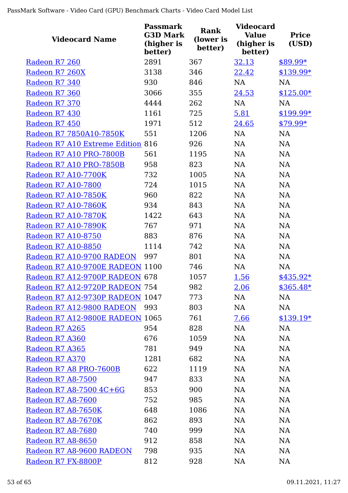| <b>Videocard Name</b>             | <b>Passmark</b><br><b>G3D Mark</b><br>(higher is<br>better) | Rank<br>(lower is<br>better) | <b>Videocard</b><br><b>Value</b><br>(higher is<br>better) | <b>Price</b><br>(USD) |
|-----------------------------------|-------------------------------------------------------------|------------------------------|-----------------------------------------------------------|-----------------------|
| Radeon R7 260                     | 2891                                                        | 367                          | 32.13                                                     | $$89.99*$             |
| Radeon R7 260X                    | 3138                                                        | 346                          | 22.42                                                     | $$139.99*$            |
| Radeon R7 340                     | 930                                                         | 846                          | <b>NA</b>                                                 | <b>NA</b>             |
| Radeon R7 360                     | 3066                                                        | 355                          | 24.53                                                     | $$125.00*$            |
| Radeon R7 370                     | 4444                                                        | 262                          | <b>NA</b>                                                 | <b>NA</b>             |
| Radeon R7 430                     | 1161                                                        | 725                          | 5.81                                                      | $$199.99*$            |
| Radeon R7 450                     | 1971                                                        | 512                          | 24.65                                                     | $$79.99*$             |
| Radeon R7 7850A10-7850K           | 551                                                         | 1206                         | NA                                                        | <b>NA</b>             |
| Radeon R7 A10 Extreme Edition 816 |                                                             | 926                          | <b>NA</b>                                                 | <b>NA</b>             |
| Radeon R7 A10 PRO-7800B           | 561                                                         | 1195                         | <b>NA</b>                                                 | <b>NA</b>             |
| Radeon R7 A10 PRO-7850B           | 958                                                         | 823                          | <b>NA</b>                                                 | NA                    |
| <b>Radeon R7 A10-7700K</b>        | 732                                                         | 1005                         | <b>NA</b>                                                 | <b>NA</b>             |
| Radeon R7 A10-7800                | 724                                                         | 1015                         | NA                                                        | <b>NA</b>             |
| <b>Radeon R7 A10-7850K</b>        | 960                                                         | 822                          | <b>NA</b>                                                 | <b>NA</b>             |
| <b>Radeon R7 A10-7860K</b>        | 934                                                         | 843                          | <b>NA</b>                                                 | <b>NA</b>             |
| <b>Radeon R7 A10-7870K</b>        | 1422                                                        | 643                          | <b>NA</b>                                                 | NA                    |
| <b>Radeon R7 A10-7890K</b>        | 767                                                         | 971                          | <b>NA</b>                                                 | <b>NA</b>             |
| Radeon R7 A10-8750                | 883                                                         | 876                          | <b>NA</b>                                                 | <b>NA</b>             |
| Radeon R7 A10-8850                | 1114                                                        | 742                          | NA                                                        | <b>NA</b>             |
| Radeon R7 A10-9700 RADEON         | 997                                                         | 801                          | <b>NA</b>                                                 | NA                    |
| Radeon R7 A10-9700E RADEON 1100   |                                                             | 746                          | NA                                                        | NA                    |
| Radeon R7 A12-9700P RADEON 678    |                                                             | 1057                         | 1.56                                                      | $$435.92*$            |
| Radeon R7 A12-9720P RADEON 754    |                                                             | 982                          | 2.06                                                      | \$365.48*             |
| Radeon R7 A12-9730P RADEON 1047   |                                                             | 773                          | NA                                                        | <b>NA</b>             |
| Radeon R7 A12-9800 RADEON 993     |                                                             | 803                          | NA                                                        | NA                    |
| Radeon R7 A12-9800E RADEON 1065   |                                                             | 761                          | 7.66                                                      | $$139.19*$            |
| Radeon R7 A265                    | 954                                                         | 828                          | NA                                                        | <b>NA</b>             |
| Radeon R7 A360                    | 676                                                         | 1059                         | <b>NA</b>                                                 | <b>NA</b>             |
| Radeon R7 A365                    | 781                                                         | 949                          | <b>NA</b>                                                 | NA                    |
| Radeon R7 A370                    | 1281                                                        | 682                          | NA                                                        | <b>NA</b>             |
| Radeon R7 A8 PRO-7600B            | 622                                                         | 1119                         | <b>NA</b>                                                 | <b>NA</b>             |
| Radeon R7 A8-7500                 | 947                                                         | 833                          | <b>NA</b>                                                 | <b>NA</b>             |
| Radeon R7 A8-7500 4C+6G           | 853                                                         | 900                          | <b>NA</b>                                                 | <b>NA</b>             |
| Radeon R7 A8-7600                 | 752                                                         | 985                          | <b>NA</b>                                                 | <b>NA</b>             |
| Radeon R7 A8-7650K                | 648                                                         | 1086                         | <b>NA</b>                                                 | <b>NA</b>             |
| Radeon R7 A8-7670K                | 862                                                         | 893                          | <b>NA</b>                                                 | <b>NA</b>             |
| Radeon R7 A8-7680                 | 740                                                         | 999                          | NA                                                        | <b>NA</b>             |
| Radeon R7 A8-8650                 | 912                                                         | 858                          | <b>NA</b>                                                 | NA                    |
| Radeon R7 A8-9600 RADEON          | 798                                                         | 935                          | <b>NA</b>                                                 | NA                    |
| Radeon R7 FX-8800P                | 812                                                         | 928                          | NA                                                        | <b>NA</b>             |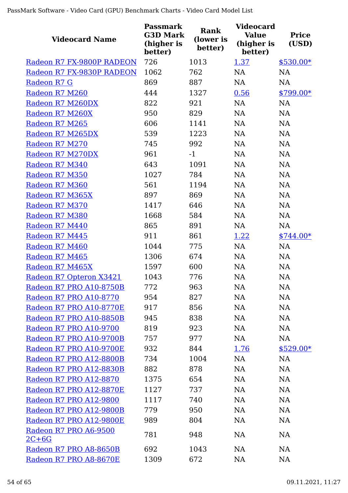| <b>Videocard Name</b>            | <b>Passmark</b><br><b>G3D Mark</b><br>(higher is<br>better) | Rank<br>(lower is<br>better) | <b>Videocard</b><br><b>Value</b><br>(higher is<br>better) | <b>Price</b><br>(USD) |
|----------------------------------|-------------------------------------------------------------|------------------------------|-----------------------------------------------------------|-----------------------|
| Radeon R7 FX-9800P RADEON        | 726                                                         | 1013                         | 1.37                                                      | $$530.00*$            |
| Radeon R7 FX-9830P RADEON        | 1062                                                        | 762                          | <b>NA</b>                                                 | <b>NA</b>             |
| Radeon R7 G                      | 869                                                         | 887                          | <b>NA</b>                                                 | <b>NA</b>             |
| Radeon R7 M260                   | 444                                                         | 1327                         | 0.56                                                      | $$799.00*$            |
| Radeon R7 M260DX                 | 822                                                         | 921                          | <b>NA</b>                                                 | NA                    |
| Radeon R7 M260X                  | 950                                                         | 829                          | <b>NA</b>                                                 | <b>NA</b>             |
| Radeon R7 M265                   | 606                                                         | 1141                         | <b>NA</b>                                                 | <b>NA</b>             |
| Radeon R7 M265DX                 | 539                                                         | 1223                         | <b>NA</b>                                                 | <b>NA</b>             |
| Radeon R7 M270                   | 745                                                         | 992                          | <b>NA</b>                                                 | NA                    |
| Radeon R7 M270DX                 | 961                                                         | $-1$                         | <b>NA</b>                                                 | <b>NA</b>             |
| Radeon R7 M340                   | 643                                                         | 1091                         | <b>NA</b>                                                 | NA                    |
| Radeon R7 M350                   | 1027                                                        | 784                          | <b>NA</b>                                                 | <b>NA</b>             |
| Radeon R7 M360                   | 561                                                         | 1194                         | <b>NA</b>                                                 | <b>NA</b>             |
| Radeon R7 M365X                  | 897                                                         | 869                          | <b>NA</b>                                                 | <b>NA</b>             |
| Radeon R7 M370                   | 1417                                                        | 646                          | <b>NA</b>                                                 | <b>NA</b>             |
| Radeon R7 M380                   | 1668                                                        | 584                          | <b>NA</b>                                                 | <b>NA</b>             |
| Radeon R7 M440                   | 865                                                         | 891                          | <b>NA</b>                                                 | NA                    |
| Radeon R7 M445                   | 911                                                         | 861                          | 1.22                                                      | $$744.00*$            |
| Radeon R7 M460                   | 1044                                                        | 775                          | NA                                                        | NA                    |
| Radeon R7 M465                   | 1306                                                        | 674                          | <b>NA</b>                                                 | <b>NA</b>             |
| Radeon R7 M465X                  | 1597                                                        | 600                          | <b>NA</b>                                                 | <b>NA</b>             |
| Radeon R7 Opteron X3421          | 1043                                                        | 776                          | NA                                                        | <b>NA</b>             |
| Radeon R7 PRO A10-8750B          | 772                                                         | 963                          | <b>NA</b>                                                 | <b>NA</b>             |
| Radeon R7 PRO A10-8770           | 954                                                         | 827                          | NA                                                        | <b>NA</b>             |
| Radeon R7 PRO A10-8770E          | 917                                                         | 856                          | <b>NA</b>                                                 | <b>NA</b>             |
| Radeon R7 PRO A10-8850B          | 945                                                         | 838                          | <b>NA</b>                                                 | <b>NA</b>             |
| Radeon R7 PRO A10-9700           | 819                                                         | 923                          | <b>NA</b>                                                 | <b>NA</b>             |
| Radeon R7 PRO A10-9700B          | 757                                                         | 977                          | <b>NA</b>                                                 | NA                    |
| Radeon R7 PRO A10-9700E          | 932                                                         | 844                          | 1.76                                                      | $$529.00*$            |
| Radeon R7 PRO A12-8800B          | 734                                                         | 1004                         | <b>NA</b>                                                 | <b>NA</b>             |
| Radeon R7 PRO A12-8830B          | 882                                                         | 878                          | <b>NA</b>                                                 | <b>NA</b>             |
| Radeon R7 PRO A12-8870           | 1375                                                        | 654                          | <b>NA</b>                                                 | <b>NA</b>             |
| Radeon R7 PRO A12-8870E          | 1127                                                        | 737                          | <b>NA</b>                                                 | <b>NA</b>             |
| Radeon R7 PRO A12-9800           | 1117                                                        | 740                          | <b>NA</b>                                                 | <b>NA</b>             |
| Radeon R7 PRO A12-9800B          | 779                                                         | 950                          | <b>NA</b>                                                 | <b>NA</b>             |
| Radeon R7 PRO A12-9800E          | 989                                                         | 804                          | <b>NA</b>                                                 | <b>NA</b>             |
| Radeon R7 PRO A6-9500<br>$2C+6G$ | 781                                                         | 948                          | <b>NA</b>                                                 | <b>NA</b>             |
| Radeon R7 PRO A8-8650B           | 692                                                         | 1043                         | <b>NA</b>                                                 | <b>NA</b>             |
| Radeon R7 PRO A8-8670E           | 1309                                                        | 672                          | <b>NA</b>                                                 | NA                    |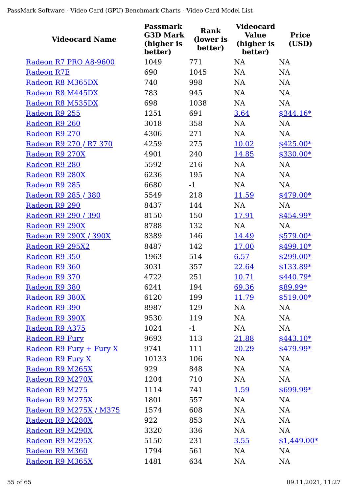| <b>Videocard Name</b>   | <b>Passmark</b><br><b>G3D Mark</b><br>(higher is<br>better) | Rank<br>(lower is<br>better) | <b>Videocard</b><br><b>Value</b><br>(higher is<br>better) | <b>Price</b><br>(USD) |
|-------------------------|-------------------------------------------------------------|------------------------------|-----------------------------------------------------------|-----------------------|
| Radeon R7 PRO A8-9600   | 1049                                                        | 771                          | <b>NA</b>                                                 | <b>NA</b>             |
| Radeon R7E              | 690                                                         | 1045                         | <b>NA</b>                                                 | <b>NA</b>             |
| Radeon R8 M365DX        | 740                                                         | 998                          | <b>NA</b>                                                 | <b>NA</b>             |
| Radeon R8 M445DX        | 783                                                         | 945                          | NA                                                        | NA                    |
| Radeon R8 M535DX        | 698                                                         | 1038                         | NA                                                        | <b>NA</b>             |
| Radeon R9 255           | 1251                                                        | 691                          | 3.64                                                      | $$344.16*$            |
| Radeon R9 260           | 3018                                                        | 358                          | <b>NA</b>                                                 | <b>NA</b>             |
| Radeon R9 270           | 4306                                                        | 271                          | NA                                                        | NA                    |
| Radeon R9 270 / R7 370  | 4259                                                        | 275                          | 10.02                                                     | $$425.00*$            |
| Radeon R9 270X          | 4901                                                        | 240                          | 14.85                                                     | $$330.00*$            |
| Radeon R9 280           | 5592                                                        | 216                          | <b>NA</b>                                                 | <b>NA</b>             |
| Radeon R9 280X          | 6236                                                        | 195                          | <b>NA</b>                                                 | NA                    |
| Radeon R9 285           | 6680                                                        | $-1$                         | <b>NA</b>                                                 | <b>NA</b>             |
| Radeon R9 285 / 380     | 5549                                                        | 218                          | 11.59                                                     | $$479.00*$            |
| Radeon R9 290           | 8437                                                        | 144                          | <b>NA</b>                                                 | <b>NA</b>             |
| Radeon R9 290 / 390     | 8150                                                        | 150                          | 17.91                                                     | \$454.99*             |
| Radeon R9 290X          | 8788                                                        | 132                          | NA                                                        | <b>NA</b>             |
| Radeon R9 290X / 390X   | 8389                                                        | 146                          | 14.49                                                     | $$579.00*$            |
| Radeon R9 295X2         | 8487                                                        | 142                          | 17.00                                                     | $$499.10*$            |
| Radeon R9 350           | 1963                                                        | 514                          | 6.57                                                      | $$299.00*$            |
| Radeon R9 360           | 3031                                                        | 357                          | 22.64                                                     | $$133.89*$            |
| Radeon R9 370           | 4722                                                        | 251                          | 10.71                                                     | $$440.79*$            |
| Radeon R9 380           | 6241                                                        | 194                          | 69.36                                                     | \$89.99*              |
| Radeon R9 380X          | 6120                                                        | 199                          | <u>11.79</u>                                              | $$519.00*$            |
| Radeon R9 390           | 8987                                                        | 129                          | NA                                                        | NA                    |
| Radeon R9 390X          | 9530                                                        | 119                          | NA                                                        | NA                    |
| Radeon R9 A375          | 1024                                                        | $-1$                         | NA                                                        | NA                    |
| Radeon R9 Fury          | 9693                                                        | 113                          | 21.88                                                     | $$443.10*$            |
| Radeon R9 Fury + Fury X | 9741                                                        | 111                          | 20.29                                                     | \$479.99*             |
| Radeon R9 Fury X        | 10133                                                       | 106                          | NA                                                        | <b>NA</b>             |
| Radeon R9 M265X         | 929                                                         | 848                          | NA                                                        | NA                    |
| Radeon R9 M270X         | 1204                                                        | 710                          | NA                                                        | NA                    |
| Radeon R9 M275          | 1114                                                        | 741                          | <u>1.59</u>                                               | $$699.99*$            |
| Radeon R9 M275X         | 1801                                                        | 557                          | NA                                                        | NA                    |
| Radeon R9 M275X / M375  | 1574                                                        | 608                          | NA                                                        | NA                    |
| Radeon R9 M280X         | 922                                                         | 853                          | NA                                                        | NA                    |
| Radeon R9 M290X         | 3320                                                        | 336                          | NA                                                        | NA                    |
| Radeon R9 M295X         | 5150                                                        | 231                          | <u>3.55</u>                                               | $$1,449.00*$          |
| Radeon R9 M360          | 1794                                                        | 561                          | NA                                                        | NA                    |
| Radeon R9 M365X         | 1481                                                        | 634                          | NA                                                        | <b>NA</b>             |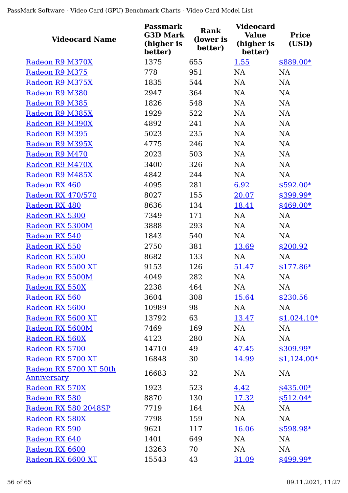| <b>Videocard Name</b>                        | <b>Passmark</b><br><b>G3D Mark</b><br>(higher is<br>better) | <b>Rank</b><br>(lower is<br>better) | <b>Videocard</b><br><b>Value</b><br>(higher is<br>better) | <b>Price</b><br>(USD) |
|----------------------------------------------|-------------------------------------------------------------|-------------------------------------|-----------------------------------------------------------|-----------------------|
| Radeon R9 M370X                              | 1375                                                        | 655                                 | 1.55                                                      | \$889.00*             |
| Radeon R9 M375                               | 778                                                         | 951                                 | NA                                                        | <b>NA</b>             |
| Radeon R9 M375X                              | 1835                                                        | 544                                 | <b>NA</b>                                                 | <b>NA</b>             |
| Radeon R9 M380                               | 2947                                                        | 364                                 | <b>NA</b>                                                 | NA                    |
| Radeon R9 M385                               | 1826                                                        | 548                                 | <b>NA</b>                                                 | <b>NA</b>             |
| Radeon R9 M385X                              | 1929                                                        | 522                                 | NA                                                        | NA                    |
| Radeon R9 M390X                              | 4892                                                        | 241                                 | NA                                                        | NA                    |
| Radeon R9 M395                               | 5023                                                        | 235                                 | NA                                                        | NA                    |
| Radeon R9 M395X                              | 4775                                                        | 246                                 | NA                                                        | NA                    |
| Radeon R9 M470                               | 2023                                                        | 503                                 | NA                                                        | NA                    |
| Radeon R9 M470X                              | 3400                                                        | 326                                 | <b>NA</b>                                                 | <b>NA</b>             |
| Radeon R9 M485X                              | 4842                                                        | 244                                 | <b>NA</b>                                                 | NA                    |
| Radeon RX 460                                | 4095                                                        | 281                                 | 6.92                                                      | $$592.00*$            |
| Radeon RX 470/570                            | 8027                                                        | 155                                 | 20.07                                                     | \$399.99*             |
| Radeon RX 480                                | 8636                                                        | 134                                 | 18.41                                                     | $$469.00*$            |
| Radeon RX 5300                               | 7349                                                        | 171                                 | <b>NA</b>                                                 | <b>NA</b>             |
| Radeon RX 5300M                              | 3888                                                        | 293                                 | NA                                                        | NA                    |
| Radeon RX 540                                | 1843                                                        | 540                                 | NA                                                        | <b>NA</b>             |
| Radeon RX 550                                | 2750                                                        | 381                                 | 13.69                                                     | \$200.92              |
| Radeon RX 5500                               | 8682                                                        | 133                                 | NA                                                        | NA                    |
| Radeon RX 5500 XT                            | 9153                                                        | 126                                 | 51.47                                                     | $$177.86*$            |
| Radeon RX 5500M                              | 4049                                                        | 282                                 | <b>NA</b>                                                 | NA                    |
| Radeon RX 550X                               | 2238                                                        | 464                                 | NA                                                        | NA                    |
| Radeon RX 560                                | 3604                                                        | 308                                 | 15.64                                                     | \$230.56              |
| Radeon RX 5600                               | 10989                                                       | 98                                  | NA                                                        | NA                    |
| Radeon RX 5600 XT                            | 13792                                                       | 63                                  | 13.47                                                     | $$1,024.10*$          |
| Radeon RX 5600M                              | 7469                                                        | 169                                 | NA                                                        | <b>NA</b>             |
| Radeon RX 560X                               | 4123                                                        | 280                                 | NA                                                        | NA                    |
| Radeon RX 5700                               | 14710                                                       | 49                                  | 47.45                                                     | $$309.99*$            |
| Radeon RX 5700 XT                            | 16848                                                       | 30                                  | 14.99                                                     | $$1,124.00*$          |
| Radeon RX 5700 XT 50th<br><u>Anniversary</u> | 16683                                                       | 32                                  | NA                                                        | <b>NA</b>             |
| Radeon RX 570X                               | 1923                                                        | 523                                 | 4.42                                                      | $$435.00*$            |
| Radeon RX 580                                | 8870                                                        | 130                                 | 17.32                                                     | $$512.04*$            |
| Radeon RX 580 2048SP                         | 7719                                                        | 164                                 | NA                                                        | NA                    |
| Radeon RX 580X                               | 7798                                                        | 159                                 | NA                                                        | NA                    |
| Radeon RX 590                                | 9621                                                        | 117                                 | 16.06                                                     | \$598.98*             |
| Radeon RX 640                                | 1401                                                        | 649                                 | NA                                                        | NA                    |
| Radeon RX 6600                               | 13263                                                       | 70                                  | NA                                                        | NA                    |
| Radeon RX 6600 XT                            | 15543                                                       | 43                                  | 31.09                                                     | $$499.99*$            |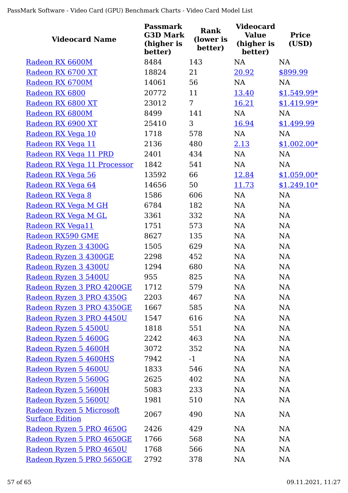| <b>Videocard Name</b>                              | <b>Passmark</b><br><b>G3D Mark</b><br>(higher is<br>better) | <b>Rank</b><br>(lower is<br>better) | <b>Videocard</b><br><b>Value</b><br>(higher is<br>better) | <b>Price</b><br>(USD) |
|----------------------------------------------------|-------------------------------------------------------------|-------------------------------------|-----------------------------------------------------------|-----------------------|
| Radeon RX 6600M                                    | 8484                                                        | 143                                 | <b>NA</b>                                                 | <b>NA</b>             |
| Radeon RX 6700 XT                                  | 18824                                                       | 21                                  | 20.92                                                     | \$899.99              |
| Radeon RX 6700M                                    | 14061                                                       | 56                                  | <b>NA</b>                                                 | <b>NA</b>             |
| Radeon RX 6800                                     | 20772                                                       | 11                                  | 13.40                                                     | $$1,549.99*$          |
| Radeon RX 6800 XT                                  | 23012                                                       | $\overline{7}$                      | 16.21                                                     | $$1,419.99*$          |
| Radeon RX 6800M                                    | 8499                                                        | 141                                 | NA                                                        | NA                    |
| Radeon RX 6900 XT                                  | 25410                                                       | 3                                   | 16.94                                                     | \$1,499.99            |
| Radeon RX Vega 10                                  | 1718                                                        | 578                                 | NA                                                        | NA                    |
| Radeon RX Vega 11                                  | 2136                                                        | 480                                 | 2.13                                                      | $$1,002.00*$          |
| Radeon RX Vega 11 PRD                              | 2401                                                        | 434                                 | NA                                                        | NA                    |
| Radeon RX Vega 11 Processor                        | 1842                                                        | 541                                 | NA                                                        | <b>NA</b>             |
| Radeon RX Vega 56                                  | 13592                                                       | 66                                  | 12.84                                                     | $$1,059.00*$          |
| Radeon RX Vega 64                                  | 14656                                                       | 50                                  | 11.73                                                     | $$1,249.10*$          |
| Radeon RX Vega 8                                   | 1586                                                        | 606                                 | <b>NA</b>                                                 | NA                    |
| Radeon RX Vega M GH                                | 6784                                                        | 182                                 | NA                                                        | NA                    |
| Radeon RX Vega M GL                                | 3361                                                        | 332                                 | NA                                                        | NA                    |
| Radeon RX Vega11                                   | 1751                                                        | 573                                 | NA                                                        | NA                    |
| Radeon RX590 GME                                   | 8627                                                        | 135                                 | NA                                                        | NA                    |
| Radeon Ryzen 3 4300G                               | 1505                                                        | 629                                 | NA                                                        | <b>NA</b>             |
| Radeon Ryzen 3 4300GE                              | 2298                                                        | 452                                 | NA                                                        | NA                    |
| Radeon Ryzen 3 4300U                               | 1294                                                        | 680                                 | NA                                                        | <b>NA</b>             |
| Radeon Ryzen 3 5400U                               | 955                                                         | 825                                 | <b>NA</b>                                                 | NA                    |
| Radeon Ryzen 3 PRO 4200GE                          | 1712                                                        | 579                                 | NA                                                        | $\rm NA$              |
| Radeon Ryzen 3 PRO 4350G                           | 2203                                                        | 467                                 | <b>NA</b>                                                 | NA                    |
| Radeon Ryzen 3 PRO 4350GE                          | 1667                                                        | 585                                 | NA                                                        | <b>NA</b>             |
| Radeon Ryzen 3 PRO 4450U                           | 1547                                                        | 616                                 | NA                                                        | <b>NA</b>             |
| Radeon Ryzen 5 4500U                               | 1818                                                        | 551                                 | NA                                                        | <b>NA</b>             |
| Radeon Ryzen 5 4600G                               | 2242                                                        | 463                                 | NA                                                        | NA                    |
| Radeon Ryzen 5 4600H                               | 3072                                                        | 352                                 | NA                                                        | <b>NA</b>             |
| Radeon Ryzen 5 4600HS                              | 7942                                                        | $-1$                                | NA                                                        | <b>NA</b>             |
| Radeon Ryzen 5 4600U                               | 1833                                                        | 546                                 | NA                                                        | <b>NA</b>             |
| Radeon Ryzen 5 5600G                               | 2625                                                        | 402                                 | NA                                                        | <b>NA</b>             |
| Radeon Ryzen 5 5600H                               | 5083                                                        | 233                                 | <b>NA</b>                                                 | <b>NA</b>             |
| Radeon Ryzen 5 5600U                               | 1981                                                        | 510                                 | NA                                                        | <b>NA</b>             |
| Radeon Ryzen 5 Microsoft<br><b>Surface Edition</b> | 2067                                                        | 490                                 | NA                                                        | <b>NA</b>             |
| Radeon Ryzen 5 PRO 4650G                           | 2426                                                        | 429                                 | <b>NA</b>                                                 | NA                    |
| Radeon Ryzen 5 PRO 4650GE                          | 1766                                                        | 568                                 | NA                                                        | <b>NA</b>             |
| Radeon Ryzen 5 PRO 4650U                           | 1768                                                        | 566                                 | NA                                                        | <b>NA</b>             |
| Radeon Ryzen 5 PRO 5650GE                          | 2792                                                        | 378                                 | <b>NA</b>                                                 | <b>NA</b>             |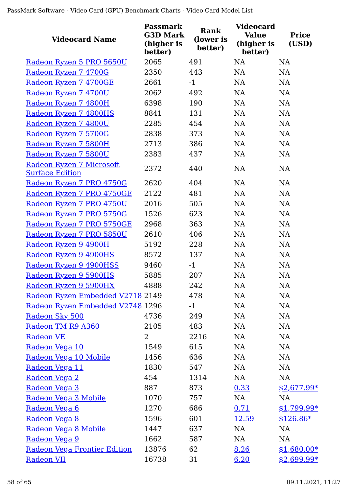| <b>Videocard Name</b>                              | <b>Passmark</b><br><b>G3D Mark</b><br>(higher is<br>better) | <b>Rank</b><br>(lower is<br>better) | <b>Videocard</b><br><b>Value</b><br>(higher is<br>better) | <b>Price</b><br>(USD) |
|----------------------------------------------------|-------------------------------------------------------------|-------------------------------------|-----------------------------------------------------------|-----------------------|
| Radeon Ryzen 5 PRO 5650U                           | 2065                                                        | 491                                 | <b>NA</b>                                                 | <b>NA</b>             |
| Radeon Ryzen 7 4700G                               | 2350                                                        | 443                                 | <b>NA</b>                                                 | NA                    |
| Radeon Ryzen 7 4700GE                              | 2661                                                        | $-1$                                | <b>NA</b>                                                 | <b>NA</b>             |
| Radeon Ryzen 7 4700U                               | 2062                                                        | 492                                 | <b>NA</b>                                                 | NA                    |
| Radeon Ryzen 7 4800H                               | 6398                                                        | 190                                 | <b>NA</b>                                                 | NA                    |
| Radeon Ryzen 7 4800HS                              | 8841                                                        | 131                                 | NA                                                        | <b>NA</b>             |
| Radeon Ryzen 7 4800U                               | 2285                                                        | 454                                 | NA                                                        | NA                    |
| Radeon Ryzen 7 5700G                               | 2838                                                        | 373                                 | NA                                                        | NA                    |
| Radeon Ryzen 7 5800H                               | 2713                                                        | 386                                 | <b>NA</b>                                                 | NA                    |
| Radeon Ryzen 7 5800U                               | 2383                                                        | 437                                 | <b>NA</b>                                                 | <b>NA</b>             |
| Radeon Ryzen 7 Microsoft<br><b>Surface Edition</b> | 2372                                                        | 440                                 | <b>NA</b>                                                 | NA                    |
| Radeon Ryzen 7 PRO 4750G                           | 2620                                                        | 404                                 | <b>NA</b>                                                 | NA                    |
| Radeon Ryzen 7 PRO 4750GE                          | 2122                                                        | 481                                 | <b>NA</b>                                                 | NA                    |
| Radeon Ryzen 7 PRO 4750U                           | 2016                                                        | 505                                 | NA                                                        | <b>NA</b>             |
| Radeon Ryzen 7 PRO 5750G                           | 1526                                                        | 623                                 | <b>NA</b>                                                 | NA                    |
| Radeon Ryzen 7 PRO 5750GE                          | 2968                                                        | 363                                 | <b>NA</b>                                                 | <b>NA</b>             |
| Radeon Ryzen 7 PRO 5850U                           | 2610                                                        | 406                                 | <b>NA</b>                                                 | <b>NA</b>             |
| Radeon Ryzen 9 4900H                               | 5192                                                        | 228                                 | NA                                                        | NA                    |
| Radeon Ryzen 9 4900HS                              | 8572                                                        | 137                                 | NA                                                        | NA                    |
| Radeon Ryzen 9 4900HSS                             | 9460                                                        | $-1$                                | <b>NA</b>                                                 | <b>NA</b>             |
| Radeon Ryzen 9 5900HS                              | 5885                                                        | 207                                 | <b>NA</b>                                                 | <b>NA</b>             |
| Radeon Ryzen 9 5900HX                              | 4888                                                        | 242                                 | NA                                                        | NA                    |
| Radeon Ryzen Embedded V2718 2149                   |                                                             | 478                                 | <b>NA</b>                                                 | <b>NA</b>             |
| Radeon Ryzen Embedded V2748 1296                   |                                                             | $-1$                                | NA                                                        | <b>NA</b>             |
| Radeon Sky 500                                     | 4736                                                        | 249                                 | NA                                                        | <b>NA</b>             |
| Radeon TM R9 A360                                  | 2105                                                        | 483                                 | NA                                                        | <b>NA</b>             |
| <b>Radeon VE</b>                                   | 2                                                           | 2216                                | NA                                                        | <b>NA</b>             |
| Radeon Vega 10                                     | 1549                                                        | 615                                 | <b>NA</b>                                                 | <b>NA</b>             |
| Radeon Vega 10 Mobile                              | 1456                                                        | 636                                 | NA                                                        | <b>NA</b>             |
| Radeon Vega 11                                     | 1830                                                        | 547                                 | NA                                                        | <b>NA</b>             |
| Radeon Vega 2                                      | 454                                                         | 1314                                | NA                                                        | <b>NA</b>             |
| Radeon Vega 3                                      | 887                                                         | 873                                 | 0.33                                                      | $$2,677.99*$          |
| Radeon Vega 3 Mobile                               | 1070                                                        | 757                                 | NA                                                        | <b>NA</b>             |
| Radeon Vega 6                                      | 1270                                                        | 686                                 | 0.71                                                      | $$1,799.99*$          |
| Radeon Vega 8                                      | 1596                                                        | 601                                 | 12.59                                                     | $$126.86*$            |
| Radeon Vega 8 Mobile                               | 1447                                                        | 637                                 | NA                                                        | <b>NA</b>             |
| Radeon Vega 9                                      | 1662                                                        | 587                                 | NA                                                        | <b>NA</b>             |
| Radeon Vega Frontier Edition                       | 13876                                                       | 62                                  | 8.26                                                      | $$1,680.00*$          |
| Radeon VII                                         | 16738                                                       | 31                                  | 6.20                                                      | $$2,699.99*$          |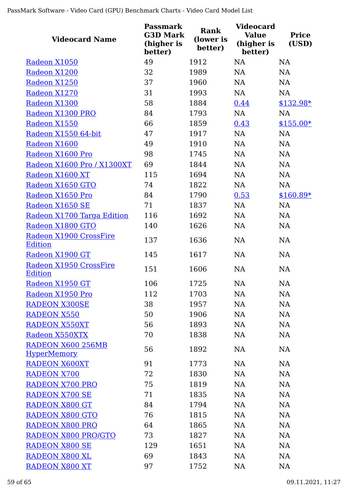| <b>Videocard Name</b>                                | <b>Passmark</b><br><b>G3D Mark</b><br>(higher is<br>better) | <b>Rank</b><br>(lower is<br>better) | <b>Videocard</b><br><b>Value</b><br>(higher is<br>better) | <b>Price</b><br>(USD) |
|------------------------------------------------------|-------------------------------------------------------------|-------------------------------------|-----------------------------------------------------------|-----------------------|
| Radeon X1050                                         | 49                                                          | 1912                                | <b>NA</b>                                                 | <b>NA</b>             |
| Radeon X1200                                         | 32                                                          | 1989                                | <b>NA</b>                                                 | <b>NA</b>             |
| Radeon X1250                                         | 37                                                          | 1960                                | <b>NA</b>                                                 | <b>NA</b>             |
| Radeon X1270                                         | 31                                                          | 1993                                | NA                                                        | NA                    |
| Radeon X1300                                         | 58                                                          | 1884                                | 0.44                                                      | \$132.98*             |
| Radeon X1300 PRO                                     | 84                                                          | 1793                                | NA                                                        | NA                    |
| Radeon X1550                                         | 66                                                          | 1859                                | 0.43                                                      | $$155.00*$            |
| Radeon X1550 64-bit                                  | 47                                                          | 1917                                | NA                                                        | NA                    |
| Radeon X1600                                         | 49                                                          | 1910                                | <b>NA</b>                                                 | NA                    |
| Radeon X1600 Pro                                     | 98                                                          | 1745                                | <b>NA</b>                                                 | NA                    |
| Radeon X1600 Pro / X1300XT                           | 69                                                          | 1844                                | <b>NA</b>                                                 | <b>NA</b>             |
| Radeon X1600 XT                                      | 115                                                         | 1694                                | <b>NA</b>                                                 | <b>NA</b>             |
| Radeon X1650 GTO                                     | 74                                                          | 1822                                | NA                                                        | <b>NA</b>             |
| Radeon X1650 Pro                                     | 84                                                          | 1790                                | 0.53                                                      | $$160.89*$            |
| Radeon X1650 SE                                      | 71                                                          | 1837                                | <b>NA</b>                                                 | <b>NA</b>             |
| Radeon X1700 Targa Edition                           | 116                                                         | 1692                                | <b>NA</b>                                                 | <b>NA</b>             |
| Radeon X1800 GTO                                     | 140                                                         | 1626                                | <b>NA</b>                                                 | NA                    |
| Radeon X1900 CrossFire<br><b>Edition</b>             | 137                                                         | 1636                                | <b>NA</b>                                                 | <b>NA</b>             |
| Radeon X1900 GT                                      | 145                                                         | 1617                                | <b>NA</b>                                                 | <b>NA</b>             |
| Radeon X1950 CrossFire                               | 151                                                         | 1606                                | <b>NA</b>                                                 | <b>NA</b>             |
| <b>Edition</b>                                       |                                                             |                                     |                                                           |                       |
| <u>Radeon X1950 GT</u>                               | 106                                                         | 1725                                | NA                                                        | NA                    |
| Radeon X1950 Pro                                     | 112                                                         | 1703                                | <b>NA</b>                                                 | NA                    |
| <b>RADEON X300SE</b>                                 | 38                                                          | 1957                                | NA                                                        | NA                    |
| <b>RADEON X550</b>                                   | 50                                                          | 1906                                | NA                                                        | <b>NA</b>             |
| <b>RADEON X550XT</b>                                 | 56                                                          | 1893                                | NA                                                        | NA                    |
| Radeon X550XTX                                       | 70                                                          | 1838                                | <b>NA</b>                                                 | <b>NA</b>             |
| RADEON X600 256MB                                    | 56                                                          | 1892                                | NA                                                        | <b>NA</b>             |
| <b>HyperMemory</b><br><b>RADEON X600XT</b>           | 91                                                          | 1773                                | NA                                                        | <b>NA</b>             |
| <b>RADEON X700</b>                                   | 72                                                          | 1830                                | NA                                                        | <b>NA</b>             |
| <b>RADEON X700 PRO</b>                               | 75                                                          | 1819                                | NA                                                        | NA                    |
| <b>RADEON X700 SE</b>                                | 71                                                          | 1835                                | NA                                                        | <b>NA</b>             |
| <b>RADEON X800 GT</b>                                | 84                                                          | 1794                                | NA                                                        | NA                    |
| <b>RADEON X800 GTO</b>                               | 76                                                          | 1815                                | NA                                                        | NA                    |
|                                                      |                                                             |                                     |                                                           |                       |
| <b>RADEON X800 PRO</b><br><b>RADEON X800 PRO/GTO</b> | 64<br>73                                                    | 1865<br>1827                        | NA<br><b>NA</b>                                           | NA<br><b>NA</b>       |
|                                                      |                                                             |                                     |                                                           |                       |
| RADEON X800 SE                                       | 129                                                         | 1651                                | NA                                                        | NA                    |
| RADEON X800 XL                                       | 69                                                          | 1843                                | <b>NA</b>                                                 | <b>NA</b>             |
| <b>RADEON X800 XT</b>                                | 97                                                          | 1752                                | NA                                                        | <b>NA</b>             |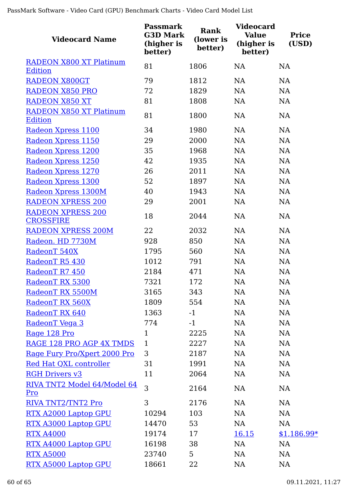| <b>Videocard Name</b>                            | <b>Passmark</b><br><b>G3D Mark</b><br>(higher is<br>better) | Rank<br>(lower is<br>better) | <b>Videocard</b><br><b>Value</b><br>(higher is<br>better) | <b>Price</b><br>(USD) |
|--------------------------------------------------|-------------------------------------------------------------|------------------------------|-----------------------------------------------------------|-----------------------|
| <b>RADEON X800 XT Platinum</b>                   | 81                                                          | 1806                         | <b>NA</b>                                                 | <b>NA</b>             |
| <b>Edition</b>                                   |                                                             |                              |                                                           |                       |
| RADEON X800GT                                    | 79                                                          | 1812                         | NA                                                        | NA                    |
| <b>RADEON X850 PRO</b>                           | 72                                                          | 1829                         | <b>NA</b>                                                 | NA                    |
| <b>RADEON X850 XT</b>                            | 81                                                          | 1808                         | <b>NA</b>                                                 | NA                    |
| <b>RADEON X850 XT Platinum</b><br><b>Edition</b> | 81                                                          | 1800                         | <b>NA</b>                                                 | NA                    |
| Radeon Xpress 1100                               | 34                                                          | 1980                         | NA                                                        | NA                    |
| Radeon Xpress 1150                               | 29                                                          | 2000                         | NA                                                        | NA                    |
| Radeon Xpress 1200                               | 35                                                          | 1968                         | NA                                                        | NA                    |
| Radeon Xpress 1250                               | 42                                                          | 1935                         | NA                                                        | NA                    |
| Radeon Xpress 1270                               | 26                                                          | 2011                         | <b>NA</b>                                                 | <b>NA</b>             |
| Radeon Xpress 1300                               | 52                                                          | 1897                         | <b>NA</b>                                                 | NA                    |
| Radeon Xpress 1300M                              | 40                                                          | 1943                         | NA                                                        | NA                    |
| <b>RADEON XPRESS 200</b>                         | 29                                                          | 2001                         | <b>NA</b>                                                 | NA                    |
| <b>RADEON XPRESS 200</b><br><b>CROSSFIRE</b>     | 18                                                          | 2044                         | <b>NA</b>                                                 | NA                    |
| <b>RADEON XPRESS 200M</b>                        | 22                                                          | 2032                         | <b>NA</b>                                                 | <b>NA</b>             |
| Radeon. HD 7730M                                 | 928                                                         | 850                          | <b>NA</b>                                                 | NA                    |
| RadeonT 540X                                     | 1795                                                        | 560                          | NA                                                        | NA                    |
| RadeonT R5 430                                   | 1012                                                        | 791                          | NA                                                        | NA                    |
| RadeonT R7 450                                   | 2184                                                        | 471                          | <b>NA</b>                                                 | NA                    |
| RadeonT RX 5300                                  | 7321                                                        | 172                          | <b>NA</b>                                                 | <b>NA</b>             |
| RadeonT RX 5500M                                 | 3165                                                        | 343                          | NA                                                        | <b>NA</b>             |
| RadeonT RX 560X                                  | 1809                                                        | 554                          | NA                                                        | <b>NA</b>             |
| RadeonT RX 640                                   | 1363                                                        | $-1$                         | NA                                                        | <b>NA</b>             |
| RadeonT Vega 3                                   | 774                                                         | $-1$                         | NA                                                        | NA                    |
| Rage 128 Pro                                     | $\mathbf{1}$                                                | 2225                         | NA                                                        | NA                    |
| RAGE 128 PRO AGP 4X TMDS                         | $\mathbf{1}$                                                | 2227                         | NA                                                        | <b>NA</b>             |
| Rage Fury Pro/Xpert 2000 Pro                     | 3                                                           | 2187                         | <b>NA</b>                                                 | NA                    |
| Red Hat QXL controller                           | 31                                                          | 1991                         | NA                                                        | <b>NA</b>             |
| <b>RGH Drivers v3</b>                            | 11                                                          | 2064                         | NA                                                        | <b>NA</b>             |
| RIVA TNT2 Model 64/Model 64<br>Pro               | 3                                                           | 2164                         | <b>NA</b>                                                 | NA                    |
| RIVA TNT2/TNT2 Pro                               | 3                                                           | 2176                         | <b>NA</b>                                                 | NA                    |
| RTX A2000 Laptop GPU                             | 10294                                                       | 103                          | <b>NA</b>                                                 | <b>NA</b>             |
| RTX A3000 Laptop GPU                             | 14470                                                       | 53                           | NA                                                        | NA                    |
| <b>RTX A4000</b>                                 | 19174                                                       | 17                           | <u>16.15</u>                                              | $$1,186.99*$          |
| RTX A4000 Laptop GPU                             | 16198                                                       | 38                           | NA                                                        | NA                    |
| <b>RTX A5000</b>                                 | 23740                                                       | 5                            | NA                                                        | <b>NA</b>             |
| RTX A5000 Laptop GPU                             | 18661                                                       | 22                           | NA                                                        | NA                    |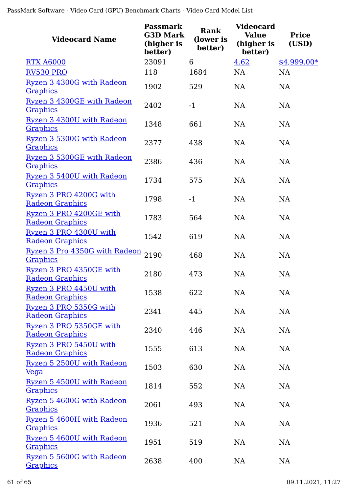| <b>Videocard Name</b>                             | <b>Passmark</b><br><b>G3D Mark</b><br>(higher is<br>better) | Rank<br>(lower is<br>better) | <b>Videocard</b><br><b>Value</b><br>(higher is<br>better) | <b>Price</b><br>(USD) |
|---------------------------------------------------|-------------------------------------------------------------|------------------------------|-----------------------------------------------------------|-----------------------|
| <b>RTX A6000</b>                                  | 23091                                                       | 6                            | 4.62                                                      | $$4,999.00*$          |
| <b>RV530 PRO</b>                                  | 118                                                         | 1684                         | <b>NA</b>                                                 | <b>NA</b>             |
| Ryzen 3 4300G with Radeon                         | 1902                                                        | 529                          | <b>NA</b>                                                 | <b>NA</b>             |
| <b>Graphics</b>                                   |                                                             |                              |                                                           |                       |
| Ryzen 3 4300GE with Radeon                        | 2402                                                        | $-1$                         | <b>NA</b>                                                 | NA                    |
| <b>Graphics</b>                                   |                                                             |                              |                                                           |                       |
| Ryzen 3 4300U with Radeon                         | 1348                                                        | 661                          | <b>NA</b>                                                 | <b>NA</b>             |
| <b>Graphics</b>                                   |                                                             |                              |                                                           |                       |
| Ryzen 3 5300G with Radeon                         | 2377                                                        | 438                          | <b>NA</b>                                                 | <b>NA</b>             |
| <b>Graphics</b>                                   |                                                             |                              |                                                           |                       |
| Ryzen 3 5300GE with Radeon                        | 2386                                                        | 436                          | <b>NA</b>                                                 | <b>NA</b>             |
| <b>Graphics</b>                                   |                                                             |                              |                                                           |                       |
| Ryzen 3 5400U with Radeon                         | 1734                                                        | 575                          | <b>NA</b>                                                 | <b>NA</b>             |
| <b>Graphics</b>                                   |                                                             |                              |                                                           |                       |
| Ryzen 3 PRO 4200G with                            | 1798                                                        | $-1$                         | <b>NA</b>                                                 | <b>NA</b>             |
| <b>Radeon Graphics</b>                            |                                                             |                              |                                                           |                       |
| Ryzen 3 PRO 4200GE with<br><b>Radeon Graphics</b> | 1783                                                        | 564                          | <b>NA</b>                                                 | <b>NA</b>             |
|                                                   |                                                             |                              |                                                           |                       |
| Ryzen 3 PRO 4300U with<br><b>Radeon Graphics</b>  | 1542                                                        | 619                          | <b>NA</b>                                                 | <b>NA</b>             |
| Ryzen 3 Pro 4350G with Radeon                     |                                                             |                              |                                                           |                       |
| <b>Graphics</b>                                   | 2190                                                        | 468                          | <b>NA</b>                                                 | <b>NA</b>             |
| Ryzen 3 PRO 4350GE with                           |                                                             |                              |                                                           |                       |
| <b>Radeon Graphics</b>                            | 2180                                                        | 473                          | NA                                                        | <b>NA</b>             |
| Ryzen 3 PRO 4450U with                            |                                                             |                              |                                                           |                       |
| <b>Radeon Graphics</b>                            | 1538                                                        | 622                          | NA                                                        | NA                    |
| Ryzen 3 PRO 5350G with                            |                                                             |                              |                                                           |                       |
| <b>Radeon Graphics</b>                            | 2341                                                        | 445                          | NA                                                        | NA                    |
| Ryzen 3 PRO 5350GE with                           |                                                             |                              |                                                           |                       |
| <b>Radeon Graphics</b>                            | 2340                                                        | 446                          | <b>NA</b>                                                 | NA                    |
| Ryzen 3 PRO 5450U with                            | 1555                                                        | 613                          | <b>NA</b>                                                 | NA                    |
| <b>Radeon Graphics</b>                            |                                                             |                              |                                                           |                       |
| Ryzen 5 2500U with Radeon                         | 1503                                                        | 630                          | NA                                                        | NA                    |
| <u>Vega</u>                                       |                                                             |                              |                                                           |                       |
| Ryzen 5 4500U with Radeon                         | 1814                                                        | 552                          | <b>NA</b>                                                 | NA                    |
| <b>Graphics</b>                                   |                                                             |                              |                                                           |                       |
| Ryzen 5 4600G with Radeon                         | 2061                                                        | 493                          | <b>NA</b>                                                 | NA                    |
| <b>Graphics</b>                                   |                                                             |                              |                                                           |                       |
| Ryzen 5 4600H with Radeon                         | 1936                                                        | 521                          | <b>NA</b>                                                 | NA                    |
| <b>Graphics</b>                                   |                                                             |                              |                                                           |                       |
| Ryzen 5 4600U with Radeon                         | 1951                                                        | 519                          | <b>NA</b>                                                 | NA                    |
| <b>Graphics</b>                                   |                                                             |                              |                                                           |                       |
| Ryzen 5 5600G with Radeon                         | 2638                                                        | 400                          | <b>NA</b>                                                 | NA                    |
| <b>Graphics</b>                                   |                                                             |                              |                                                           |                       |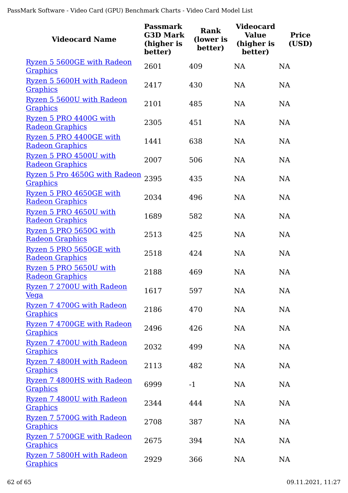| <b>Videocard Name</b>                             | <b>Passmark</b><br><b>G3D Mark</b><br>(higher is<br>better) | <b>Rank</b><br>(lower is<br>better) | <b>Videocard</b><br><b>Value</b><br>(higher is<br>better) | <b>Price</b><br>(USD) |
|---------------------------------------------------|-------------------------------------------------------------|-------------------------------------|-----------------------------------------------------------|-----------------------|
| Ryzen 5 5600GE with Radeon<br><b>Graphics</b>     | 2601                                                        | 409                                 | <b>NA</b>                                                 | <b>NA</b>             |
| Ryzen 5 5600H with Radeon<br><b>Graphics</b>      | 2417                                                        | 430                                 | <b>NA</b>                                                 | <b>NA</b>             |
| Ryzen 5 5600U with Radeon<br><b>Graphics</b>      | 2101                                                        | 485                                 | <b>NA</b>                                                 | <b>NA</b>             |
| Ryzen 5 PRO 4400G with<br><b>Radeon Graphics</b>  | 2305                                                        | 451                                 | <b>NA</b>                                                 | <b>NA</b>             |
| Ryzen 5 PRO 4400GE with<br><b>Radeon Graphics</b> | 1441                                                        | 638                                 | <b>NA</b>                                                 | <b>NA</b>             |
| Ryzen 5 PRO 4500U with<br><b>Radeon Graphics</b>  | 2007                                                        | 506                                 | <b>NA</b>                                                 | <b>NA</b>             |
| Ryzen 5 Pro 4650G with Radeon<br><b>Graphics</b>  | 2395                                                        | 435                                 | <b>NA</b>                                                 | <b>NA</b>             |
| Ryzen 5 PRO 4650GE with<br><b>Radeon Graphics</b> | 2034                                                        | 496                                 | <b>NA</b>                                                 | <b>NA</b>             |
| Ryzen 5 PRO 4650U with<br><b>Radeon Graphics</b>  | 1689                                                        | 582                                 | <b>NA</b>                                                 | <b>NA</b>             |
| Ryzen 5 PRO 5650G with<br><b>Radeon Graphics</b>  | 2513                                                        | 425                                 | NA                                                        | <b>NA</b>             |
| Ryzen 5 PRO 5650GE with<br><b>Radeon Graphics</b> | 2518                                                        | 424                                 | <b>NA</b>                                                 | <b>NA</b>             |
| Ryzen 5 PRO 5650U with<br><b>Radeon Graphics</b>  | 2188                                                        | 469                                 | <b>NA</b>                                                 | <b>NA</b>             |
| Ryzen 7 2700U with Radeon<br><u>Vega</u>          | 1617                                                        | 597                                 | <b>NA</b>                                                 | NA                    |
| Ryzen 7 4700G with Radeon<br><b>Graphics</b>      | 2186                                                        | 470                                 | NA                                                        | NA                    |
| Ryzen 7 4700GE with Radeon<br><b>Graphics</b>     | 2496                                                        | 426                                 | NA                                                        | NA                    |
| Ryzen 7 4700U with Radeon<br><b>Graphics</b>      | 2032                                                        | 499                                 | NA                                                        | NA                    |
| Ryzen 7 4800H with Radeon<br><b>Graphics</b>      | 2113                                                        | 482                                 | NA                                                        | NA                    |
| Ryzen 7 4800HS with Radeon<br><b>Graphics</b>     | 6999                                                        | $-1$                                | NA                                                        | NA                    |
| Ryzen 7 4800U with Radeon<br><b>Graphics</b>      | 2344                                                        | 444                                 | NA                                                        | NA                    |
| Ryzen 7 5700G with Radeon<br><b>Graphics</b>      | 2708                                                        | 387                                 | NA                                                        | NA                    |
| Ryzen 7 5700GE with Radeon<br><b>Graphics</b>     | 2675                                                        | 394                                 | <b>NA</b>                                                 | NA                    |
| Ryzen 7 5800H with Radeon<br><b>Graphics</b>      | 2929                                                        | 366                                 | NA                                                        | NA                    |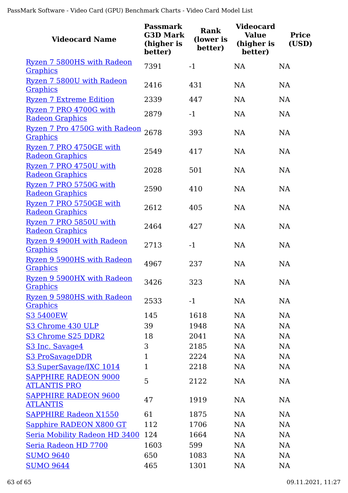| <b>Videocard Name</b>                                   | <b>Passmark</b><br><b>G3D Mark</b><br>(higher is<br>better) | <b>Rank</b><br>(lower is<br>better) | <b>Videocard</b><br><b>Value</b><br>(higher is<br>better) | <b>Price</b><br>(USD) |
|---------------------------------------------------------|-------------------------------------------------------------|-------------------------------------|-----------------------------------------------------------|-----------------------|
| Ryzen 7 5800HS with Radeon<br><b>Graphics</b>           | 7391                                                        | $-1$                                | <b>NA</b>                                                 | <b>NA</b>             |
| Ryzen 7 5800U with Radeon<br><b>Graphics</b>            | 2416                                                        | 431                                 | <b>NA</b>                                                 | <b>NA</b>             |
| <b>Ryzen 7 Extreme Edition</b>                          | 2339                                                        | 447                                 | <b>NA</b>                                                 | <b>NA</b>             |
| Ryzen 7 PRO 4700G with                                  | 2879                                                        | $-1$                                | NA                                                        | <b>NA</b>             |
| <b>Radeon Graphics</b>                                  |                                                             |                                     |                                                           |                       |
| <u>Ryzen 7 Pro 4750G with Radeon</u><br><b>Graphics</b> | 2678                                                        | 393                                 | <b>NA</b>                                                 | <b>NA</b>             |
| Ryzen 7 PRO 4750GE with                                 |                                                             |                                     |                                                           |                       |
| <b>Radeon Graphics</b>                                  | 2549                                                        | 417                                 | <b>NA</b>                                                 | <b>NA</b>             |
| Ryzen 7 PRO 4750U with                                  | 2028                                                        | 501                                 | <b>NA</b>                                                 | <b>NA</b>             |
| <b>Radeon Graphics</b>                                  |                                                             |                                     |                                                           |                       |
| Ryzen 7 PRO 5750G with                                  | 2590                                                        | 410                                 | <b>NA</b>                                                 | <b>NA</b>             |
| <b>Radeon Graphics</b>                                  |                                                             |                                     |                                                           |                       |
| Ryzen 7 PRO 5750GE with<br><b>Radeon Graphics</b>       | 2612                                                        | 405                                 | <b>NA</b>                                                 | <b>NA</b>             |
| Ryzen 7 PRO 5850U with                                  |                                                             |                                     |                                                           |                       |
| <b>Radeon Graphics</b>                                  | 2464                                                        | 427                                 | <b>NA</b>                                                 | <b>NA</b>             |
| Ryzen 9 4900H with Radeon                               | 2713                                                        | $-1$                                | <b>NA</b>                                                 | <b>NA</b>             |
| <b>Graphics</b>                                         |                                                             |                                     |                                                           |                       |
| Ryzen 9 5900HS with Radeon                              | 4967                                                        | 237                                 | <b>NA</b>                                                 | <b>NA</b>             |
| <b>Graphics</b>                                         |                                                             |                                     |                                                           |                       |
| Ryzen 9 5900HX with Radeon<br><u>Graphics</u>           | 3426                                                        | 323                                 | NA                                                        | <b>NA</b>             |
| Ryzen 9 5980HS with Radeon                              |                                                             |                                     |                                                           |                       |
| <b>Graphics</b>                                         | 2533                                                        | $-1$                                | NA                                                        | <b>NA</b>             |
| <b>S3 5400EW</b>                                        | 145                                                         | 1618                                | NA                                                        | NA                    |
| S3 Chrome 430 ULP                                       | 39                                                          | 1948                                | NA                                                        | <b>NA</b>             |
| S3 Chrome S25 DDR2                                      | 18                                                          | 2041                                | NA                                                        | <b>NA</b>             |
| S3 Inc. Savage4                                         | 3                                                           | 2185                                | NA                                                        | <b>NA</b>             |
| S3 ProSavageDDR                                         | $\mathbf{1}$                                                | 2224                                | NA                                                        | <b>NA</b>             |
| S3 SuperSavage/IXC 1014                                 | $\mathbf{1}$                                                | 2218                                | NA                                                        | <b>NA</b>             |
| <b>SAPPHIRE RADEON 9000</b><br><b>ATLANTIS PRO</b>      | 5                                                           | 2122                                | NA                                                        | NA                    |
| <b>SAPPHIRE RADEON 9600</b>                             |                                                             |                                     |                                                           |                       |
| <u>ATLANTIS</u>                                         | 47                                                          | 1919                                | NA                                                        | NA                    |
| <b>SAPPHIRE Radeon X1550</b>                            | 61                                                          | 1875                                | <b>NA</b>                                                 | <b>NA</b>             |
| Sapphire RADEON X800 GT                                 | 112                                                         | 1706                                | NA                                                        | <b>NA</b>             |
| Seria Mobility Radeon HD 3400 124                       |                                                             | 1664                                | NA                                                        | <b>NA</b>             |
| Seria Radeon HD 7700                                    | 1603                                                        | 599                                 | NA                                                        | <b>NA</b>             |
| <b>SUMO 9640</b>                                        | 650                                                         | 1083                                | NA                                                        | <b>NA</b>             |
| <b>SUMO 9644</b>                                        | 465                                                         | 1301                                | NA                                                        | NA                    |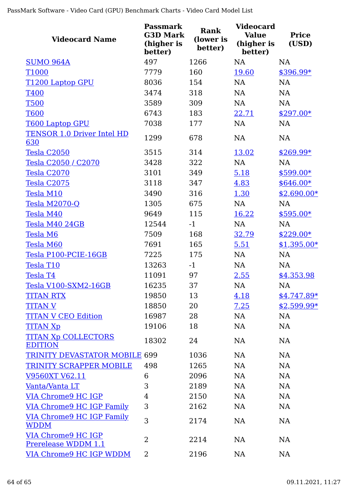| <b>Videocard Name</b>                            | <b>Passmark</b><br><b>G3D Mark</b><br>(higher is<br>better) | Rank<br>(lower is<br>better) | <b>Videocard</b><br><b>Value</b><br>(higher is<br>better) | <b>Price</b><br>(USD) |
|--------------------------------------------------|-------------------------------------------------------------|------------------------------|-----------------------------------------------------------|-----------------------|
| <b>SUMO 964A</b>                                 | 497                                                         | 1266                         | <b>NA</b>                                                 | <b>NA</b>             |
| T1000                                            | 7779                                                        | 160                          | 19.60                                                     | $$396.99*$            |
| <b>T1200 Laptop GPU</b>                          | 8036                                                        | 154                          | <b>NA</b>                                                 | <b>NA</b>             |
| <b>T400</b>                                      | 3474                                                        | 318                          | <b>NA</b>                                                 | <b>NA</b>             |
| <b>T500</b>                                      | 3589                                                        | 309                          | <b>NA</b>                                                 | <b>NA</b>             |
| <b>T600</b>                                      | 6743                                                        | 183                          | 22.71                                                     | $$297.00*$            |
| <b>T600 Laptop GPU</b>                           | 7038                                                        | 177                          | <b>NA</b>                                                 | <b>NA</b>             |
| <b>TENSOR 1.0 Driver Intel HD</b><br>630         | 1299                                                        | 678                          | NA                                                        | <b>NA</b>             |
| Tesla C2050                                      | 3515                                                        | 314                          | 13.02                                                     | $$269.99*$            |
| Tesla C2050 / C2070                              | 3428                                                        | 322                          | <b>NA</b>                                                 | <b>NA</b>             |
| Tesla C2070                                      | 3101                                                        | 349                          | 5.18                                                      | $$599.00*$            |
| Tesla C2075                                      | 3118                                                        | 347                          | 4.83                                                      | $$646.00*$            |
| Tesla M10                                        | 3490                                                        | 316                          | 1.30                                                      | $$2,690.00*$          |
| Tesla M2070-Q                                    | 1305                                                        | 675                          | <b>NA</b>                                                 | <b>NA</b>             |
| Tesla M40                                        | 9649                                                        | 115                          | 16.22                                                     | $$595.00*$            |
| Tesla M40 24GB                                   | 12544                                                       | $-1$                         | NA                                                        | NA                    |
| Tesla M6                                         | 7509                                                        | 168                          | 32.79                                                     | $$229.00*$            |
| Tesla M60                                        | 7691                                                        | 165                          | 5.51                                                      | $$1,395.00*$          |
| Tesla P100-PCIE-16GB                             | 7225                                                        | 175                          | <b>NA</b>                                                 | <b>NA</b>             |
| Tesla T10                                        | 13263                                                       | $-1$                         | <b>NA</b>                                                 | <b>NA</b>             |
| Tesla T4                                         | 11091                                                       | 97                           | 2.55                                                      | \$4,353.98            |
| Tesla V100-SXM2-16GB                             | 16235                                                       | 37                           | NA                                                        | <b>NA</b>             |
| <b>TITAN RTX</b>                                 | 19850                                                       | 13                           | 4.18                                                      | $$4,747.89*$          |
| <b>TITAN V</b>                                   | 18850                                                       | 20                           | 7.25                                                      | $$2,599.99*$          |
| <b>TITAN V CEO Edition</b>                       | 16987                                                       | 28                           | NA                                                        | NA                    |
| <b>TITAN Xp</b>                                  | 19106                                                       | 18                           | NA                                                        | NA                    |
| <b>TITAN Xp COLLECTORS</b><br><b>EDITION</b>     | 18302                                                       | 24                           | <b>NA</b>                                                 | <b>NA</b>             |
| <b>TRINITY DEVASTATOR MOBILE 699</b>             |                                                             | 1036                         | NA                                                        | NA                    |
| <b>TRINITY SCRAPPER MOBILE</b>                   | 498                                                         | 1265                         | NA                                                        | NA                    |
| V9560XT V62.11                                   | 6                                                           | 2096                         | NA                                                        | NA                    |
| Vanta/Vanta LT                                   | 3                                                           | 2189                         | NA                                                        | NA                    |
| <b>VIA Chrome9 HC IGP</b>                        | 4                                                           | 2150                         | <b>NA</b>                                                 | NA                    |
| <b>VIA Chrome9 HC IGP Family</b>                 | 3                                                           | 2162                         | <b>NA</b>                                                 | NA                    |
| <b>VIA Chrome9 HC IGP Family</b><br><b>WDDM</b>  | 3                                                           | 2174                         | NA                                                        | NA                    |
| <b>VIA Chrome9 HC IGP</b><br>Prerelease WDDM 1.1 | $\overline{2}$                                              | 2214                         | <b>NA</b>                                                 | <b>NA</b>             |
| <b>VIA Chrome9 HC IGP WDDM</b>                   | 2                                                           | 2196                         | NA                                                        | NA                    |